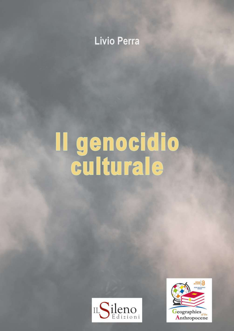# Livio Perra

# Il genocidio<br>culturale



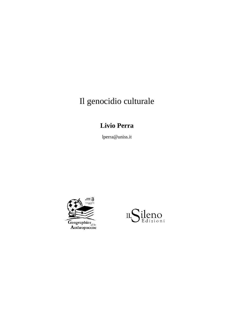# Il genocidio culturale

# **Livio Perra**

lperra@uniss.it



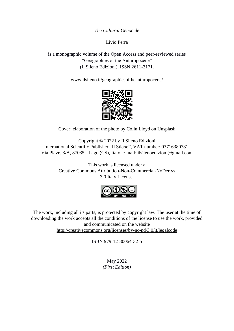*The Cultural Genocide*

Livio Perra

is a monographic volume of the Open Access and peer-reviewed series "Geographies of the Anthropocene" (Il Sileno Edizioni), ISSN 2611-3171.

[www.ilsileno.it/geographiesoftheanthropocene/](http://www.ilsileno.it/geographiesoftheanthropocene/)



Cover: elaboration of the photo by Colin Lloyd on Unsplash

Copyright © 2022 by Il Sileno Edizioni International Scientific Publisher "Il Sileno", VAT number: 03716380781. Via Piave, 3/A, 87035 - Lago (CS), Italy, e-mail[: ilsilenoedizioni@gmail.com](mailto:ilsilenoedizioni@gmail.com)

> This work is licensed under a Creative Commons Attribution-Non-Commercial-NoDerivs 3.0 Italy License.



The work, including all its parts, is protected by copyright law. The user at the time of downloading the work accepts all the conditions of the license to use the work, provided and communicated on the website [http://creativecommons.org/licenses/by-nc-nd/3.0/it/legalcode](https://l.facebook.com/l.php?u=http%3A%2F%2Fcreativecommons.org%2Flicenses%2Fby-nc-nd%2F3.0%2Fit%2Flegalcode&h=ATM_ijp1OCbtG9XGIOna0KKc_Q9Y-lal4QTcEN_bsi6vkxtz4SJxnlG13FPdoflpU2aGABW9tsVWq9ilEEpuO6KvuoWJKItIjUq3D99froEUcw9u8pU87g)

ISBN 979-12-80064-32-5

May 2022 *(First Edition)*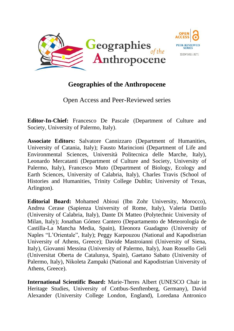



# **Geographies of the Anthropocene**

Open Access and Peer-Reviewed series

**Editor-In-Chief:** Francesco De Pascale (Department of Culture and Society, University of Palermo, Italy).

**Associate Editors:** Salvatore Cannizzaro (Department of Humanities, University of Catania, Italy); Fausto Marincioni (Department of Life and Environmental Sciences, Università Politecnica delle Marche, Italy), Leonardo Mercatanti (Department of Culture and Society, University of Palermo, Italy), Francesco Muto (Department of Biology, Ecology and Earth Sciences, University of Calabria, Italy), Charles Travis (School of Histories and Humanities, Trinity College Dublin; University of Texas, Arlington).

**Editorial Board:** Mohamed Abioui (Ibn Zohr University, Morocco), Andrea Cerase (Sapienza University of Rome, Italy), Valeria Dattilo (University of Calabria, Italy), Dante Di Matteo (Polytechnic University of Milan, Italy); Jonathan Gómez Cantero (Departamento de Meteorología de Castilla-La Mancha Media, Spain), Eleonora Guadagno (University of Naples "L'Orientale", Italy); Peggy Karpouzou (National and Kapodistrian University of Athens, Greece); Davide Mastroianni (University of Siena, Italy), Giovanni Messina (University of Palermo, Italy), Joan Rossello Geli (Universitat Oberta de Catalunya, Spain), Gaetano Sabato (University of Palermo, Italy), Nikoleta Zampaki (National and Kapodistrian University of Athens, Greece).

**International Scientific Board:** Marie-Theres Albert (UNESCO Chair in Heritage Studies, University of Cottbus-Senftenberg, Germany), David Alexander (University College London, England), Loredana Antronico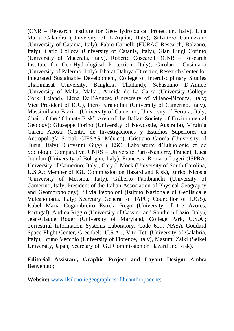(CNR – Research Institute for Geo-Hydrological Protection, Italy), Lina Maria Calandra (University of L'Aquila, Italy); Salvatore Cannizzaro (University of Catania, Italy), Fabio Carnelli (EURAC Research, Bolzano, Italy); Carlo Colloca (University of Catania, Italy), Gian Luigi Corinto (University of Macerata, Italy), Roberto Coscarelli (CNR – Research Institute for Geo-Hydrological Protection, Italy), Girolamo Cusimano (University of Palermo, Italy), Bharat Dahiya (Director, Research Center for Integrated Sustainable Development, College of Interdisciplinary Studies Thammasat University, Bangkok, Thailand); Sebastiano D'Amico (University of Malta, Malta), Armida de La Garza (University College Cork, Ireland), Elena Dell'Agnese (University of Milano-Bicocca, Italy; Vice President of IGU), Piero Farabollini (University of Camerino, Italy), Massimiliano Fazzini (University of Camerino; University of Ferrara, Italy; Chair of the "Climate Risk" Area of the Italian Society of Environmental Geology); Giuseppe Forino (University of Newcastle, Australia), Virginia García Acosta (Centro de Investigaciones y Estudios Superiores en Antropología Social, CIESAS, México); Cristiano Giorda (University of Turin, Italy), Giovanni Gugg (LESC, Laboratoire d'Ethnologie et de Sociologie Comparative, CNRS – Université Paris-Nanterre, France), Luca Jourdan (University of Bologna, Italy), Francesca Romana Lugeri (ISPRA, University of Camerino, Italy), Cary J. Mock (University of South Carolina, U.S.A.; Member of IGU Commission on Hazard and Risk), Enrico Nicosia (University of Messina, Italy), Gilberto Pambianchi (University of Camerino, Italy; President of the Italian Association of Physical Geography and Geomorphology), Silvia Peppoloni (Istituto Nazionale di Geofisica e Vulcanologia, Italy; Secretary General of IAPG; Councillor of IUGS), Isabel Maria Cogumbreiro Estrela Rego (University of the Azores, Portugal), Andrea Riggio (University of Cassino and Southern Lazio, Italy), Jean-Claude Roger (University of Maryland, College Park, U.S.A.; Terrestrial Information Systems Laboratory, Code 619, NASA Goddard Space Flight Center, Greenbelt, U.S.A.); Vito Teti (University of Calabria, Italy), Bruno Vecchio (University of Florence, Italy), Masumi Zaiki (Seikei University, Japan; Secretary of IGU Commission on Hazard and Risk).

# **Editorial Assistant, Graphic Project and Layout Design:** Ambra Benvenuto;

**Website:** [www.ilsileno.it/geographiesoftheanthropocene;](http://www.ilsileno.it/geographiesoftheanthropocene)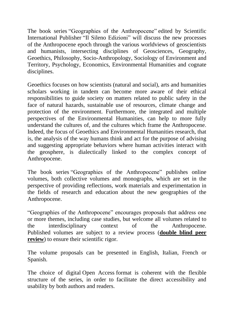The book series "Geographies of the Anthropocene" edited by Scientific International Publisher "Il Sileno Edizioni" will discuss the new processes of the Anthropocene epoch through the various worldviews of geoscientists and humanists, intersecting disciplines of Geosciences, Geography, Geoethics, Philosophy, Socio-Anthropology, Sociology of Environment and Territory, Psychology, Economics, Environmental Humanities and cognate disciplines.

Geoethics focuses on how scientists (natural and social), arts and humanities scholars working in tandem can become more aware of their ethical responsibilities to guide society on matters related to public safety in the face of natural hazards, sustainable use of resources, climate change and protection of the environment. Furthermore, the integrated and multiple perspectives of the Environmental Humanities, can help to more fully understand the cultures of, and the cultures which frame the Anthropocene. Indeed, the focus of Geoethics and Environmental Humanities research, that is, the analysis of the way humans think and act for the purpose of advising and suggesting appropriate behaviors where human activities interact with the geosphere, is dialectically linked to the complex concept of Anthropocene.

The book series "Geographies of the Anthropocene" publishes online volumes, both collective volumes and monographs, which are set in the perspective of providing reflections, work materials and experimentation in the fields of research and education about the new geographies of the Anthropocene.

"Geographies of the Anthropocene" encourages proposals that address one or more themes, including case studies, but welcome all volumes related to the interdisciplinary context of the Anthropocene. Published volumes are subject to a review process (**double blind peer review**) to ensure their scientific rigor.

The volume proposals can be presented in English, Italian, French or Spanish.

The choice of digital Open Access format is coherent with the flexible structure of the series, in order to facilitate the direct accessibility and usability by both authors and readers.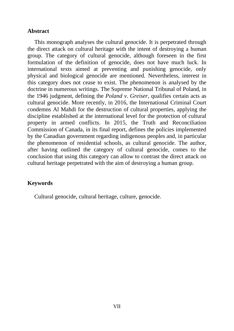# **Abstract**

This monograph analyses the cultural genocide. It is perpetrated through the direct attack on cultural heritage with the intent of destroying a human group. The category of cultural genocide, although foreseen in the first formulation of the definition of genocide, does not have much luck. In international texts aimed at preventing and punishing genocide, only physical and biological genocide are mentioned. Nevertheless, interest in this category does not cease to exist. The phenomenon is analysed by the doctrine in numerous writings. The Supreme National Tribunal of Poland, in the 1946 judgment, defining the *Poland v. Greiser*, qualifies certain acts as cultural genocide. More recently, in 2016, the International Criminal Court condemns Al Mahdi for the destruction of cultural properties, applying the discipline established at the international level for the protection of cultural property in armed conflicts. In 2015, the Truth and Reconciliation Commission of Canada, in its final report, defines the policies implemented by the Canadian government regarding indigenous peoples and, in particular the phenomenon of residential schools, as cultural genocide. The author, after having outlined the category of cultural genocide, comes to the conclusion that using this category can allow to contrast the direct attack on cultural heritage perpetrated with the aim of destroying a human group.

# **Keywords**

Cultural genocide, cultural heritage, culture, genocide.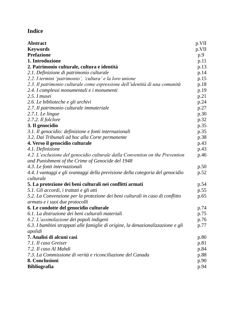# **Indice**

| Abstract                                                                        | p.VII |
|---------------------------------------------------------------------------------|-------|
| <b>Keywords</b>                                                                 | p.VII |
| <b>Prefazione</b>                                                               | p.9   |
| 1. Introduzione                                                                 | p.11  |
| 2. Patrimonio culturale, cultura e identità                                     | p.13  |
| 2.1. Definizione di patrimonio culturale                                        | p.14  |
| 2.2. I termini 'patrimonio', 'cultura' e la loro unione                         | p.15  |
| 2.3. Il patrimonio culturale come espressione dell'identità di una comunità     | p.18  |
| 2.4. I complessi monumentali e i monumenti                                      | p.19  |
| 2.5. I musei                                                                    | p.21  |
| 2.6. Le biblioteche e gli archivi                                               | p.24  |
| 2.7. Il patrimonio culturale immateriale                                        | p.27  |
| 2.7.1. Le lingue                                                                | p.30  |
| 2.7.2. Il folclore                                                              | p.32  |
| 3. Il genocidio                                                                 | p.35  |
| 3.1. Il genocidio: definizione e fonti internazionali                           | p.35  |
| 3.2. Dai Tribunali ad hoc alla Corte permanente                                 | p.38  |
| 4. Verso il genocidio culturale                                                 | p.43  |
| 4.1. Definizione                                                                | p.43  |
| 4.2. L'esclusione del genocidio culturale dalla Convention on the Prevention    | p.46  |
| and Punishment of the Crime of Genocide del 1948                                |       |
| 4.3. Le fonti internazionali                                                    | p.50  |
| 4.4. I vantaggi e gli svantaggi della previsione della categoria del genocidio  | p.52  |
| culturale                                                                       |       |
| 5. La protezione dei beni culturali nei conflitti armati                        | p.54  |
| 5.1. Gli accordi, i trattati e gli atti                                         | p.55  |
| 5.2. La Convenzione per la protezione dei beni culturali in caso di conflitto   | p.65  |
| armato e i suoi due protocolli                                                  |       |
| 6. Le condotte del genocidio culturale                                          | p.74  |
| 6.1. La distruzione dei beni culturali materiali                                | p.75  |
| 6.2. L'assimilazione dei popoli indigeni                                        | p.76  |
| 6.3. I bambini strappati alle famiglie di origine, la denazionalizzazione e gli | p.77  |
| apolidi                                                                         |       |
| 7. Analisi di alcuni casi                                                       | p.80  |
| 7.1. Il caso Greiser                                                            | p.81  |
| 7.2. Il caso Al Mahdi                                                           | p.84  |
| 7.3. La Commissione di verità e riconciliazione del Canada                      | p.88  |
| 8. Conclusioni                                                                  | p.90  |
| <b>Bibliografia</b>                                                             | p.94  |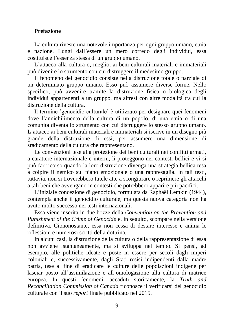#### **Prefazione**

La cultura riveste una notevole importanza per ogni gruppo umano, etnia e nazione. Lungi dall'essere un mero corredo degli individui, essa costituisce l'essenza stessa di un gruppo umano.

L'attacco alla cultura o, meglio, ai beni culturali materiali e immateriali può divenire lo strumento con cui distruggere il medesimo gruppo.

Il fenomeno del genocidio consiste nella distruzione totale o parziale di un determinato gruppo umano. Esso può assumere diverse forme. Nello specifico, può avvenire tramite la distruzione fisica o biologica degli individui appartenenti a un gruppo, ma altresì con altre modalità tra cui la distruzione della cultura.

Il termine senocidio culturale è utilizzato per designare quei fenomeni dove l'annichilimento della cultura di un popolo, di una etnia o di una comunità diventa lo strumento con cui distruggere lo stesso gruppo umano. L'attacco ai beni culturali materiali e immateriali si iscrive in un disegno più grande della distruzione di essi, per assumere una dimensione di sradicamento della cultura che rappresentano.

Le convenzioni tese alla protezione dei beni culturali nei conflitti armati, a carattere internazionale e interni, li proteggono nei contesti bellici e vi si può far ricorso quando la loro distruzione divenga una strategia bellica tesa a colpire il nemico sul piano emozionale o una rappresaglia. In tali testi, tuttavia, non si troverebbero tutele atte a scongiurare o reprimere gli attacchi a tali beni che avvengano in contesti che potrebbero apparire più pacifici.

L'iniziale concezione di genocidio, formulata da Raphaël Lemkin (1944), contempla anche il genocidio culturale, ma questa nuova categoria non ha avuto molto successo nei testi internazionali.

Essa viene inserita in due bozze della *Convention on the Prevention and Punishment of the Crime of Genocide* e, in seguito, scompare nella versione definitiva. Ciononostante, essa non cessa di destare interesse e anima le riflessioni e numerosi scritti della dottrina.

In alcuni casi, la distruzione della cultura o della rappresentazione di essa non avviene istantaneamente, ma si sviluppa nel tempo. Si pensi, ad esempio, alle politiche ideate e poste in essere per secoli dagli imperi coloniali e, successivamente, dagli Stati resisi indipendenti dalla madre patria, tese al fine di eradicare le culture delle popolazioni indigene per lasciar posto all'assimilazione e all'omologazione alla cultura di matrice europea. In questi fenomeni, accaduti storicamente, la *Truth and Reconciliation Commission of Canada* riconosce il verificarsi del genocidio culturale con il suo *report* finale pubblicato nel 2015.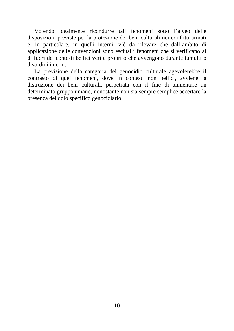Volendo idealmente ricondurre tali fenomeni sotto l'alveo delle disposizioni previste per la protezione dei beni culturali nei conflitti armati e, in particolare, in quelli interni, v'è da rilevare che dall'ambito di applicazione delle convenzioni sono esclusi i fenomeni che si verificano al di fuori dei contesti bellici veri e propri o che avvengono durante tumulti o disordini interni.

La previsione della categoria del genocidio culturale agevolerebbe il contrasto di quei fenomeni, dove in contesti non bellici, avviene la distruzione dei beni culturali, perpetrata con il fine di annientare un determinato gruppo umano, nonostante non sia sempre semplice accertare la presenza del dolo specifico genocidiario.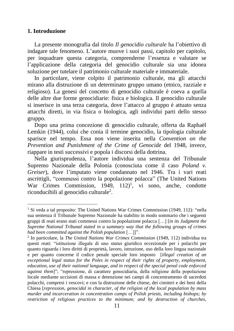#### **1. Introduzione**

La presente monografia dal titolo *Il genocidio culturale* ha l'obiettivo di indagare tale fenomeno. L'autore muove i suoi passi, capitolo per capitolo, per inquadrare questa categoria, comprenderne l'essenza e valutare se l'applicazione della categoria del genocidio culturale sia una idonea soluzione per tutelare il patrimonio culturale materiale e immateriale.

In particolare, viene colpito il patrimonio culturale, ma gli attacchi mirano alla distruzione di un determinato gruppo umano (etnico, razziale e religioso). La genesi del concetto di genocidio culturale è coeva a quella delle altre due forme genocidiarie: fisica e biologica. Il genocidio culturale si inserisce in una terza categoria, dove l'attacco al gruppo è attuato senza attacchi diretti, in via fisica o biologica, agli individui parti dello stesso gruppo.

Dopo una prima concezione di genocidio culturale, offerta da Raphaël Lemkin (1944), colui che conia il termine genocidio, la tipologia culturale sparisce nel tempo. Essa non viene inserita nella *Convention on the Prevention and Punishment of the Crime of Genocide* del 1948, invece, riappare in testi successivi e popola i discorsi della dottrina.

Nella giurisprudenza, l'autore individua una sentenza del Tribunale Supremo Nazionale della Polonia (conosciuta come il caso *Poland v. Greiser*), dove l'imputato viene condannato nel 1946. Tra i vari reati ascrittigli, "commessi contro la popolazione polacca" (The United Nations War Crimes Commission,  $1949, 112$ <sup>1</sup>, vi sono, anche, condotte riconducibili al genocidio culturale<sup>2</sup>.

<sup>&</sup>lt;sup>1</sup> Si veda a tal proposito: The United Nations War Crimes Commission (1949, 112): "nella sua sentenza il Tribunale Supremo Nazionale ha stabilito in modo sommario che i seguenti gruppi di reati erano stati commessi contro la popolazione polacca […] [*in its Judgment the Supreme National Tribunal stated in a summary way that the following groups of crimes had been committed against the Polish population* […]]".

<sup>2</sup> In particolare, la *The United Nations War Crimes Commission* (1949, 112) individua tra questi reati: "istituzione illegale di uno *status* giuridico eccezionale per i polacchi per quanto riguarda i loro diritti di proprietà, lavoro, istruzione, uso della loro lingua nazionale e per quanto concerne il codice penale speciale loro imposto [*illegal creation of an exceptional legal status for the Poles in respect of their rights of property, employment, education, use of their national language, and in respect of the special penal code enforced against them*]"; "repressione, di carattere genocidiaria, della religione della popolazione locale mediante uccisioni di massa e detenzione nei campi di concentramento di sacerdoti polacchi, compresi i vescovi; e con la distruzione delle chiese, dei cimiteri e dei beni della Chiesa [*repression, genocidal in character, of the religion of the local population by mass murder and incarceration in concentration camps of Polish priests, including bishops; by restriction of religious practices to the minimum; and by destruction of churches,*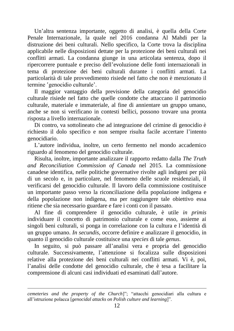Un'altra sentenza importante, oggetto di analisi, è quella della Corte Penale Internazionale, la quale nel 2016 condanna Al Mahdi per la distruzione dei beni culturali. Nello specifico, la Corte trova la disciplina applicabile nelle disposizioni dettate per la protezione dei beni culturali nei conflitti armati. La condanna giunge in una articolata sentenza, dopo il ripercorrere puntuale e preciso dell'evoluzione delle fonti internazionali in tema di protezione dei beni culturali durante i conflitti armati. La particolarità di tale provvedimento risiede nel fatto che non è menzionato il termine 'genocidio culturale'.

Il maggior vantaggio della previsione della categoria del genocidio culturale risiede nel fatto che quelle condotte che attaccano il patrimonio culturale, materiale e immateriale, al fine di annientare un gruppo umano, anche se non si verificano in contesti bellici, possono trovare una pronta risposta a livello internazionale.

Di contro, va sottolineato che ad integrazione del crimine di genocidio è richiesto il dolo specifico e non sempre risulta facile accertare l'intento genocidiario.

L'autore individua, inoltre, un certo fermento nel mondo accademico riguardo al fenomeno del genocidio culturale.

Risulta, inoltre, importante analizzare il rapporto redatto dalla *The Truth and Reconciliation Commission of Canada* nel 2015. La commissione canadese identifica, nelle politiche governative rivolte agli indigeni per più di un secolo e, in particolare, nel fenomeno delle scuole residenziali, il verificarsi del genocidio culturale. Il lavoro della commissione costituisce un importante passo verso la riconciliazione della popolazione indigena e della popolazione non indigena, ma per raggiungere tale obiettivo essa ritiene che sia necessario guardare e fare i conti con il passato.

Al fine di comprendere il genocidio culturale, è utile *in primis* individuare il concetto di patrimonio culturale e come esso, assieme ai singoli beni culturali, si ponga in correlazione con la cultura e l'identità di un gruppo umano. *In secundis*, occorre definire e analizzare il genocidio, in quanto il genocidio culturale costituisce una *species* di tale *genus*.

In seguito, si può passare all'analisi vera e propria del genocidio culturale. Successivamente, l'attenzione si focalizza sulle disposizioni relative alla protezione dei beni culturali nei conflitti armati. Vi è, poi, l'analisi delle condotte del genocidio culturale, che è tesa a facilitare la comprensione di alcuni casi individuati ed esaminati dall'autore.

*cemeteries and the property of the Church*]"; "attacchi genocidiari alla cultura e all'istruzione polacca [*genocidal attacks on Polish culture and learning*]".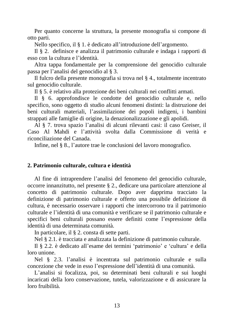Per quanto concerne la struttura, la presente monografia si compone di otto parti.

Nello specifico, il § 1. è dedicato all'introduzione dell'argomento.

Il § 2. definisce e analizza il patrimonio culturale e indaga i rapporti di esso con la cultura e l'identità.

Altra tappa fondamentale per la comprensione del genocidio culturale passa per l'analisi del genocidio al § 3.

Il fulcro della presente monografia si trova nel § 4., totalmente incentrato sul genocidio culturale.

Il § 5. è relativo alla protezione dei beni culturali nei conflitti armati.

Il § 6. approfondisce le condotte del genocidio culturale e, nello specifico, sono oggetto di studio alcuni fenomeni distinti: la distruzione dei beni culturali materiali, l'assimilazione dei popoli indigeni, i bambini strappati alle famiglie di origine, la denazionalizzazione e gli apolidi.

Al § 7. trova spazio l'analisi di alcuni rilevanti casi: il caso Greiser, il Caso Al Mahdi e l'attività svolta dalla Commissione di verità e riconciliazione del Canada.

Infine, nel § 8., l'autore trae le conclusioni del lavoro monografico.

#### **2. Patrimonio culturale, cultura e identità**

Al fine di intraprendere l'analisi del fenomeno del genocidio culturale, occorre innanzitutto, nel presente § 2., dedicare una particolare attenzione al concetto di patrimonio culturale. Dopo aver dapprima tracciato la definizione di patrimonio culturale e offerto una possibile definizione di cultura, è necessario osservare i rapporti che intercorrono tra il patrimonio culturale e l'identità di una comunità e verificare se il patrimonio culturale e specifici beni culturali possano essere definiti come l'espressione della identità di una determinata comunità.

In particolare, il § 2. consta di sette parti.

Nel § 2.1. è tracciata e analizzata la definizione di patrimonio culturale.

Il § 2.2. è dedicato all'esame dei termini ʻpatrimonio' e ʻcultura' e della loro unione.

Nel § 2.3. l'analisi è incentrata sul patrimonio culturale e sulla concezione che vede in esso l'espressione dell'identità di una comunità.

L'analisi si focalizza, poi, su determinati beni culturali e sui luoghi incaricati della loro conservazione, tutela, valorizzazione e di assicurare la loro fruibilità.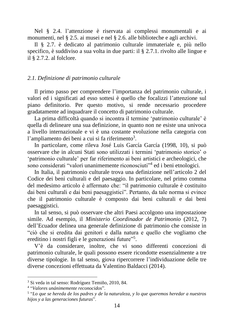Nel § 2.4. l'attenzione è riservata ai complessi monumentali e ai monumenti, nel § 2.5. ai musei e nel § 2.6. alle biblioteche e agli archivi.

Il § 2.7. è dedicato al patrimonio culturale immateriale e, più nello specifico, è suddiviso a sua volta in due parti: il § 2.7.1. rivolto alle lingue e il § 2.7.2. al folclore.

#### *2.1. Definizione di patrimonio culturale*

Il primo passo per comprendere l'importanza del patrimonio culturale, i valori ed i significati ad esso sottesi è quello che focalizzi l'attenzione sul piano definitorio. Per questo motivo, si rende necessario procedere gradatamente ad inquadrare il concetto di patrimonio culturale.

La prima difficoltà quando si incontra il termine ʻpatrimonio culturale' è quella di delineare una sua definizione, in quanto non ne esiste una univoca a livello internazionale e vi è una costante evoluzione nella categoria con l'ampliamento dei beni a cui si fa riferimento<sup>3</sup>.

In particolare, come rileva José Luis García García (1998, 10), si può osservare che in alcuni Stati sono utilizzati i termini ʻpatrimonio storico' o ʻpatrimonio culturale' per far riferimento ai beni artistici e archeologici, che sono considerati "valori unanimemente riconosciuti"<sup>4</sup> ed i beni etnologici.

In Italia, il patrimonio culturale trova una definizione nell'articolo 2 del Codice dei beni culturali e del paesaggio. In particolare, nel primo comma del medesimo articolo è affermato che: "il patrimonio culturale è costituito dai beni culturali e dai beni paesaggistici". Pertanto, da tale norma si evince che il patrimonio culturale è composto dai beni culturali e dai beni paesaggistici.

In tal senso, si può osservare che altri Paesi accolgono una impostazione simile. Ad esempio, il *Ministerio Coordinador de Patrimonio* (2012, 7) dell'Ecuador delinea una generale definizione di patrimonio che consiste in "ciò che si eredita dai genitori e dalla natura e quello che vogliamo che ereditino i nostri figli e le generazioni future"<sup>5</sup>.

V'è da considerare, inoltre, che vi sono differenti concezioni di patrimonio culturale, le quali possono essere ricondotte essenzialmente a tre diverse tipologie. In tal senso, giova ripercorrere l'individuazione delle tre diverse concezioni effettuata da Valentino Baldacci (2014).

<sup>3</sup> Si veda in tal senso: Rodríguez Temiño, 2010, 84.

<sup>4</sup> "*Valores unánimemente reconocidos*".

<sup>5</sup> "*Lo que se hereda de los padres y de la naturaleza, y lo que queremos heredar a nuestros hijos y a las generaciones futuras*".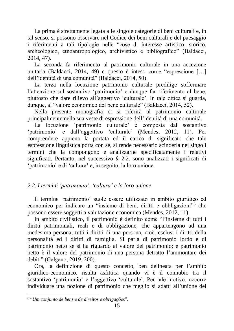La prima è strettamente legata alle singole categorie di beni culturali e, in tal senso, si possono osservare nel Codice dei beni culturali e del paesaggio i riferimenti a tali tipologie nelle "cose di interesse artistico, storico, archeologico, etnoantropologico, archivistico e bibliografico" (Baldacci, 2014, 47).

La seconda fa riferimento al patrimonio culturale in una accezione unitaria (Baldacci, 2014, 49) e questo è inteso come "espressione […] dell'identità di una comunità" (Baldacci, 2014, 50).

La terza nella locuzione patrimonio culturale predilige soffermare l'attenzione sul sostantivo ʻpatrimonio' e dunque far riferimento al bene, piuttosto che dare rilievo all'aggettivo ʻculturale'. In tale ottica si guarda, dunque, al "valore economico del bene culturale" (Baldacci, 2014, 52).

Nella presente monografia ci si riferirà al patrimonio culturale principalmente nella sua veste di espressione dell'identità di una comunità.

La locuzione ʻpatrimonio culturale' è composta dal sostantivo ʻpatrimonio' e dall'aggettivo ʻculturale' (Mendes, 2012, 11). Per comprendere appieno la portata ed il carico di significato che tale espressione linguistica porta con sé, si rende necessario scinderla nei singoli termini che la compongono e analizzarne specificatamente i relativi significati. Pertanto, nel successivo § 2.2. sono analizzati i significati di ʻpatrimonio' e di ʻcultura' e, in seguito, la loro unione.

# *2.2. I termini ʻpatrimonio', ʻcultura' e la loro unione*

Il termine ʻpatrimonio' suole essere utilizzato in ambito giuridico ed economico per indicare un "insieme di beni, diritti e obbligazioni"<sup>6</sup> che possono essere soggetti a valutazione economica (Mendes, 2012, 11).

In ambito civilistico, il patrimonio è definito come "l'insieme di tutti i diritti patrimoniali, reali e di obbligazione, che appartengono ad una medesima persona; tutti i diritti di una persona, cioè, esclusi i diritti della personalità ed i diritti di famiglia. Si parla di patrimonio lordo e di patrimonio netto se si ha riguardo al valore del patrimonio; e patrimonio netto è il valore del patrimonio di una persona detratto l'ammontare dei debiti" (Galgano, 2019, 200).

Ora, la definizione di questo concetto, ben delineata per l'ambito giuridico-economico, risulta asfittica quando vi è il connubio tra il sostantivo 'patrimonio' e l'aggettivo 'culturale'. Per tale motivo, occorre individuare una nozione di patrimonio che meglio si adatti all'unione dei

<sup>6</sup> "*Um conjunto de bens e de direitos e obrigações*".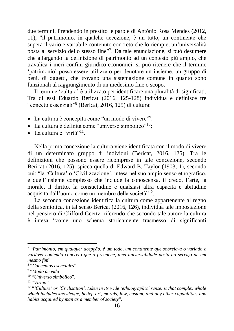due termini. Prendendo in prestito le parole di António Rosa Mendes (2012, 11), "il patrimonio, in qualche accezione, è un tutto, un continente che supera il vario e variabile contenuto concreto che lo riempie, un'universalità posta al servizio dello stesso fine"<sup>7</sup>. Da tale enunciazione, si può desumere che allargando la definizione di patrimonio ad un contesto più ampio, che travalica i meri confini giuridico-economici, si può ritenere che il termine ʻpatrimonio' possa essere utilizzato per denotare un insieme, un gruppo di beni, di oggetti, che trovano una sistemazione comune in quanto sono funzionali al raggiungimento di un medesimo fine o scopo.

Il termine ʻcultura' è utilizzato per identificare una pluralità di significati. Tra di essi Eduardo Bericat (2016, 125-128) individua e definisce tre "concetti essenziali"<sup>8</sup> (Bericat, 2016, 125) di cultura:

- La cultura è concepita come "un modo di vivere"<sup>9</sup>;
- La cultura è definita come "universo simbolico"<sup>10</sup>;
- La cultura è "virtù"<sup>11</sup>.

Nella prima concezione la cultura viene identificata con il modo di vivere di un determinato gruppo di individui (Bericat, 2016, 125). Tra le definizioni che possono essere ricomprese in tale concezione, secondo Bericat (2016, 125), spicca quella di Edward B. Taylor (1903, 1), secondo cui: "la ʻCultura' o ʻCivilizzazione', intesa nel suo ampio senso etnografico, è quell'insieme complesso che include la conoscenza, il credo, l'arte, la morale, il diritto, la consuetudine e qualsiasi altra capacità e abitudine acquisita dall'uomo come un membro della società"<sup>12</sup>.

La seconda concezione identifica la cultura come appartenente al regno della semiotica, in tal senso Bericat (2016, 126), individua tale impostazione nel pensiero di Clifford Geertz, riferendo che secondo tale autore la cultura è intesa "come uno schema storicamente trasmesso di significanti

<sup>7</sup> "*Património, em qualquer acepção, é um todo, um continente que sobreleva o variado e variável conteúdo concreto que o preenche, uma universalidade posta ao serviço de um mesmo fim*".

<sup>8</sup> "*Conceptos esenciales*".

<sup>9</sup> "*Modo de vida*".

<sup>10</sup> "*Universo simbólico*".

<sup>11</sup> "*Virtud*".

<sup>12</sup> "*ʻCulture' or ʻCivilization', taken in its wide ʻethnographic' sense, is that complex whole which includes knowledge, belief, art, morals, law, custom, and any other capabilities and habits acquired by man as a member of society*".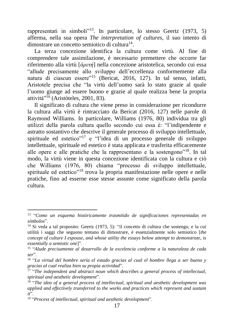rappresentati in simboli"<sup>13</sup>. In particolare, lo stesso Geertz (1973, 5) afferma, nella sua opera *The interpretation of cultures*, il suo intento di dimostrare un concetto semiotico di cultura<sup>14</sup>.

La terza concezione identifica la cultura come virtù. Al fine di comprendere tale assimilazione, è necessario premettere che occorre far riferimento alla virtù [*ἀρετή*] nella concezione aristotelica, secondo cui essa "allude precisamente allo sviluppo dell'eccellenza conformemente alla natura di ciascun essere"<sup>15</sup> (Bericat, 2016, 127). In tal senso, infatti, Aristotele precisa che "la virtù dell'uomo sarà lo stato grazie al quale l'uomo giunge ad essere buono e grazie al quale realizza bene la propria attività"<sup>16</sup> (Aristóteles, 2001, 83).

Il significato di cultura che viene preso in considerazione per ricondurre la cultura alla virtù è rintracciato da Bericat (2016, 127) nelle parole di Raymond Williams. In particolare, Williams (1976, 80) individua tra gli utilizzi della parola cultura quello secondo cui essa è: "l'indipendente e astratto sostantivo che descrive il generale processo di sviluppo intellettuale, spirituale ed estetico<sup>"17</sup> e "l'idea di un processo generale di sviluppo intellettuale, spirituale ed estetico è stata applicata e trasferita efficacemente alle opere e alle pratiche che la rappresentano e la sostengono"<sup>18</sup>. In tal modo, la virtù viene in questa concezione identificata con la cultura e ciò che Williams (1976, 80) chiama "processo di sviluppo intellettuale, spirituale ed estetico"<sup>19</sup> trova la propria manifestazione nelle opere e nelle pratiche, fino ad esserne esse stesse assunte come significato della parola cultura.

<sup>13</sup> "*Como un esquema históricamente trasmitido de significaciones representadas en símbolos*".

<sup>14</sup> Si veda a tal proposito: Geertz (1973, 5): "il concetto di cultura che sostengo, e la cui utilità i saggi che seguono tentano di dimostrare, è essenzialmente solo semiotico [*the concept of culture I espouse, and whose utility the essays below attempt to demonstrate, is essentially a semiotic one*]".

<sup>15</sup> "*Alude precisamente al desarrollo de la excelencia conforme a la naturaleza de cada ser*".

<sup>16</sup> "*La virtud del hombre sería el estado gracias al cual el hombre llega a ser bueno y gracias al cual realiza bien su propia actividad*".

<sup>&</sup>lt;sup>17</sup> "The independent and abstract noun which describes a general process of intellectual, *spiritual and aesthetic development*".

<sup>18</sup> "*The idea of a general process of intellectual, spiritual and aesthetic development was applied and effectively transferred to the works and practices which represent and sustain it*".

<sup>19</sup> "*Process of intellectual, spiritual and aesthetic development*".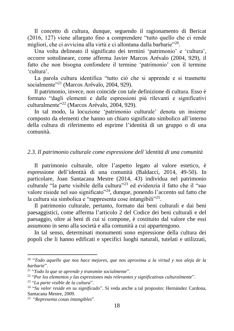Il concetto di cultura, dunque, seguendo il ragionamento di Bericat (2016, 127) viene allargato fino a comprendere "tutto quello che ci rende migliori, che ci avvicina alla virtù e ci allontana dalla barbarie"<sup>20</sup>.

Una volta delineato il significato dei termini ʻpatrimonio' e ʻcultura', occorre sottolineare, come afferma Javier Marcos Arévalo (2004, 929), il fatto che non bisogna confondere il termine ʻpatrimonio' con il termine ʻcultura'.

La parola cultura identifica "tutto ciò che si apprende e si trasmette socialmente"<sup>21</sup> (Marcos Arévalo, 2004, 929).

Il patrimonio, invece, non coincide con tale definizione di cultura. Esso è formato "dagli elementi e dalle espressioni più rilevanti e significativi culturalmente"<sup>22</sup> (Marcos Arévalo, 2004, 929).

In tal modo, la locuzione ʻpatrimonio culturale' denota un insieme composto da elementi che hanno un chiaro significato simbolico all'interno della cultura di riferimento ed esprime l'identità di un gruppo o di una comunità.

# *2.3. Il patrimonio culturale come espressione dell'identità di una comunità*

Il patrimonio culturale, oltre l'aspetto legato al valore estetico, è espressione dell'identità di una comunità (Baldacci, 2014, 49-50). In particolare, Joan Santacana Mestre (2014, 43) individua nel patrimonio culturale "la parte visibile della cultura"<sup>23</sup> ed evidenzia il fatto che il "suo valore risiede nel suo significato"<sup>24</sup>, dunque, ponendo l'accento sul fatto che la cultura sia simbolica e "rappresenta cose intangibili"<sup>25</sup>.

Il patrimonio culturale, pertanto, formato dai beni culturali e dai beni paesaggistici, come afferma l'articolo 2 del Codice dei beni culturali e del paesaggio, oltre ai beni di cui si compone, è costituito dal valore che essi assumono in seno alla società e alla comunità a cui appartengono.

In tal senso, determinati monumenti sono espressione della cultura dei popoli che li hanno edificati e specifici luoghi naturali, tutelati e utilizzati,

<sup>20</sup> "*Todo aquello que nos hace mejores, que nos aproxima a la virtud y nos aleja de la barbarie*".

<sup>21</sup> "*Todo lo que se aprende y transmite socialmente*".

<sup>22</sup> "*Por los elementos y las expresiones más relevantes y significativas culturalmente*".

<sup>23</sup> "*La parte visible de la cultura*".

<sup>24</sup> "*Su valor reside en su significado*". Si veda anche a tal proposito: Hernández Cardona, Santacana Mestre, 2009.

<sup>25</sup> "*Representa cosas intangibles*".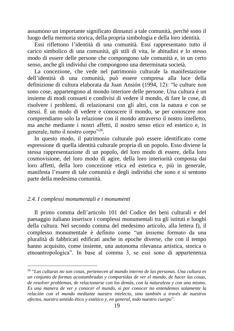assumono un importante significato dinnanzi a tale comunità, perché sono il luogo della memoria storica, della propria simbologia e della loro identità.

Essi riflettono l'identità di una comunità. Essi rappresentano tutto il carico simbolico di una comunità, gli stili di vita, le abitudini e lo stesso modo di essere delle persone che compongono tale comunità e, in un certo senso, anche gli individui che compongono una determinata società.

La concezione, che vede nel patrimonio culturale la manifestazione dell'identità di una comunità, può essere compresa alla luce della definizione di cultura elaborata da Juan Ansión (1994, 12): "le culture non sono cose, appartengono al mondo interiore delle persone. Una cultura è un insieme di modi consueti e condivisi di vedere il mondo, di fare le cose, di risolvere i problemi, di relazionarsi con gli altri, con la natura e con se stessi. È un modo di vedere e conoscere il mondo, se per conoscere non comprendiamo solo la relazione con il mondo attraverso il nostro intelletto, ma anche mediante i nostri affetti, il nostro senso etico ed estetico e, in generale, tutto il nostro corpo"<sup>26</sup>.

In questo modo, il patrimonio culturale può essere identificato come espressione di quella identità culturale propria di un popolo. Esso diviene la stessa rappresentazione di un popolo, del loro modo di essere, della loro cosmovisione, del loro modo di agire, della loro interiorità composta dai loro affetti, della loro concezione etica ed estetica e, più in generale, manifesta l'essere di tale comunità e degli individui che sono e si sentono parte della medesima comunità.

#### *2.4. I complessi monumentali e i monumenti*

Il primo comma dell'articolo 101 del Codice dei beni culturali e del paesaggio italiano inserisce i complessi monumentali tra gli istituti e luoghi della cultura. Nel secondo comma del medesimo articolo, alla lettera f), il complesso monumentale è definito come "un insieme formato da una pluralità di fabbricati edificati anche in epoche diverse, che con il tempo hanno acquisito, come insieme, una autonoma rilevanza artistica, storica o etnoantropologica". In base al comma 3, se essi sono di appartenenza

<sup>26</sup> "*Las culturas no son cosas, pertenecen al mundo interno de las personas. Una cultura es un conjunto de formas acostumbradas y compartidas de ver el mundo, de hacer las cosas, de resolver problemas, de relacionarse con los demás, con la naturaleza y con uno mismo. Es una manera de ver y conocer el mundo, si por conocer no entendemos solamente la relación con el mundo mediante nuestro intelecto, sino también a través de nuestros afectos, nuestro sentido ético y estético y, en general, todo nuestro cuerpo*".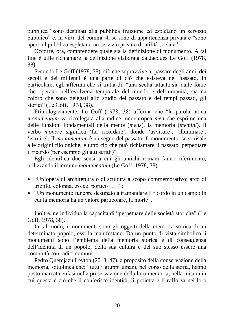pubblica "sono destinati alla pubblica fruizione ed espletano un servizio pubblico" e, in virtù del comma 4, se sono di appartenenza privata e "sono aperti al pubblico espletano un servizio privato di utilità sociale".

Occorre, ora, comprendere quale sia la definizione di monumento. A tal fine è utile richiamare la definizione elaborata da Jacques Le Goff (1978, 38).

Secondo Le Goff (1978, 38), ciò che sopravvive al passare degli anni, dei secoli e dei millenni è una parte di ciò che esisteva nel passato. In particolare, egli afferma che si tratta di: "una scelta attuata sia dalle forze che operano nell'evolversi temporale del mondo e dell'umanità, sia da coloro che sono delegati allo studio del passato e dei tempi passati, gli storici" (Le Goff, 1978, 38).

Etimologicamente, Le Goff (1978, 38) afferma che "la parola latina *monumentum* va ricollegata alla radice indoeuropea *men* che esprime una delle funzioni fondamentali della mente (*mens*), la memoria (*memini*). Il verbo *monere* significa 'far ricordare', donde 'avvisare', 'illuminare', 'istruire'. Il *monumentum* è un segno del passato. Il monumento, se si risale alle origini filologiche, è tutto ciò che può richiamare il passato, perpetuare il ricordo (per esempio gli atti scritti)".

Egli identifica due sensi a cui gli antichi romani fanno riferimento, utilizzando il termine *monumentum* (Le Goff, 1978, 38):

- "Un'opera di architettura o di scultura a scopo commemorativo: arco di trionfo, colonna, trofeo, portico […]";
- "Un monumento funebre destinato a tramandare il ricordo in un campo in cui la memoria ha un valore particolare, la morte".

Inoltre, ne individua la capacità di "perpetuare delle società storiche" (Le Goff, 1978, 38).

In tal modo, i monumenti sono gli oggetti della memoria storica di un determinato popolo, essi la manifestano. Da un punto di vista simbolico, i monumenti sono l'emblema della memoria storica e di conseguenza dell'identità di un popolo, della sua cultura e del suo stesso essere una comunità con radici comuni.

Pedro Querejazu Leyton (2013, 47), a proposito della conservazione della memoria, sottolinea che: "tutti i gruppi umani, nel corso della storia, hanno posto marcata enfasi nella preservazione della loro memoria, nella misura in cui questa è ciò che li conferisce identità, li proietta e li rafforza nel loro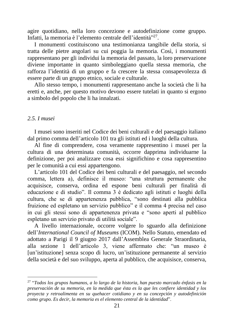agire quotidiano, nella loro concezione e autodefinizione come gruppo. Infatti, la memoria è l'elemento centrale dell'identità"<sup>27</sup>.

I monumenti costituiscono una testimonianza tangibile della storia, si tratta delle pietre angolari su cui poggia la memoria. Così, i monumenti rappresentano per gli individui la memoria del passato, la loro preservazione diviene importante in quanto simboleggiano quella stessa memoria, che rafforza l'identità di un gruppo e fa crescere la stessa consapevolezza di essere parte di un gruppo etnico, sociale e culturale.

Allo stesso tempo, i monumenti rappresentano anche la società che li ha eretti e, anche, per questo motivo devono essere tutelati in quanto si ergono a simbolo del popolo che li ha innalzati.

#### *2.5. I musei*

I musei sono inseriti nel Codice dei beni culturali e del paesaggio italiano dal primo comma dell'articolo 101 tra gli istituti ed i luoghi della cultura.

Al fine di comprendere, cosa veramente rappresentino i musei per la cultura di una determinata comunità, occorre dapprima individuarne la definizione, per poi analizzare cosa essi significhino e cosa rappresentino per le comunità a cui essi appartengono.

L'articolo 101 del Codice dei beni culturali e del paesaggio, nel secondo comma, lettera a), definisce il museo: "una struttura permanente che acquisisce, conserva, ordina ed espone beni culturali per finalità di educazione e di studio". Il comma 3 è dedicato agli istituti e luoghi della cultura, che se di appartenenza pubblica, "sono destinati alla pubblica fruizione ed espletano un servizio pubblico" e il comma 4 precisa nel caso in cui gli stessi sono di appartenenza privata e "sono aperti al pubblico espletano un servizio privato di utilità sociale".

A livello internazionale, occorre volgere lo sguardo alla definizione dell'*International Council of Museums* (ICOM). Nello Statuto, emendato ed adottato a Parigi il 9 giugno 2017 dall'Assemblea Generale Straordinaria, alla sezione 1 dell'articolo 3, viene affermato che: "un museo è [un'istituzione] senza scopo di lucro, un'istituzione permanente al servizio della società e del suo sviluppo, aperta al pubblico, che acquisisce, conserva,

<sup>27</sup> "*Todos los grupos humanos, a lo largo de la historia, han puesto marcado énfasis en la preservación de su memoria, en la medida que ésta es la que les confiere identidad y los proyecta y retroalimenta en su quehacer cotidiano y en su concepción y autodefinición como grupo. Es decir, la memoria es el elemento central de la identidad*".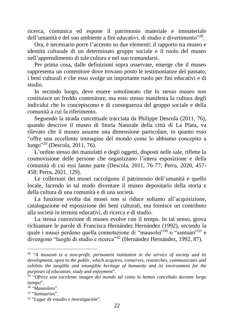ricerca, comunica ed espone il patrimonio materiale e immateriale dell'umanità e del suo ambiente a fini educativi, di studio e divertimento"<sup>28</sup>.

Ora, è necessario porre l'accento su due elementi: il rapporto tra museo e identità culturale di un determinato gruppo sociale e il ruolo del museo nell'apprendimento di tale cultura e nel suo tramandarsi.

Per prima cosa, dalle definizioni sopra osservate, emerge che il museo rappresenta un contenitore dove trovano posto le testimonianze del passato, i beni culturali e che esso svolge un importante ruolo per fini educativi e di studio.

In secondo luogo, deve essere sottolineato che lo stesso museo non costituisce un freddo contenitore, ma esso stesso manifesta la cultura degli individui che lo concepiscono e di conseguenza del gruppo sociale e della comunità a cui fa riferimento.

Seguendo la strada concettuale tracciata da Philippe Descola (2011, 76), quando descrive il museo di Storia Naturale della città di La Plata, va rilevato che il museo assume una dimensione particolare, in quanto esso "offre una eccellente immagine del mondo come lo abbiamo concepito a lungo" <sup>29</sup> (Descola, 2011, 76).

L'ordine stesso dei manufatti e degli oggetti, disposti nelle sale, riflette la cosmovisione delle persone che organizzano l'intera esposizione e della comunità di cui essi fanno parte (Descola, 2011, 76-77; Perra, 2020, 457- 458; Perra, 2021, 129).

Le collezioni dei musei raccolgono il patrimonio dell'umanità e quello locale, facendo in tal modo diventare il museo depositario della storia e della cultura di una comunità e di una società.

La funzione svolta dai musei non si riduce soltanto all'acquisizione, catalogazione ed esposizione dei beni culturali, ma fornisce un contributo alla società in termini educativi, di ricerca e di studio.

La stessa concezione di museo evolve con il tempo. In tal senso, giova richiamare le parole di Francisca Hernández Hernández (1992), secondo la quale i musei perdono quella connotazione di "mausolei"<sup>30</sup> o "santuari"<sup>31</sup> e divengono "luoghi di studio e ricerca"<sup>32</sup> (Hernández Hernández, 1992, 87).

<sup>28</sup> "*A museum is a non-profit, permanent institution in the service of society and its development, open to the public, which acquires, conserves, researches, communicates and exhibits the tangible and intangible heritage of humanity and its environment for the purposes of education, study and enjoyment*".

<sup>29</sup> "*Ofrece una excelente imagen del mundo tal como lo hemos concebido durante largo tiempo*".

<sup>30</sup> "*Mausoleos*".

<sup>31</sup> "*Santuarios*".

<sup>32</sup> "*Lugar de estudio e investigación*".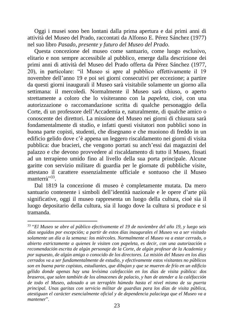Oggi i musei sono ben lontani dalla prima apertura e dai primi anni di attività del Museo del Prado, raccontati da Alfonso E. Pérez Sánchez (1977) nel suo libro *Pasado, presente y futuro del Museo del Prado*.

Questa concezione del museo come santuario, come luogo esclusivo, elitario e non sempre accessibile al pubblico, emerge dalla descrizione dei primi anni di attività del Museo del Prado offerta da Pérez Sánchez (1977, 20), in particolare: "il Museo si apre al pubblico effettivamente il 19 novembre dell'anno 19 e poi sei giorni consecutivi per eccezione; a partire da questi giorni inaugurali il Museo sarà visitabile solamente un giorno alla settimana: il mercoledì. Normalmente il Museo sarà chiuso, o aperto strettamente a coloro che lo visiteranno con la *papeleta*, cioè, con una autorizzazione o raccomandazione scritta di qualche personaggio della Corte, di un professore dell'Accademia e, naturalmente, di qualche amico o conoscente dei direttori. La missione del Museo nei giorni di chiusura sarà fondamentalmente di studio, e infatti questi visitatori non pubblici sono in buona parte copisti, studenti, che disegnano e che muoiono di freddo in un edificio gelido dove c'è appena un leggero riscaldamento nei giorni di visita pubblica: due bracieri, che vengono portati su anch'essi dai magazzini del palazzo e che devono provvedere al riscaldamento di tutto il Museo, fissati ad un terrapieno umido fino al livello della sua porta principale. Alcune garitte con servizio militare di guardia per le giornate di pubbliche visite, attestano il carattere essenzialmente ufficiale e sontuoso che il Museo manterrà<sup>"33</sup>.

Dal 1819 la concezione di museo è completamente mutata. Da mero santuario contenente i simboli dell'identità nazionale e le opere d'arte più significative, oggi il museo rappresenta un luogo della cultura, cioè sia il luogo depositario della cultura, sia il luogo dove la cultura si produce e si tramanda.

<sup>33</sup> "*El Museo se abre al público efectivamente el 19 de noviembre del año 19, y luego seis días seguidos por excepción; a partir de estos días inaugurales el Museo va a ser visitado solamente un día a la semana: los miércoles. Normalmente el Museo va a estar cerrado, o abierto estrictamente a quienes le visiten con papeleta, es decir, con una autorización o recomendación escrita de algún personaje de la Corte, de algún profesor de la Academia y por supuesto, de algún amigo o conocido de los directores. La misión del Museo en los días cerrados va a ser fundamentalmente de estudio, y efectivamente estos visitantes no públicos son en buena parte copistas, estudiantes, que dibujan y que se mueren de frío en un edificio gélido donde apenas hay una levísima calefacción en los días de visita pública: dos braseros, que salen también de los almacenes de palacio, y han de atender a la caléfacción de todo el Museo, adosado a un terraplén húmedo hasta el nivel mismo de su puerta principal. Unas garitas con servicio militar de guardias para los días de visita pública, atestiguan el carácter esencialmente oficial y de dependencia palaciega que el Museo va a mantener*".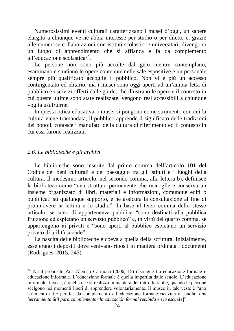Numerosissimi eventi culturali caratterizzano i musei d'oggi, un sapere elargito a chiunque ve ne abbia interesse per studio o per diletto e, grazie alle numerose collaborazioni con istituti scolastici e universitari, divengono un luogo di apprendimento che si affianca e fa da complemento all'educazione scolastica<sup>34</sup>.

Le persone non sono più accolte dal gelo mentre contemplano, esaminano e studiano le opere contenute nelle sale espositive e un personale sempre più qualificato accoglie il pubblico. Non vi è più un accesso contingentato ed elitario, ma i musei sono oggi aperti ad un'ampia fetta di pubblico e i servizi offerti dalle guide, che illustrano le opere e il contesto in cui queste ultime sono state realizzate, vengono resi accessibili a chiunque voglia usufruirne.

In questa ottica educativa, i musei si pongono come strumento con cui la cultura viene tramandata, il pubblico apprende il significato delle tradizioni dei popoli, conosce i manufatti della cultura di riferimento ed il contesto in cui essi furono realizzati.

#### *2.6. Le biblioteche e gli archivi*

Le biblioteche sono inserite dal primo comma dell'articolo 101 del Codice dei beni culturali e del paesaggio tra gli istituti e i luoghi della cultura. Il medesimo articolo, nel secondo comma, alla lettera b), definisce la biblioteca come "una struttura permanente che raccoglie e conserva un insieme organizzato di libri, materiali e informazioni, comunque editi o pubblicati su qualunque supporto, e ne assicura la consultazione al fine di promuovere la lettura e lo studio". In base al terzo comma dello stesso articolo, se sono di appartenenza pubblica "sono destinati alla pubblica fruizione ed espletano un servizio pubblico" e, in virtù del quarto comma, se appartengono ai privati e "sono aperti al pubblico espletano un servizio privato di utilità sociale".

La nascita delle biblioteche è coeva a quella della scrittura. Inizialmente, esse erano i depositi dove venivano riposti in maniera ordinata i documenti (Rodrigues, 2015, 243).

<sup>34</sup> A tal proposito Ana Alemán Carmona (2006, 15) distingue tra educazione formale e educazione informale. L'educazione formale è quella impartita dalle scuole. L'educazione informale, invece, è quella che si realizza in maniera del tutto flessibile, quando le persone scelgono nei momenti liberi di apprendere volontariamente. Il museo in tale veste è "uno strumento utile per far da complemento all'educazione formale ricevuta a scuola [*una herramienta útil para complementar la educación formal recibida en la escuel*a]".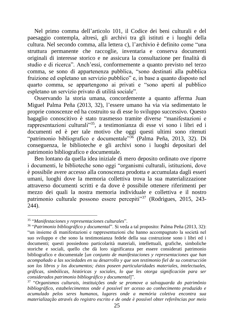Nel primo comma dell'articolo 101, il Codice dei beni culturali e del paesaggio contempla, altresì, gli archivi tra gli istituti e i luoghi della cultura. Nel secondo comma, alla lettera c), l'archivio è definito come "una struttura permanente che raccoglie, inventaria e conserva documenti originali di interesse storico e ne assicura la consultazione per finalità di studio e di ricerca". Anch'essi, conformemente a quanto previsto nel terzo comma, se sono di appartenenza pubblica, "sono destinati alla pubblica fruizione ed espletano un servizio pubblico" e, in base a quanto disposto nel quarto comma, se appartengono ai privati e "sono aperti al pubblico espletano un servizio privato di utilità sociale".

Osservando la storia umana, concordemente a quanto afferma Juan Miguel Palma Peña (2013, 32), l'essere umano ha via via sedimentato le proprie conoscenze ed ha costruito su di esse lo sviluppo successivo. Questo bagaglio conoscitivo è stato trasmesso tramite diverse "manifestazioni e rappresentazioni culturali"<sup>35</sup>, a testimonianza di esse vi sono i libri ed i documenti ed è per tale motivo che oggi questi ultimi sono ritenuti "patrimonio bibliografico e documentale"<sup>36</sup> (Palma Peña, 2013, 32). Di conseguenza, le biblioteche e gli archivi sono i luoghi depositari del patrimonio bibliografico e documentale.

Ben lontano da quella idea iniziale di mero deposito ordinato ove riporre i documenti, le biblioteche sono oggi "organismi culturali, istituzioni, dove è possibile avere accesso alla conoscenza prodotta e accumulata dagli esseri umani, luoghi dove la memoria collettiva trova la sua materializzazione attraverso documenti scritti e da dove è possibile ottenere riferimenti per mezzo dei quali la nostra memoria individuale e collettiva e il nostro patrimonio culturale possono essere percepiti<sup>37</sup> (Rodrigues, 2015, 243-244).

<sup>35</sup> "*Manifestaciones y representaciones culturales*".

<sup>36</sup> "*Patrimonio bibliográfico y documental*". Si veda a tal proposito: Palma Peña (2013, 32): "un insieme di manifestazioni e rappresentazioni che hanno accompagnato la società nel suo sviluppo e che sono la testimonianza fedele della sua costruzione sono i libri ed i documenti; questi possiedono particolarità materiali, intellettuali, grafiche, simboliche storiche e sociali, quello che dà loro significanza per essere considerati patrimonio bibliografico e documentale [*un conjunto de manifestaciones y representaciones que han acompañado a las sociedades en su desarrollo y que son testimonio fiel de su construcción son los libros y los documentos; éstos poseen particularidades materiales, intelectuales, gráficas, simbólicas, históricas y sociales, lo que les otorga significación para ser considerados patrimonio bibliográfico y documental*]".

<sup>37</sup> "*Organismos culturais, instituições onde se promove a salvaguarda do patrimônio bibliográfico, estabelecimentos onde é possível ter acesso ao conhecimento produzido e acumulado pelos seres humanos, lugares onde a memória coletiva encontra sua materialização através do registro escrito e de onde è possível obter referências por meio*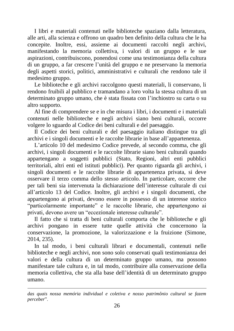I libri e materiali contenuti nelle biblioteche spaziano dalla letteratura, alle arti, alla scienza e offrono un quadro ben definito della cultura che le ha concepite. Inoltre, essi, assieme ai documenti raccolti negli archivi, manifestando la memoria collettiva, i valori di un gruppo e le sue aspirazioni, contribuiscono, ponendosi come una testimonianza della cultura di un gruppo, a far crescere l'unità del gruppo e ne preservano la memoria degli aspetti storici, politici, amministrativi e culturali che rendono tale il medesimo gruppo.

Le biblioteche e gli archivi raccolgono questi materiali, li conservano, li rendono fruibili al pubblico e tramandano a loro volta la stessa cultura di un determinato gruppo umano, che è stata fissata con l'inchiostro su carta o su altro supporto.

Al fine di comprendere se e in che misura i libri, i documenti e i materiali contenuti nelle biblioteche e negli archivi siano beni culturali, occorre volgere lo sguardo al Codice dei beni culturali e del paesaggio.

Il Codice dei beni culturali e del paesaggio italiano distingue tra gli archivi e i singoli documenti e le raccolte librarie in base all'appartenenza.

L'articolo 10 del medesimo Codice prevede, al secondo comma, che gli archivi, i singoli documenti e le raccolte librarie siano beni culturali quando appartengano a soggetti pubblici (Stato, Regioni, altri enti pubblici territoriali, altri enti ed istituti pubblici). Per quanto riguarda gli archivi, i singoli documenti e le raccolte librarie di appartenenza privata, si deve osservare il terzo comma dello stesso articolo. In particolare, occorre che per tali beni sia intervenuta la dichiarazione dell'interesse culturale di cui all'articolo 13 del Codice. Inoltre, gli archivi e i singoli documenti, che appartengono ai privati, devono essere in possesso di un interesse storico "particolarmente importante" e le raccolte librarie, che appartengono ai privati, devono avere un "eccezionale interesse culturale".

Il fatto che si tratta di beni culturali comporta che le biblioteche e gli archivi pongano in essere tutte quelle attività che concernono la conservazione, la promozione, la valorizzazione e la fruizione (Simone, 2014, 235).

In tal modo, i beni culturali librari e documentali, contenuti nelle biblioteche e negli archivi, non sono solo conservati quali testimonianza dei valori e della cultura di un determinato gruppo umano, ma possono manifestare tale cultura e, in tal modo, contribuire alla conservazione della memoria collettiva, che sta alla base dell'identità di un determinato gruppo umano.

*das quais nossa memória individual e coletiva e nosso patrimônio cultural se fazem perceber*".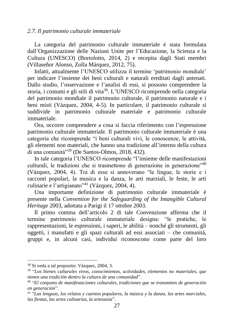#### *2.7. Il patrimonio culturale immateriale*

La categoria del patrimonio culturale immateriale è stata formulata dall'Organizzazione delle Nazioni Unite per l'Educazione, la Scienza e la Cultura (UNESCO) (Bortolotto, 2014, 2) e recepita dagli Stati membri (Villaseñor Alonso, Zolla Márquez, 2012, 75).

Infatti, attualmente l'UNESCO utilizza il termine ʻpatrimonio mondiale' per indicare l'insieme dei beni culturali e naturali ereditati dagli antenati. Dallo studio, l'osservazione e l'analisi di essi, si possono comprendere la storia, i costumi e gli stili di vita<sup>38</sup>. L'UNESCO ricomprende nella categoria del patrimonio mondiale il patrimonio culturale, il patrimonio naturale e i beni misti (Vázquez, 2004, 4-5). In particolare, il patrimonio culturale si suddivide in patrimonio culturale materiale e patrimonio culturale immateriale.

Ora, occorre comprendere a cosa si faccia riferimento con l'espressione patrimonio culturale immateriale. Il patrimonio culturale immateriale è una categoria che ricomprende "i beni culturali vivi, le conoscenze, le attività, gli elementi non materiali, che hanno una tradizione all'interno della cultura di una comunità $^{339}$  (De Santos-Olmos, 2018, 432).

In tale categoria l'UNESCO ricomprende "l'insieme delle manifestazioni culturali, le tradizioni che si trasmettono di generazione in generazione"<sup>40</sup> (Vázquez, 2004, 4). Tra di esse si annoverano "le lingue, le storie e i racconti popolari, la musica e la danza, le arti marziali, le feste, le arti culinarie e l'artigianato"<sup>41</sup> (Vázquez, 2004, 4).

Una importante definizione di patrimonio culturale immateriale è presente nella *Convention for the Safeguarding of the Intangible Cultural Heritage* 2003, adottata a Parigi il 17 ottobre 2003.

Il primo comma dell'articolo 2 di tale Convenzione afferma che il termine patrimonio culturale immateriale designa: "le pratiche, le rappresentazioni, le espressioni, i saperi, le abilità – nonché gli strumenti, gli oggetti, i manufatti e gli spazi culturali ad essi associati – che comunità, gruppi e, in alcuni casi, individui riconoscono come parte del loro

<sup>38</sup> Si veda a tal proposito: Vázquez, 2004, 3.

<sup>39</sup> "*Los bienes culturales vivos, conocimientos, actividades, elementos no materiales, que tienen una tradición dentro la cultura de una comunidad*".

<sup>40</sup> "*El conjunto de manifestaciones culturales, tradiciones que se transmiten de generación en generación*".

<sup>41</sup> "*Las lenguas, los relatos y cuentos populares, la música y la danza, las artes marciales, las fiestas, las artes culinarias, la artesanía*".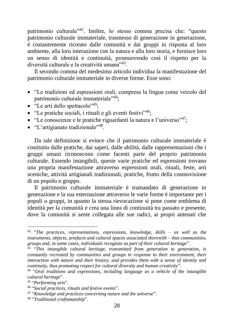patrimonio culturale"<sup>42</sup>. Inoltre, lo stesso comma precisa che: "questo patrimonio culturale immateriale, trasmesso di generazione in generazione, è costantemente ricreato dalle comunità e dai gruppi in risposta al loro ambiente, alla loro interazione con la natura e alla loro storia, e fornisce loro un senso di identità e continuità, promuovendo così il rispetto per la diversità culturale e la creatività umana"<sup>43</sup>.

Il secondo comma del medesimo articolo individua la manifestazione del patrimonio culturale immateriale in diverse forme. Esse sono:

- "Le tradizioni ed espressioni orali, compresa la lingua come veicolo del patrimonio culturale immateriale"<sup>44</sup>;
- "Le arti dello spettacolo" $45$ ;
- "Le pratiche sociali, i rituali e gli eventi festivi"<sup>46</sup>;
- "Le conoscenze e le pratiche riguardanti la natura e l'universo"<sup>47</sup>;
- "L'artigianato tradizionale"<sup>48</sup>.

Da tale definizione si evince che il patrimonio culturale immateriale è costituito dalle pratiche, dai saperi, dalle abilità, dalle rappresentazioni che i gruppi umani riconoscono come facenti parte del proprio patrimonio culturale. Essendo intangibili, queste varie pratiche ed espressioni trovano una propria manifestazione attraverso espressioni orali, rituali, feste, arti sceniche, attività artigianali tradizionali, pratiche, frutto della cosmovisione di un popolo o gruppo.

Il patrimonio culturale immateriale è tramandato di generazione in generazione e la sua esternazione attraverso le varie forme è importante per i popoli o gruppi, in quanto la stessa rievocazione si pone come emblema di identità per la comunità e crea una linea di continuità tra passato e presente, dove la comunità si sente collegata alle sue radici, ai propri antenati che

<sup>42</sup> "*The practices, representations, expressions, knowledge, skills – as well as the instruments, objects, artefacts and cultural spaces associated therewith – that communities, groups and, in some cases, individuals recognize as part of their cultural heritage*".

<sup>43</sup> "*This intangible cultural heritage, transmitted from generation to generation, is constantly recreated by communities and groups in response to their environment, their interaction with nature and their history, and provides them with a sense of identity and continuity, thus promoting respect for cultural diversity and human creativity*".

<sup>44</sup> "*Oral traditions and expressions, including language as a vehicle of the intangible cultural heritage*".

<sup>45</sup> "*Performing arts*".

<sup>46</sup> "*Social practices, rituals and festive events*".

<sup>47</sup> "*Knowledge and practices concerning nature and the universe*".

<sup>48</sup> "*Traditional craftsmanship*".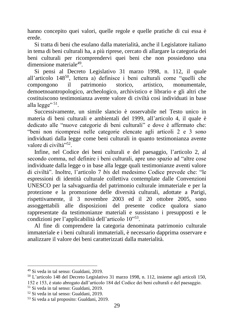hanno concepito quei valori, quelle regole e quelle pratiche di cui essa è erede.

Si tratta di beni che esulano dalla materialità, anche il Legislatore italiano in tema di beni culturali ha, a più riprese, cercato di allargare la categoria dei beni culturali per ricomprendervi quei beni che non possiedono una dimensione materiale<sup>49</sup>.

Si pensi al Decreto Legislativo 31 marzo 1998, n. 112, il quale all'articolo 148<sup>50</sup>, lettera a) definisce i beni culturali come "quelli che compongono il patrimonio storico, artistico, monumentale, demoetnoantropologico, archeologico, archivistico e librario e gli altri che costituiscono testimonianza avente valore di civiltà così individuati in base alla legge"<sup>51</sup>.

Successivamente, un simile slancio è osservabile nel Testo unico in materia di beni culturali e ambientali del 1999, all'articolo 4, il quale è dedicato alle "nuove categorie di beni culturali" e dove è affermato che: "beni non ricompresi nelle categorie elencate agli articoli 2 e 3 sono individuati dalla legge come beni culturali in quanto testimonianza avente valore di civiltà"<sup>52</sup>.

Infine, nel Codice dei beni culturali e del paesaggio, l'articolo 2, al secondo comma, nel definire i beni culturali, apre uno spazio ad "altre cose individuate dalla legge o in base alla legge quali testimonianze aventi valore di civiltà". Inoltre, l'articolo 7 *bis* del medesimo Codice prevede che: "le espressioni di identità culturale collettiva contemplate dalle Convenzioni UNESCO per la salvaguardia del patrimonio culturale immateriale e per la protezione e la promozione delle diversità culturali, adottate a Parigi, rispettivamente, il 3 novembre 2003 ed il 20 ottobre 2005, sono assoggettabili alle disposizioni del presente codice qualora siano rappresentate da testimonianze materiali e sussistano i presupposti e le condizioni per l'applicabilità dell'articolo 10"<sup>53</sup>.

Al fine di comprendere la categoria denominata patrimonio culturale immateriale e i beni culturali immateriali, è necessario dapprima osservare e analizzare il valore dei beni caratterizzati dalla materialità.

<sup>50</sup> L'articolo 148 del Decreto Legislativo 31 marzo 1998, n. 112, insieme agli articoli 150,

<sup>49</sup> Si veda in tal senso: Gualdani, 2019.

<sup>152</sup> e 153, è stato abrogato dall'articolo 184 del Codice dei beni culturali e del paesaggio.

<sup>51</sup> Si veda in tal senso: Gualdani, 2019.

<sup>52</sup> Si veda in tal senso: Gualdani, 2019.

<sup>53</sup> Si veda a tal proposito: Gualdani, 2019.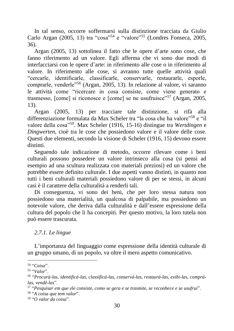In tal senso, occorre soffermarsi sulla distinzione tracciata da Giulio Carlo Argan (2005, 13) tra "cosa"<sup>54</sup> e "valore"<sup>55</sup> (Londres Fonseca, 2005, 36).

Argan (2005, 13) sottolinea il fatto che le opere d'arte sono cose, che fanno riferimento ad un valore. Egli afferma che vi sono due modi di interfacciarsi con le opere d'arte: in riferimento alle cose o in riferimento al valore. In riferimento alle cose, si avranno tutte quelle attività quali "cercarle, identificarle, classificarle, conservarle, restaurarle, esporle, comprarle, venderle"<sup>56</sup> (Argan, 2005, 13). In relazione al valore, vi saranno le attività come "ricercare in cosa consiste, come viene generato e trasmesso, [come] si riconosce e [come] se ne usufruisce"<sup>57</sup> (Argan, 2005, 13).

Argan (2005, 13) per tracciare tale distinzione, si rifà alla differenziazione formulata da Max Scheler tra "la cosa che ha valore"<sup>58</sup> e "il valore della cosa"<sup>59</sup>. Max Scheler (1916, 15-16) distingue tra *Wertdingen* e *Dingwerten*, cioè tra le cose che possiedono valore e il valore delle cose. Questi due elementi, secondo la visione di Scheler (1916, 15) devono essere distinti.

Seguendo tale indicazione di metodo, occorre rilevare come i beni culturali possono possedere un valore intrinseco alla cosa (si pensi ad esempio ad una scultura realizzata con materiali preziosi) ed un valore che potrebbe essere definito culturale. I due aspetti vanno distinti, in quanto non tutti i beni culturali materiali possiedono valore di per se stessi, in alcuni casi è il carattere della culturalità a renderli tali.

Di conseguenza, vi sono dei beni, che per loro stessa natura non possiedono una materialità, un qualcosa di palpabile, ma possiedono un notevole valore, che deriva dalla culturalità e dall'essere espressione della cultura del popolo che li ha concepiti. Per questo motivo, la loro tutela non può essere trascurata.

# *2.7.1. Le lingue*

L'importanza del linguaggio come espressione della identità culturale di un gruppo umano, di un popolo, va oltre il mero aspetto comunicativo.

<sup>54</sup> "*Coisa*".

<sup>55</sup> "*Valor*".

<sup>56</sup> "*Procurá-las, identificá-las, classificá-las, conservá-las, restaurá-las, exibi-las, comprálas, vendê-las*".

<sup>57</sup> "*Pesquisar em que ele consiste, como se gera e se trasmite, se reconhece e se usufrui*". 58 "*A coisa que tem valor*".

<sup>59</sup> "*O valor da coisa*".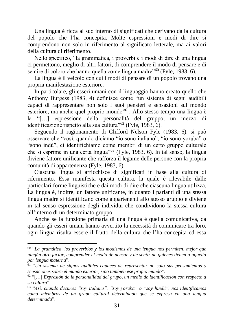Una lingua è ricca al suo interno di significati che derivano dalla cultura del popolo che l'ha concepita. Molte espressioni e modi di dire si comprendono non solo in riferimento al significato letterale, ma ai valori della cultura di riferimento.

Nello specifico, "la grammatica, i proverbi e i modi di dire di una lingua ci permettono, meglio di altri fattori, di comprendere il modo di pensare e di sentire di coloro che hanno quella come lingua madre<sup>"60</sup> (Fyle, 1983, 6).

La lingua è il veicolo con cui i modi di pensare di un popolo trovano una propria manifestazione esteriore.

In particolare, gli esseri umani con il linguaggio hanno creato quello che Anthony Burgess (1983, 4) definisce come "un sistema di segni audibili capaci di rappresentare non solo i suoi pensieri e sensazioni sul mondo esteriore, ma anche quel proprio mondo"<sup>61</sup>. Allo stesso tempo una lingua è la "[…] espressione della personalità del gruppo, un mezzo di identificazione rispetto alla sua cultura"<sup>62</sup> (Fyle, 1983, 6).

Seguendo il ragionamento di Clifford Nelson Fyle (1983, 6), si può osservare che "così, quando diciamo "io sono italiano", "io sono yoruba" o "sono indù", ci identifichiamo come membri di un certo gruppo culturale che si esprime in una certa lingua"<sup>63</sup> (Fyle, 1983, 6). In tal senso, la lingua diviene fattore unificante che rafforza il legame delle persone con la propria comunità di appartenenza (Fyle, 1983, 6).

Ciascuna lingua si arricchisce di significati in base alla cultura di riferimento. Essa manifesta questa cultura, la quale è rilevabile dalle particolari forme linguistiche e dai modi di dire che ciascuna lingua utilizza. La lingua è, inoltre, un fattore unificante, in quanto i parlanti di una stessa lingua madre si identificano come appartenenti allo stesso gruppo e diviene in tal senso espressione degli individui che condividono la stessa cultura all'interno di un determinato gruppo.

Anche se la funzione primaria di una lingua è quella comunicativa, da quando gli esseri umani hanno avvertito la necessità di comunicare tra loro, ogni lingua risulta essere il frutto della cultura che l'ha concepita ed essa

<sup>60</sup> "*La gramática, los proverbios y los modismos de una lengua nos permiten, mejor que ningún otro factor, comprender el modo de pensar y de sentir de quienes tienen a aquella por lengua materna*".

<sup>61</sup> "*Un sistema de signos audibles capaces de representar no sólo sus pensamientos y sensaciones sobre el mundo exterior, sino también ese propio mundo*".

<sup>62</sup> "[…] *Expresión de la personalidad del grupo, un medio de identificación con respecto a su cultura*".

<sup>63</sup> "*Así, cuando decimos "soy italiano", "soy yoruba" o "soy hindú", nos identificamos como miembros de un grupo cultural determinado que se expresa en una lengua determinada*".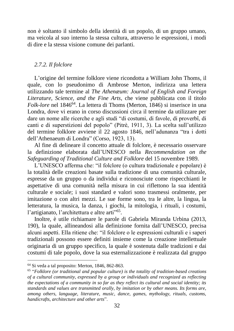non è soltanto il simbolo della identità di un popolo, di un gruppo umano, ma veicola al suo interno la stessa cultura, attraverso le espressioni, i modi di dire e la stessa visione comune dei parlanti.

#### *2.7.2. Il folclore*

L'origine del termine folklore viene ricondotta a William John Thoms, il quale, con lo pseudonimo di Ambrose Merton, indirizza una lettera utilizzando tale termine al *The Athenæum: Journal of English and Foreign Literature, Science, and the Fine Arts*, che viene pubblicata con il titolo *Folk-lore* nel 1846<sup>64</sup>. La lettera di Thoms (Merton, 1846) si inserisce in una Londra, dove vi erano in corso discussioni circa il termine da utilizzare per dare un nome alle ricerche e agli studi "di costumi, di favole, di proverbî, di canti e di superstizioni del popolo" (Pitrè, 1911, 3). La scelta sull'utilizzo del termine folklore avviene il 22 agosto 1846, nell'adunanza "tra i dotti dell'Athenaeum di Londra" (Corso, 1923, 13).

Al fine di delineare il concetto attuale di folclore, è necessario osservare la definizione elaborata dall'UNESCO nella *Recommendation on the Safeguarding of Traditional Culture and Folklore* del 15 novembre 1989.

L'UNESCO afferma che: "il folclore (o cultura tradizionale e popolare) è la totalità delle creazioni basate sulla tradizione di una comunità culturale, espresse da un gruppo o da individui e riconosciute come rispecchianti le aspettative di una comunità nella misura in cui riflettono la sua identità culturale e sociale; i suoi standard e valori sono trasmessi oralmente, per imitazione o con altri mezzi. Le sue forme sono, tra le altre, la lingua, la letteratura, la musica, la danza, i giochi, la mitologia, i rituali, i costumi, l'artigianato, l'architettura e altre arti"<sup>65</sup>.

Inoltre, è utile richiamare le parole di Gabriela Miranda Urbina (2013, 190), la quale, allineandosi alla definizione fornita dall'UNESCO, precisa alcuni aspetti. Ella ritiene che: "il folclore o le espressioni culturali e i saperi tradizionali possono essere definiti insieme come la creazione intellettuale originaria di un gruppo specifico, la quale è sostenuta dalle tradizioni e dai costumi di tale popolo, dove la sua esternalizzazione è realizzata dal gruppo

<sup>64</sup> Si veda a tal proposito: Merton, 1846, 862-863.

<sup>65</sup> "*Folklore (or traditional and popular culture) is the totality of tradition-based creations of a cultural community, expressed by a group or individuals and recognized as reflecting the expectations of a community in so far as they reflect its cultural and social identity; its standards and values are transmitted orally, by imitation or by other means. Its forms are, among others, language, literature, music, dance, games, mythology, rituals, customs, handicrafts, architecture and other arts*".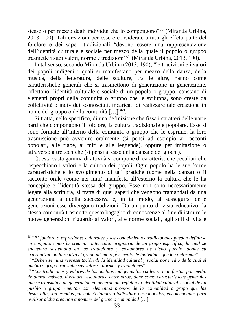stesso o per mezzo degli individui che lo compongono"<sup>66</sup> (Miranda Urbina, 2013, 190). Tali creazioni per essere considerate a tutti gli effetti parte del folclore e dei saperi tradizionali "devono essere una rappresentazione dell'identità culturale e sociale per mezzo della quale il popolo o gruppo trasmette i suoi valori, norme e tradizioni"<sup>67</sup> (Miranda Urbina, 2013, 190).

In tal senso, secondo Miranda Urbina (2013, 190), "le tradizioni e i valori dei popoli indigeni i quali si manifestano per mezzo della danza, della musica, della letteratura, delle sculture, tra le altre, hanno come caratteristiche generali che si trasmettono di generazione in generazione, riflettono l'identità culturale e sociale di un popolo o gruppo, constano di elementi propri della comunità o gruppo che le sviluppa, sono create da collettività o individui sconosciuti, incaricati di realizzare tale creazione in nome del gruppo o della comunità [...]"<sup>68</sup>.

Si tratta, nello specifico, di una definizione che fissa i caratteri delle varie parti che compongono il folclore, la cultura tradizionale e popolare. Esse si sono formate all'interno della comunità o gruppo che le esprime, la loro trasmissione può avvenire oralmente (si pensi ad esempio ai racconti popolari, alle fiabe, ai miti e alle leggende), oppure per imitazione o attraverso altre tecniche (si pensi al caso della danza e dei giochi).

Questa vasta gamma di attività si compone di caratteristiche peculiari che rispecchiano i valori e la cultura dei popoli. Ogni popolo ha le sue forme caratteristiche e lo svolgimento di tali pratiche (come nella danza) o il racconto orale (come nei miti) manifesta all'esterno la cultura che le ha concepite e l'identità stessa del gruppo. Esse non sono necessariamente legate alla scrittura, si tratta di quei saperi che vengono tramandati da una generazione a quella successiva e, in tal modo, al susseguirsi delle generazioni esse divengono tradizioni. Da un punto di vista educativo, la stessa comunità trasmette questo bagaglio di conoscenze al fine di istruire le nuove generazioni riguardo ai valori, alle norme sociali, agli stili di vita e

<sup>66</sup> "*El folclore o expresiones culturales y los conocimientos tradicionales pueden definirse en conjunto como la creación intelectual originaria de un grupo especifico, la cual se encuentra sustentada en las tradiciones y costumbres de dicho pueblo, donde su externalización la realiza el grupo mismo o por medio de individuos que lo conforman*".

<sup>&</sup>lt;sup>67</sup> "Deben ser una representación de la identidad cultural y social por medio de la cual el *pueblo o grupo transmite sus valores, normas y tradiciones*".

<sup>68</sup> "*Las tradiciones y valores de los pueblos indígenas los cuales se manifiestan por medio de danza, música, literatura, esculturas, entre otros, tiene como características generales que se transmiten de generación en generación, reflejan la identidad cultural y social de un pueblo o grupo, cuentan con elementos propios de la comunidad o grupo que las desarrolla, son creadas por colectividades o individuos desconocidos, encomendados para realizar dicha creación a nombre del grupo o comunidad* […]".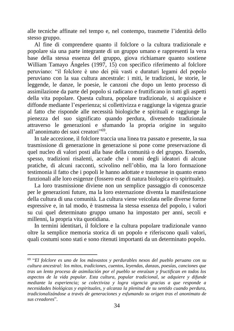alle tecniche affinate nel tempo e, nel contempo, trasmette l'identità dello stesso gruppo.

Al fine di comprendere quanto il folclore o la cultura tradizionale e popolare sia una parte integrante di un gruppo umano e rappresenti la vera base della stessa essenza del gruppo, giova richiamare quanto sostiene William Tamayo Ángeles (1997, 15) con specifico riferimento al folclore peruviano: "il folclore è uno dei più vasti e duraturi legami del popolo peruviano con la sua cultura ancestrale: i miti, le tradizioni, le storie, le leggende, le danze, le poesie, le canzoni che dopo un lento processo di assimilazione da parte del popolo si radicano e fruttificano in tutti gli aspetti della vita popolare. Questa cultura, popolare tradizionale, si acquisisce e diffonde mediante l'esperienza; si collettivizza e raggiunge la vigenza grazie al fatto che risponde alle necessità biologiche e spirituali e raggiunge la pienezza del suo significato quando perdura, divenendo tradizionale attraverso le generazioni e sfumando la propria origine in seguito all'anonimato dei suoi creatori"<sup>69</sup>.

In tale accezione, il folclore traccia una linea tra passato e presente, la sua trasmissione di generazione in generazione si pone come preservazione di quel nucleo di valori posti alla base della comunità o del gruppo. Essendo, spesso, tradizioni risalenti, accade che i nomi degli ideatori di alcune pratiche, di alcuni racconti, scivolino nell'oblio, ma la loro formazione testimonia il fatto che i popoli le hanno adottate e trasmesse in quanto erano funzionali alle loro esigenze (fossero esse di natura biologica e/o spirituale).

La loro trasmissione diviene non un semplice passaggio di conoscenze per le generazioni future, ma la loro esternazione diventa la manifestazione della cultura di una comunità. La cultura viene veicolata nelle diverse forme espressive e, in tal modo, è trasmessa la stessa essenza del popolo, i valori su cui quel determinato gruppo umano ha impostato per anni, secoli e millenni, la propria vita quotidiana.

In termini identitari, il folclore e la cultura popolare tradizionale vanno oltre la semplice memoria storica di un popolo e riferiscono quali valori, quali costumi sono stati e sono ritenuti importanti da un determinato popolo.

<sup>69</sup> "*El folclore es uno de los másvastos y perdurables nexos del pueblo peruano con su cultura ancestral: los mitos, tradiciones, cuentos, leyendas, danzas, poesías, canciones que tras un lento proceso de asimilación por el pueblo se enraízan y fructifican en todos los aspectos de la vida popular. Esta cultura, popular tradicional, se adquiere y difunde mediante la experiencia; se colectiviza y logra vigencia gracias a que responde a necesidades biológicas y espirituales, y alcanza la plenitud de su sentido cuando perdura, tradicionalizándose a través de generaciones y esfumando su origen tras el anonimato de sus creadores*".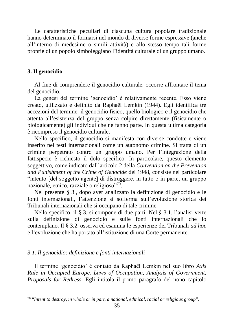Le caratteristiche peculiari di ciascuna cultura popolare tradizionale hanno determinato il formarsi nel mondo di diverse forme espressive (anche all'interno di medesime o simili attività) e allo stesso tempo tali forme proprie di un popolo simboleggiano l'identità culturale di un gruppo umano.

#### **3. Il genocidio**

Al fine di comprendere il genocidio culturale, occorre affrontare il tema del genocidio.

La genesi del termine s genocidio è relativamente recente. Esso viene creato, utilizzato e definito da Raphaël Lemkin (1944). Egli identifica tre accezioni del termine: il genocidio fisico, quello biologico e il genocidio che attenta all'esistenza del gruppo senza colpire direttamente (fisicamente o biologicamente) gli individui che ne fanno parte. In questa ultima categoria è ricompreso il genocidio culturale.

Nello specifico, il genocidio si manifesta con diverse condotte e viene inserito nei testi internazionali come un autonomo crimine. Si tratta di un crimine perpetrato contro un gruppo umano. Per l'integrazione della fattispecie è richiesto il dolo specifico. In particolare, questo elemento soggettivo, come indicato dall'articolo 2 della *Convention on the Prevention and Punishment of the Crime of Genocide* del 1948, consiste nel particolare "intento [del soggetto agente] di distruggere, in tutto o in parte, un gruppo nazionale, etnico, razziale o religioso"<sup>70</sup>.

Nel presente § 3., dopo aver analizzato la definizione di genocidio e le fonti internazionali, l'attenzione si sofferma sull'evoluzione storica dei Tribunali internazionali che si occupano di tale crimine.

Nello specifico, il § 3. si compone di due parti. Nel § 3.1. l'analisi verte sulla definizione di genocidio e sulle fonti internazionali che lo contemplano. Il § 3.2. osserva ed esamina le esperienze dei Tribunali *ad hoc* e l'evoluzione che ha portato all'istituzione di una Corte permanente.

#### *3.1. Il genocidio: definizione e fonti internazionali*

Il termine ʻgenocidio' è coniato da Raphaël Lemkin nel suo libro *Axis Rule in Occupied Europe. Laws of Occupation, Analysis of Government, Proposals for Redress*. Egli intitola il primo paragrafo del nono capitolo

<sup>70</sup> "*Intent to destroy, in whole or in part, a national, ethnical, racial or religious group*".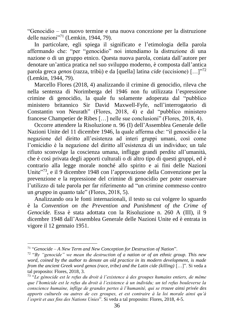"Genocidio – un nuovo termine e una nuova concezione per la distruzione delle nazioni"<sup>71</sup> (Lemkin, 1944, 79).

In particolare, egli spiega il significato e l'etimologia della parola affermando che: "per "genocidio" noi intendiamo la distruzione di una nazione o di un gruppo etnico. Questa nuova parola, coniata dall'autore per denotare un'antica pratica nel suo sviluppo moderno, è composta dall'antica parola greca *genos* (razza, tribù) e da [quella] latina *cide* (uccisione) […]"<sup>72</sup> (Lemkin, 1944, 79).

Marcello Flores (2018, 4) analizzando il crimine di genocidio, rileva che nella sentenza di Norimberga del 1946 non fu utilizzata l'espressione crimine di genocidio, la quale fu solamente adoperata dal "pubblico ministero britannico Sir David Maxwell-Fyfe, nell'interrogatorio di Constantin von Neurath" (Flores, 2018, 4) e dal "pubblico ministero francese Champetier de Ribes […] nelle sue conclusioni" (Flores, 2018, 4).

Occorre attendere la Risoluzione n. 96 (I) dell'Assemblea Generale delle Nazioni Unite del 11 dicembre 1946, la quale afferma che: "il genocidio è la negazione del diritto all'esistenza ad interi gruppi umani, così come l'omicidio è la negazione del diritto all'esistenza di un individuo; un tale rifiuto sconvolge la coscienza umana, infligge grandi perdite all'umanità, che è così privata degli apporti culturali o di altro tipo di questi gruppi, ed è contrario alla legge morale nonché allo spirito e ai fini delle Nazioni Unite<sup>"73</sup>, e il 9 dicembre 1948 con l'approvazione della Convenzione per la prevenzione e la repressione del crimine di genocidio per poter osservare l'utilizzo di tale parola per far riferimento ad "un crimine commesso contro un *gruppo* in quanto tale" (Flores, 2018, 5).

Analizzando ora le fonti internazionali, il testo su cui volgere lo sguardo è la *Convention on the Prevention and Punishment of the Crime of Genocide*. Essa è stata adottata con la Risoluzione n. 260 A (III), il 9 dicembre 1948 dall'Assemblea Generale delle Nazioni Unite ed è entrata in vigore il 12 gennaio 1951.

<sup>71</sup> "*Genocide – A New Term and New Conception for Destruction of Nation*".

<sup>72</sup> "*By "genocide" we mean the destruction of a nation or of an ethnic group. This new word, coined by the author to denote an old practice in its modern development, is made from the ancient Greek word genos (race, tribe) and the Latin cide (killing)* […]". Si veda a tal proposito: Flores, 2018, 3.

<sup>73</sup> "*Le génocide est le refus du droit à l'existence à des groupes humains entiers, de même que l'homicide est le refus du droit à l'existence à un individu; un tel refus bouleverse la conscience humaine, inflige de grandes pertes à l'humanité, qui se trouve ainsi privée des apports culturels ou autres de ces groupes, et est contraire à la loi morale ainsi qu'à l'esprit et aux fins des Nations Unies*". Si veda a tal proposito: Flores, 2018, 4-5.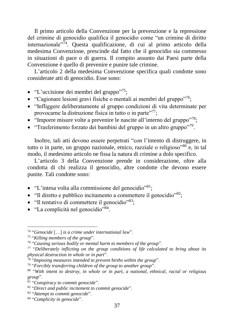Il primo articolo della Convenzione per la prevenzione e la repressione del crimine di genocidio qualifica il genocidio come "un crimine di diritto internazionale"<sup>74</sup>. Questa qualificazione, di cui al primo articolo della medesima Convenzione, prescinde dal fatto che il genocidio sia commesso in situazioni di pace o di guerra. Il compito assunto dai Paesi parte della Convenzione è quello di prevenire e punire tale crimine.

L'articolo 2 della medesima Convenzione specifica quali condotte sono considerate atti di genocidio. Esse sono:

- "L'uccisione dei membri del gruppo"<sup>75</sup>;
- "Cagionare lesioni gravi fisiche o mentali ai membri del gruppo"<sup>76</sup>;
- "Infliggere deliberatamente al gruppo condizioni di vita determinate per provocarne la distruzione fisica in tutto o in parte"<sup>77</sup>;
- "Imporre misure volte a prevenire le nascite all'interno del gruppo"<sup>78</sup>;
- "Trasferimento forzato dei bambini del gruppo in un altro gruppo"<sup>79</sup>.

Inoltre, tali atti devono essere perpetrati "con l'intento di distruggere, in tutto o in parte, un gruppo nazionale, etnico, razziale o religioso<sup> $80^\circ$ </sup>e, in tal modo, il medesimo articolo ne fissa la natura di crimine a dolo specifico.

L'articolo 3 della Convenzione prende in considerazione, oltre alla condotta di chi realizza il genocidio, altre condotte che devono essere punite. Tali condotte sono:

- "L'intesa volta alla commissione del genocidio"<sup>81</sup>;
- "Il diretto e pubblico incitamento a commettere il genocidio"<sup>82</sup>;
- "Il tentativo di commettere il genocidio"<sup>83</sup>;
- "La complicità nel genocidio"<sup>84</sup>.

<sup>74</sup> "*Genocide* […] *is a crime under international law*".

<sup>75</sup> "*Killing members of the group*".

<sup>76</sup> "*Causing serious bodily or mental harm to members of the group*".

<sup>77</sup> "*Deliberately inflicting on the group conditions of life calculated to bring about its physical destruction in whole or in part*".

<sup>78</sup> "*Imposing measures intended to prevent births within the group*".

<sup>79</sup> "*Forcibly transferring children of the group to another group*".

<sup>80</sup> "*With intent to destroy, in whole or in part, a national, ethnical, racial or religious group*".

<sup>81</sup> "*Conspiracy to commit genocide*".

<sup>82</sup> "*Direct and public incitement to commit genocide*".

<sup>83</sup> "*Attempt to commit genocide*".

<sup>84</sup> "*Complicity in genocide*".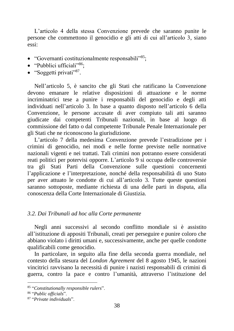L'articolo 4 della stessa Convenzione prevede che saranno punite le persone che commettono il genocidio e gli atti di cui all'articolo 3, siano essi:

- "Governanti costituzionalmente responsabili"<sup>85</sup>;
- "Pubblici ufficiali"<sup>86</sup>:
- "Soggetti privati"<sup>87</sup>.

Nell'articolo 5, è sancito che gli Stati che ratificano la Convenzione devono emanare le relative disposizioni di attuazione e le norme incriminatrici tese a punire i responsabili del genocidio e degli atti individuati nell'articolo 3. In base a quanto disposto nell'articolo 6 della Convenzione, le persone accusate di aver compiuto tali atti saranno giudicate dai competenti Tribunali nazionali, in base al luogo di commissione del fatto o dal competente Tribunale Penale Internazionale per gli Stati che ne riconoscono la giurisdizione.

L'articolo 7 della medesima Convenzione prevede l'estradizione per i crimini di genocidio, nei modi e nelle forme previste nelle normative nazionali vigenti e nei trattati. Tali crimini non potranno essere considerati reati politici per potervisi opporre. L'articolo 9 si occupa delle controversie tra gli Stati Parti della Convenzione sulle questioni concernenti l'applicazione e l'interpretazione, nonché della responsabilità di uno Stato per aver attuato le condotte di cui all'articolo 3. Tutte queste questioni saranno sottoposte, mediante richiesta di una delle parti in disputa, alla conoscenza della Corte Internazionale di Giustizia.

### *3.2. Dai Tribunali ad hoc alla Corte permanente*

Negli anni successivi al secondo conflitto mondiale si è assistito all'istituzione di appositi Tribunali, creati per perseguire e punire coloro che abbiano violato i diritti umani e, successivamente, anche per quelle condotte qualificabili come genocidio.

In particolare, in seguito alla fine della seconda guerra mondiale, nel contesto della stesura del *London Agreement* del 8 agosto 1945, le nazioni vincitrici ravvisano la necessità di punire i nazisti responsabili di crimini di guerra, contro la pace e contro l'umanità, attraverso l'istituzione del

<sup>85</sup> "*Constitutionally responsible rulers*".

<sup>86</sup> "*Public officials*".

<sup>87</sup> "*Private individuals*".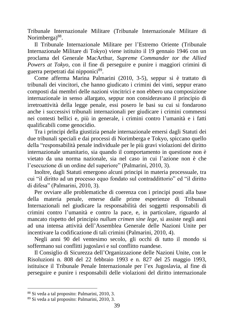Tribunale Internazionale Militare (Tribunale Internazionale Militare di Norimberga)<sup>88</sup>.

Il Tribunale Internazionale Militare per l'Estremo Oriente (Tribunale Internazionale Militare di Tokyo) viene istituito il 19 gennaio 1946 con un proclama del Generale MacArthur, *Supreme Commander tor the Allied Powers at Tokyo*, con il fine di perseguire e punire i maggiori crimini di guerra perpetrati dai nipponici89.

Come afferma Marina Palmarini (2010, 3-5), seppur si è trattato di tribunali dei vincitori, che hanno giudicato i crimini dei vinti, seppur erano composti dai membri delle nazioni vincitrici e non ebbero una composizione internazionale in senso allargato, seppur non consideravano il principio di irretroattività della legge penale, essi posero le basi su cui si fondarono anche i successivi tribunali internazionali per giudicare i crimini commessi nei contesti bellici e, più in generale, i crimini contro l'umanità e i fatti qualificabili come genocidio.

Tra i principi della giustizia penale internazionale emersi dagli Statuti dei due tribunali speciali e dai processi di Norimberga e Tokyo, spiccano quello della "responsabilità penale individuale per le più gravi violazioni del diritto internazionale umanitario, sia quando il comportamento in questione non è vietato da una norma nazionale, sia nel caso in cui l'azione non è che l'esecuzione di un ordine del superiore" (Palmarini, 2010, 3).

Inoltre, dagli Statuti emergono alcuni principi in materia processuale, tra cui "il diritto ad un processo equo fondato sul contraddittorio" ed "il diritto di difesa" (Palmarini, 2010, 3).

Per ovviare alle problematiche di coerenza con i principi posti alla base della materia penale, emerse dalle prime esperienze di Tribunali Internazionali nel giudicare la responsabilità dei soggetti responsabili di crimini contro l'umanità e contro la pace, e, in particolare, riguardo al mancato rispetto del principio *nullum crimen sine lege*, si assiste negli anni ad una intensa attività dell'Assemblea Generale delle Nazioni Unite per incentivare la codificazione di tali crimini (Palmarini, 2010, 4).

Negli anni 90 del ventesimo secolo, gli occhi di tutto il mondo si soffermano sui conflitti jugoslavi e sul conflitto ruandese.

Il Consiglio di Sicurezza dell'Organizzazione delle Nazioni Unite, con le Risoluzioni n. 808 del 22 febbraio 1993 e n. 827 del 25 maggio 1993, istituisce il Tribunale Penale Internazionale per l'ex Jugoslavia, al fine di perseguire e punire i responsabili delle violazioni del diritto internazionale

<sup>88</sup> Si veda a tal proposito: Palmarini, 2010, 3.

<sup>89</sup> Si veda a tal proposito: Palmarini, 2010, 3.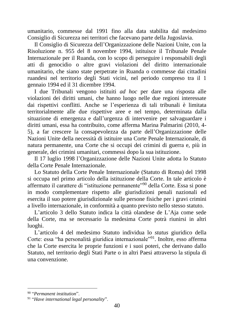umanitario, commesse dal 1991 fino alla data stabilita dal medesimo Consiglio di Sicurezza nei territori che facevano parte della Jugoslavia.

Il Consiglio di Sicurezza dell'Organizzazione delle Nazioni Unite, con la Risoluzione n. 955 del 8 novembre 1994, istituisce il Tribunale Penale Internazionale per il Ruanda, con lo scopo di perseguire i responsabili degli atti di genocidio o altre gravi violazioni del diritto internazionale umanitario, che siano state perpetrate in Ruanda o commesse dai cittadini ruandesi nel territorio degli Stati vicini, nel periodo compreso tra il 1 gennaio 1994 ed il 31 dicembre 1994.

I due Tribunali vengono istituiti *ad hoc* per dare una risposta alle violazioni dei diritti umani, che hanno luogo nelle due regioni interessate dai rispettivi conflitti. Anche se l'esperienza di tali tribunali è limitata territorialmente alle due rispettive aree e nel tempo, determinata dalla situazione di emergenza e dall'urgenza di intervenire per salvaguardare i diritti umani, essa ha contribuito, come afferma Marina Palmarini (2010, 4- 5), a far crescere la consapevolezza da parte dell'Organizzazione delle Nazioni Unite della necessità di istituire una Corte Penale Internazionale, di natura permanente, una Corte che si occupi dei crimini di guerra e, più in generale, dei crimini umanitari, commessi dopo la sua istituzione.

Il 17 luglio 1998 l'Organizzazione delle Nazioni Unite adotta lo Statuto della Corte Penale Internazionale.

Lo Statuto della Corte Penale Internazionale (Statuto di Roma) del 1998 si occupa nel primo articolo della istituzione della Corte. In tale articolo è affermato il carattere di "istituzione permanente"<sup>90</sup> della Corte. Essa si pone in modo complementare rispetto alle giurisdizioni penali nazionali ed esercita il suo potere giurisdizionale sulle persone fisiche per i gravi crimini a livello internazionale, in conformità a quanto previsto nello stesso statuto.

L'articolo 3 dello Statuto indica la città olandese de L'Aja come sede della Corte, ma se necessario la medesima Corte potrà riunirsi in altri luoghi.

L'articolo 4 del medesimo Statuto individua lo *status* giuridico della Corte: essa "ha personalità giuridica internazionale"<sup>91</sup>. Inoltre, esso afferma che la Corte esercita le proprie funzioni e i suoi poteri, che derivano dallo Statuto, nel territorio degli Stati Parte o in altri Paesi attraverso la stipula di una convenzione.

<sup>90</sup> "*Permanent institution*".

<sup>91</sup> "*Have international legal personality*".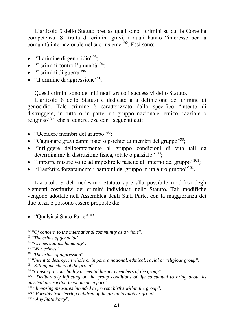L'articolo 5 dello Statuto precisa quali sono i crimini su cui la Corte ha competenza. Si tratta di crimini gravi, i quali hanno "interesse per la comunità internazionale nel suo insieme"<sup>92</sup>. Essi sono:

- "Il crimine di genocidio"<sup>93</sup>;
- "I crimini contro l'umanità"<sup>94</sup>;
- $\bullet$  "I crimini di guerra"<sup>95</sup>;
- "Il crimine di aggressione"<sup>96</sup>.

Questi crimini sono definiti negli articoli successivi dello Statuto.

L'articolo 6 dello Statuto è dedicato alla definizione del crimine di genocidio. Tale crimine è caratterizzato dallo specifico "intento di distruggere, in tutto o in parte, un gruppo nazionale, etnico, razziale o religioso"<sup>97</sup>, che si concretizza con i seguenti atti:

- "Uccidere membri del gruppo"<sup>98</sup>;
- "Cagionare gravi danni fisici o psichici ai membri del gruppo"<sup>99</sup>;
- "Infliggere deliberatamente al gruppo condizioni di vita tali da determinarne la distruzione fisica, totale o parziale"<sup>100</sup>;
- "Imporre misure volte ad impedire le nascite all'interno del gruppo"<sup>101</sup>;
- "Trasferire forzatamente i bambini del gruppo in un altro gruppo"<sup>102</sup>.

L'articolo 9 del medesimo Statuto apre alla possibile modifica degli elementi costitutivi dei crimini individuati nello Statuto. Tali modifiche vengono adottate nell'Assemblea degli Stati Parte, con la maggioranza dei due terzi, e possono essere proposte da:

• "Qualsiasi Stato Parte"<sup>103</sup>;

98 "*Killing members of the group*".

<sup>92</sup> "*Of concern to the international community as a whole*".

<sup>93</sup> "*The crime of genocide*".

<sup>94</sup> "*Crimes against humanity*".

<sup>95</sup> "*War crimes*".

<sup>96</sup> "*The crime of aggression*".

<sup>97</sup> "*Intent to destroy, in whole or in part, a national, ethnical, racial or religious group*".

<sup>99</sup> "*Causing serious bodily or mental harm to members of the group*".

<sup>&</sup>lt;sup>100</sup> "Deliberately inflicting on the group conditions of life calculated to bring about its *physical destruction in whole or in part*".

<sup>101</sup> "*Imposing measures intended to prevent births within the group*".

<sup>102</sup> "*Forcibly transferring children of the group to another group*".

<sup>103</sup> "*Any State Party*".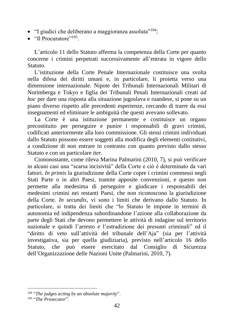- "I giudici che deliberano a maggioranza assoluta"<sup>104</sup>:
- "Il Procuratore"<sup>105</sup>.

L'articolo 11 dello Statuto afferma la competenza della Corte per quanto concerne i crimini perpetrati successivamente all'entrata in vigore dello Statuto.

L'istituzione della Corte Penale Internazionale costituisce una svolta nella difesa dei diritti umani e, in particolare, li proietta verso una dimensione internazionale. Nipote dei Tribunali Internazionali Militari di Norimberga e Tokyo e figlia dei Tribunali Penali Internazionali creati *ad hoc* per dare una risposta alla situazione jugoslava e ruandese, si pone su un piano diverso rispetto alle precedenti esperienze, cercando di trarre da essi insegnamenti ed eliminare le ambiguità che questi avevano sollevato.

La Corte è una istituzione permanente e costituisce un organo precostituito per perseguire e punire i responsabili di gravi crimini, codificati anteriormente alla loro commissione. Gli stessi crimini individuati dallo Statuto possono essere soggetti alla modifica degli elementi costitutivi, a condizione di non entrare in contrasto con quanto previsto dallo stesso Statuto e con un particolare *iter*.

Ciononostante, come rileva Marina Palmarini (2010, 7), si può verificare in alcuni casi una "scarsa incisività" della Corte e ciò è determinato da vari fattori. *In primis* la giurisdizione della Corte copre i crimini commessi negli Stati Parte o in altri Paesi, tramite apposite convenzioni, e questo non permette alla medesima di perseguire e giudicare i responsabili dei medesimi crimini nei restanti Paesi, che non riconoscono la giurisdizione della Corte. *In secundis*, vi sono i limiti che derivano dallo Statuto. In particolare, si tratta dei limiti che "lo Statuto le impone in termini di autonomia ed indipendenza subordinandone l'azione alla collaborazione da parte degli Stati che devono permettere le attività di indagine sul territorio nazionale e quindi l'arresto e l'estradizione dei presunti criminali" ed il "diritto di veto sull'attività del tribunale dell'Aja" (sia per l'attività investigativa, sia per quella giudiziaria), previsto nell'articolo 16 dello Statuto, che può essere esercitato dal Consiglio di Sicurezza dell'Organizzazione delle Nazioni Unite (Palmarini, 2010, 7).

<sup>104</sup> "*The judges acting by an absolute majority*".

<sup>105</sup> "*The Prosecutor*".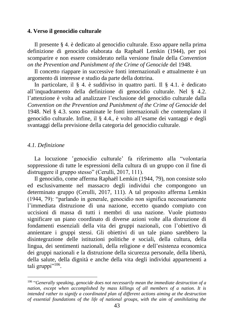#### **4. Verso il genocidio culturale**

Il presente § 4. è dedicato al genocidio culturale. Esso appare nella prima definizione di genocidio elaborata da Raphaël Lemkin (1944), per poi scomparire e non essere considerato nella versione finale della *Convention on the Prevention and Punishment of the Crime of Genocide* del 1948.

Il concetto riappare in successive fonti internazionali e attualmente è un argomento di interesse e studio da parte della dottrina.

In particolare, il § 4. è suddiviso in quattro parti. Il § 4.1. è dedicato all'inquadramento della definizione di genocidio culturale. Nel § 4.2. l'attenzione è volta ad analizzare l'esclusione del genocidio culturale dalla *Convention on the Prevention and Punishment of the Crime of Genocide* del 1948. Nel § 4.3. sono esaminate le fonti internazionali che contemplano il genocidio culturale. Infine, il § 4.4., è volto all'esame dei vantaggi e degli svantaggi della previsione della categoria del genocidio culturale.

#### *4.1. Definizione*

La locuzione 'genocidio culturale' fa riferimento alla "volontaria soppressione di tutte le espressioni della cultura di un gruppo con il fine di distruggere il gruppo stesso" (Cerulli, 2017, 111).

Il genocidio, come afferma Raphaël Lemkin (1944, 79), non consiste solo ed esclusivamente nel massacro degli individui che compongono un determinato gruppo (Cerulli, 2017, 111). A tal proposito afferma Lemkin (1944, 79): "parlando in generale, genocidio non significa necessariamente l'immediata distruzione di una nazione, eccetto quando compiuto con uccisioni di massa di tutti i membri di una nazione. Vuole piuttosto significare un piano coordinato di diverse azioni volte alla distruzione di fondamenti essenziali della vita dei gruppi nazionali, con l'obiettivo di annientare i gruppi stessi. Gli obiettivi di un tale piano sarebbero la disintegrazione delle istituzioni politiche e sociali, della cultura, della lingua, dei sentimenti nazionali, della religione e dell'esistenza economica dei gruppi nazionali e la distruzione della sicurezza personale, della libertà, della salute, della dignità e anche della vita degli individui appartenenti a tali gruppi"<sup>106</sup>.

<sup>106</sup> "*Generally speaking, genocide does not necessarily mean the immediate destruction of a nation, except when accomplished by mass killings of all members of a nation. It is intended rather to signify a coordinated plan of different actions aiming at the destruction of essential foundations of the life of national groups, with the aim of annihilating the*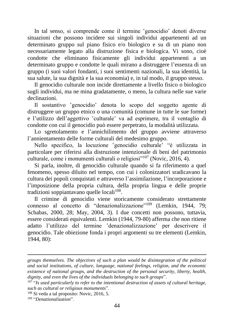In tal senso, si comprende come il termine sensocidio denoti diverse situazioni che possono incidere sui singoli individui appartenenti ad un determinato gruppo sul piano fisico e/o biologico e su di un piano non necessariamente legato alla distruzione fisica e biologica. Vi sono, cioè condotte che eliminano fisicamente gli individui appartenenti a un determinato gruppo e condotte le quali mirano a distruggere l'essenza di un gruppo (i suoi valori fondanti, i suoi sentimenti nazionali, la sua identità, la sua salute, la sua dignità e la sua economia) e, in tal modo, il gruppo stesso.

Il genocidio culturale non incide direttamente a livello fisico o biologico sugli individui, ma ne mina gradatamente, o meno, la cultura nelle sue varie declinazioni.

Il sostantivo ʽgenocidio' denota lo scopo del soggetto agente di distruggere un gruppo etnico o una comunità (comune in tutte le sue forme) e l'utilizzo dell'aggettivo 'culturale' va ad esprimere, tra il ventaglio di condotte con cui il genocidio può essere perpetrato, la modalità utilizzata.

Lo sgretolamento e l'annichilimento del gruppo avviene attraverso l'annientamento delle forme culturali del medesimo gruppo.

Nello specifico, la locuzione 'genocidio culturale' "è utilizzata in particolare per riferirsi alla distruzione intenzionale di beni del patrimonio culturale, come i monumenti culturali o religiosi"<sup>107</sup> (Novic, 2016, 4).

Si parla, inoltre, di genocidio culturale quando si fa riferimento a quel fenomeno, spesso diluito nel tempo, con cui i colonizzatori sradicavano la cultura dei popoli conquistati e attraverso l'assimilazione, l'incorporazione e l'imposizione della propria cultura, della propria lingua e delle proprie tradizioni soppiantavano quelle locali<sup>108</sup>.

Il crimine di genocidio viene storicamente considerato strettamente connesso al concetto di "denazionalizzazione"<sup>109</sup> (Lemkin, 1944, 79; Schabas, 2000, 28; May, 2004, 3). I due concetti non possono, tuttavia, essere considerati equivalenti. Lemkin (1944, 79-80) afferma che non ritiene adatto l'utilizzo del termine ʽdenazionalizzazione' per descrivere il genocidio. Tale obiezione fonda i propri argomenti su tre elementi (Lemkin, 1944, 80):

*groups themselves. The objectives of such a plan would be disintegration of the political and social institutions, of culture, language, national feelings, religion, and the economic existence of national groups, and the destruction of the personal security, liberty, health, dignity, and even the lives of the individuals belonging to such groups*".

<sup>107</sup> "*Is used particularly to refer to the intentional destruction of assets of cultural heritage, such as cultural or religious monuments*".

<sup>108</sup> Si veda a tal proposito: Novic, 2016, 5.

<sup>109</sup> "*Denationalization*".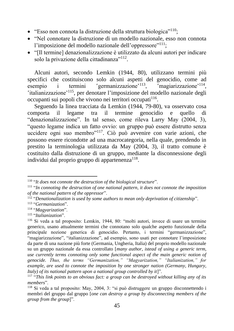- "Esso non connota la distruzione della struttura biologica"<sup>110</sup>;
- "Nel connotare la distruzione di un modello nazionale, esso non connota l'imposizione del modello nazionale dell'oppressore"<sup>111</sup>;
- "[Il termine] denazionalizzazione è utilizzato da alcuni autori per indicare solo la privazione della cittadinanza"<sup>112</sup>.

Alcuni autori, secondo Lemkin (1944, 80), utilizzano termini più specifici che costituiscono solo alcuni aspetti del genocidio, come ad esempio i termini  $\text{germanizzazione}^{\,113}$ ,  $\epsilon$ magiarizzazione<sup>,114</sup>, 'italianizzazione'<sup>115</sup>, per denotare l'imposizione del modello nazionale degli occupanti sui popoli che vivono nei territori occupati<sup>116</sup>.

Seguendo la linea tracciata da Lemkin (1944, 79-80), va osservato cosa comporta il legame tra il termine genocidio e quello di "denazionalizzazione". In tal senso, come rileva Larry May (2004, 3), "questo legame indica un fatto ovvio: un gruppo può essere distrutto senza uccidere ogni suo membro"<sup>117</sup>. Ciò può avvenire con varie azioni, che possono essere ricondotte ad una macrocategoria, nella quale, prendendo in prestito la terminologia utilizzata da May (2004, 3), il tratto comune è costituito dalla distruzione di un gruppo, mediante la disconnessione degli individui dal proprio gruppo di appartenenza<sup>118</sup>.

<sup>110</sup> "*It does not connote the destruction of the biological structure*".

<sup>111</sup> "*In connoting the destruction of one national pattern, it does not connote the imposition of the national pattern of the oppressor*".

<sup>112</sup> "*Denationalization is used by some authors to mean only deprivation of citizenship*".

<sup>113</sup> "*Germanization*".

<sup>114</sup> "*Magyarization*".

<sup>115</sup> "*Italianization*".

<sup>116</sup> Si veda a tal proposito: Lemkin, 1944, 80: "molti autori, invece di usare un termine generico, usano attualmente termini che connotano solo qualche aspetto funzionale della principale nozione generica di genocidio. Pertanto, i termini "germanizzazione", "magiarizzazione", "italianizzazione", ad esempio, sono usati per connotare l'imposizione da parte di una nazione più forte (Germania, Ungheria, Italia) del proprio modello nazionale su un gruppo nazionale da essa controllato [*many author, istead of using a generic term, use currently terms connoting only some functional aspect of the main generic notion of genocide. Thus, the terms "Germanization," "Magyarization," "Italianization," for example, are used to connote the imposition by one stronger nation (Germany, Hungary, Italy) of its national pattern upon a national group controlled by it*]".

<sup>117</sup> "*This link points to an obvious fact: a group can be destroyed without killing any of its members*".

<sup>118</sup> Si veda a tal proposito: May, 2004, 3: "si può distruggere un gruppo disconnettendo i membri del gruppo dal gruppo [*one can destroy a group by disconnecting members of the group from the group*]".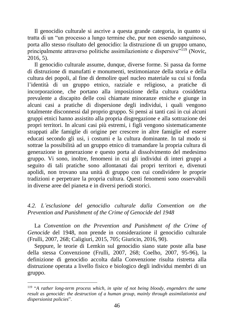Il genocidio culturale si ascrive a questa grande categoria, in quanto si tratta di un "un processo a lungo termine che, pur non essendo sanguinoso, porta allo stesso risultato del genocidio: la distruzione di un gruppo umano, principalmente attraverso politiche assimilazioniste e dispersive"<sup>119</sup> (Novic, 2016, 5).

Il genocidio culturale assume, dunque, diverse forme. Si passa da forme di distruzione di manufatti e monumenti, testimonianze della storia e della cultura dei popoli, al fine di demolire quel nucleo materiale su cui si fonda l'identità di un gruppo etnico, razziale e religioso, a pratiche di incorporazione, che portano alla imposizione della cultura cosiddetta prevalente a discapito delle così chiamate minoranze etniche e giunge in alcuni casi a pratiche di dispersione degli individui, i quali vengono totalmente disconnessi dal proprio gruppo. Si pensi ai tanti casi in cui alcuni gruppi etnici hanno assistito alla propria disgregazione e alla sottrazione dei propri territori. In alcuni casi più estremi, i figli vengono sistematicamente strappati alle famiglie di origine per crescere in altre famiglie ed essere educati secondo gli usi, i costumi e la cultura dominante. In tal modo si sottrae la possibilità ad un gruppo etnico di tramandare la propria cultura di generazione in generazione e questo porta al dissolvimento del medesimo gruppo. Vi sono, inoltre, fenomeni in cui gli individui di interi gruppi a seguito di tali pratiche sono allontanati dai propri territori e, divenuti apolidi, non trovano una unità di gruppo con cui condividere le proprie tradizioni e perpetrare la propria cultura. Questi fenomeni sono osservabili in diverse aree del pianeta e in diversi periodi storici.

# *4.2. L'esclusione del genocidio culturale dalla Convention on the Prevention and Punishment of the Crime of Genocide del 1948*

La *Convention on the Prevention and Punishment of the Crime of Genocide* del 1948, non prende in considerazione il genocidio culturale (Frulli, 2007, 268; Caligiuri, 2015, 705; Giuricin, 2016, 90).

Seppure, le teorie di Lemkin sul genocidio siano state poste alla base della stessa Convenzione (Frulli, 2007, 268; Coelho, 2007, 95-96), la definizione di genocidio accolta dalla Convenzione risulta ristretta alla distruzione operata a livello fisico e biologico degli individui membri di un gruppo.

<sup>119</sup> "*A rather long-term process which, in spite of not being bloody, engenders the same result as genocide: the destruction of a human group, mainly through assimilationist and dispersionist policies*".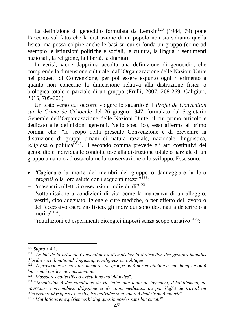La definizione di genocidio formulata da Lemkin<sup>120</sup> (1944, 79) pone l'accento sul fatto che la distruzione di un popolo non sia soltanto quella fisica, ma possa colpire anche le basi su cui si fonda un gruppo (come ad esempio le istituzioni politiche e sociali, la cultura, la lingua, i sentimenti nazionali, la religione, la libertà, la dignità).

In verità, viene dapprima accolta una definizione di genocidio, che comprende la dimensione culturale, dall'Organizzazione delle Nazioni Unite nei progetti di Convenzione, per poi essere espunto ogni riferimento a quanto non concerne la dimensione relativa alla distruzione fisica o biologica totale o parziale di un gruppo (Frulli, 2007, 268-269; Caligiuri, 2015, 705-706).

Un testo verso cui occorre volgere lo sguardo è il *Projet de Convention sur le Crime de Génocide* del 26 giugno 1947, formulato dal Segretario Generale dell'Organizzazione delle Nazioni Unite, il cui primo articolo è dedicato alle definizioni generali. Nello specifico, esso afferma al primo comma che: "lo scopo della presente Convenzione è di prevenire la distruzione di gruppi umani di natura razziale, nazionale, linguistica, religiosa o politica"<sup>121</sup>. Il secondo comma prevede gli atti costitutivi del genocidio e individua le condotte tese alla distruzione totale o parziale di un gruppo umano o ad ostacolarne la conservazione o lo sviluppo. Esse sono:

- "Cagionare la morte dei membri del gruppo o danneggiare la loro integrità o la loro salute con i seguenti mezzi"<sup>122</sup>:
- − "massacri collettivi o esecuzioni individuali"<sup>123</sup>;
- − "sottomissione a condizioni di vita come la mancanza di un alloggio, vestiti, cibo adeguato, igiene e cure mediche, o per effetto del lavoro o dell'eccessivo esercizio fisico, gli individui sono destinati a deperire o a morire $"^{124}$ :
- − "mutilazioni ed esperimenti biologici imposti senza scopo curativo"<sup>125</sup>;

<sup>120</sup> *Supra* § 4.1.

<sup>121</sup> "*Le but de la présente Convention est d'empêcher la destruction des groupes humains d'ordre racial, national, linguistique, religieux ou politique*".

<sup>122</sup> "*A provoquer la mort des membres du groupe ou à porter atteinte à leur intégrité ou à leur santé par les moyens suivants*".

<sup>123</sup> "*Massacres collectifs ou exécutions individuelles*".

<sup>124</sup> "*Soumission à des conditions de vie telles que faute de logement, d'habillement, de nourriture convenables, d'hygiène et de soins médicaux, ou par l'effet de travail ou d'exercices physiques excessifs, les individus sont voués à dépérir ou à mourir*".

<sup>125</sup> "*Mutilations et expériences biologiques imposées sans but curatif*".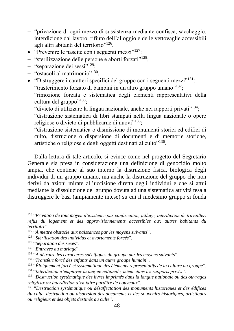- − "privazione di ogni mezzo di sussistenza mediante confisca, saccheggio, interdizione dal lavoro, rifiuto dell'alloggio e delle vettovaglie accessibili agli altri abitanti del territorio"<sup>126</sup>.
- "Prevenire le nascite con i seguenti mezzi"<sup>127</sup>:
- − "sterilizzazione delle persone e aborti forzati"<sup>128</sup>;
- − "separazione dei sessi"<sup>129</sup>;
- − "ostacoli al matrimonio"<sup>130</sup> .
- "Distruggere i caratteri specifici del gruppo con i seguenti mezzi"<sup>131</sup>:
- − "trasferimento forzato di bambini in un altro gruppo umano"<sup>132</sup>;
- − "rimozione forzata e sistematica degli elementi rappresentativi della cultura del gruppo $"^{133}$ ;
- − "divieto di utilizzare la lingua nazionale, anche nei rapporti privati"<sup>134</sup>;
- − "distruzione sistematica di libri stampati nella lingua nazionale o opere religiose o divieto di pubblicarne di nuovi"<sup>135</sup>;
- − "distruzione sistematica o dismissione di monumenti storici ed edifici di culto, distruzione o dispersione di documenti e di memorie storiche, artistiche o religiose e degli oggetti destinati al culto"<sup>136</sup>.

Dalla lettura di tale articolo, si evince come nel progetto del Segretario Generale sia presa in considerazione una definizione di genocidio molto ampia, che contiene al suo interno la distruzione fisica, biologica degli individui di un gruppo umano, ma anche la distruzione del gruppo che non derivi da azioni mirate all'uccisione diretta degli individui e che si attui mediante la dissoluzione del gruppo dovuta ad una sistematica attività tesa a distruggere le basi (ampiamente intese) su cui il medesimo gruppo si fonda

- 128 "*Stérilisation des individus et avortements forcés*".
- 129 "*Séparation des sexes*".
- 130 "*Entraves au mariage*".

132 "*Transfert forcé des enfants dans un autre groupe humain*".

<sup>126</sup> "*Privation de tout moyen d'existence par confiscation, pillage, interdiction de travailler, refus du logement et des approvisionnements accessibles aux autres habitants du territoire*".

<sup>127</sup> "*A mettre obstacle aux naissances par les moyens suivants*".

<sup>131</sup> "*A détruire les caractères spécifiques du groupe par les moyens suivants*".

<sup>133</sup> "*Éloignement forcé et systématique des éléments représentatifs de la culture du groupe*". 134 "*Interdiction d'employer la langue nationale, même dans les rapports privés*".

<sup>135</sup> "*Destruction systématique des livres imprimés dans la langue nationale ou des ouvrages religieux ou interdiction d'en faire paraître de nouveaux*".

<sup>136</sup> "*Destruction systématique ou désaffectation des monuments historiques et des édifices du culte, destruction ou dispersion des documents et des souvenirs historiques, artistiques ou religieux et des objets destinés au culte*".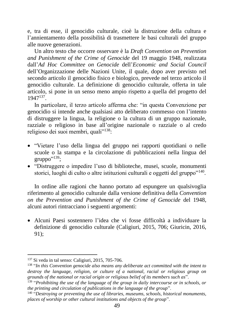e, tra di esse, il genocidio culturale, cioè la distruzione della cultura e l'annientamento della possibilità di trasmettere le basi culturali del gruppo alle nuove generazioni.

Un altro testo che occorre osservare è la *Draft Convention on Prevention and Punishment of the Crime of Genocide* del 19 maggio 1948, realizzata dall'*Ad Hoc Committee on Genocide* dell'*Economic and Social Council* dell'Organizzazione delle Nazioni Unite, il quale, dopo aver previsto nel secondo articolo il genocidio fisico e biologico, prevede nel terzo articolo il genocidio culturale. La definizione di genocidio culturale, offerta in tale articolo, si pone in un senso meno ampio rispetto a quella del progetto del 1947<sup>137</sup> .

In particolare, il terzo articolo afferma che: "in questa Convenzione per genocidio si intende anche qualsiasi atto deliberato commesso con l'intento di distruggere la lingua, la religione o la cultura di un gruppo nazionale, razziale o religioso in base all'origine nazionale o razziale o al credo religioso dei suoi membri, quali<sup>"138</sup>:

- "Vietare l'uso della lingua del gruppo nei rapporti quotidiani o nelle scuole o la stampa e la circolazione di pubblicazioni nella lingua del gruppo"<sup>139</sup>;
- "Distruggere o impedire l'uso di biblioteche, musei, scuole, monumenti storici, luoghi di culto o altre istituzioni culturali e oggetti del gruppo"<sup>140</sup>.

In ordine alle ragioni che hanno portato ad espungere un qualsivoglia riferimento al genocidio culturale dalla versione definitiva della *Convention on the Prevention and Punishment of the Crime of Genocide* del 1948, alcuni autori rintracciano i seguenti argomenti:

• Alcuni Paesi sostennero l'idea che vi fosse difficoltà a individuare la definizione di genocidio culturale (Caligiuri, 2015, 706; Giuricin, 2016, 91);

<sup>137</sup> Si veda in tal senso: Caligiuri, 2015, 705-706.

<sup>138</sup> "*In this Convention genocide also means any deliberate act committed with the intent to destroy the language, religion, or culture of a national, racial or religious group on grounds of the national or racial origin or religious belief of its members such as*".

<sup>&</sup>lt;sup>139</sup> "Prohibiting the use of the language of the group in daily intercourse or in schools, or *the printing and circulation of publications in the language of the group*".

<sup>140</sup> "*Destroying or preventing the use of libraries, museums, schools, historical monuments, places of worship or other cultural institutions and objects of the group*".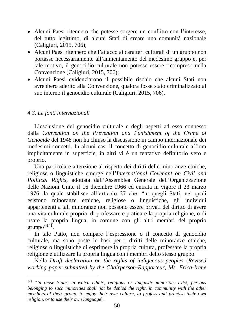- Alcuni Paesi ritennero che potesse sorgere un conflitto con l'interesse, del tutto legittimo, di alcuni Stati di creare una comunità nazionale (Caligiuri, 2015, 706);
- Alcuni Paesi ritennero che l'attacco ai caratteri culturali di un gruppo non portasse necessariamente all'annientamento del medesimo gruppo e, per tale motivo, il genocidio culturale non potesse essere ricompreso nella Convenzione (Caligiuri, 2015, 706);
- Alcuni Paesi evidenziarono il possibile rischio che alcuni Stati non avrebbero aderito alla Convenzione, qualora fosse stato criminalizzato al suo interno il genocidio culturale (Caligiuri, 2015, 706).

# *4.3. Le fonti internazionali*

L'esclusione del genocidio culturale e degli aspetti ad esso connesso dalla *Convention on the Prevention and Punishment of the Crime of Genocide* del 1948 non ha chiuso la discussione in campo internazionale dei medesimi concetti. In alcuni casi il concetto di genocidio culturale affiora implicitamente in superficie, in altri vi è un tentativo definitorio vero e proprio.

Una particolare attenzione al rispetto dei diritti delle minoranze etniche, religiose o linguistiche emerge nell'*International Covenant on Civil and Political Rights*, adottata dall'Assemblea Generale dell'Organizzazione delle Nazioni Unite il 16 dicembre 1966 ed entrata in vigore il 23 marzo 1976, la quale stabilisce all'articolo 27 che: "in quegli Stati, nei quali esistono minoranze etniche, religiose o linguistiche, gli individui appartenenti a tali minoranze non possono essere privati del diritto di avere una vita culturale propria, di professare e praticare la propria religione, o di usare la propria lingua, in comune con gli altri membri del proprio gruppo" $^{141}$ .

In tale Patto, non compare l'espressione o il concetto di genocidio culturale, ma sono poste le basi per i diritti delle minoranze etniche, religiose o linguistiche di esprimere la propria cultura, professare la propria religione e utilizzare la propria lingua con i membri dello stesso gruppo.

Nella *Draft declaration on the rights of indigenous peoples* (*Revised working paper submitted by the Chairperson-Rapporteur, Ms. Erica-Irene* 

<sup>141</sup> "*In those States in which ethnic, religious or linguistic minorities exist, persons belonging to such minorities shall not be denied the right, in community with the other members of their group, to enjoy their own culture, to profess and practise their own religion, or to use their own language*".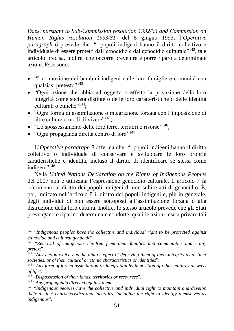*Daes, pursuant to Sub-Commission resolution 1992/33 and Commission on Human Rights resolution 1993/31*) del 8 giugno 1993, l'*Operative paragraph* 6 prevede che: "i popoli indigeni hanno il diritto collettivo e individuale di essere protetti dall'etnocidio e dal genocidio culturale"<sup>142</sup>, tale articolo precisa, inoltre, che occorre prevenire e porre riparo a determinate azioni. Esse sono:

- "La rimozione dei bambini indigeni dalle loro famiglie e comunità con qualsiasi pretesto"<sup>143</sup>;
- "Ogni azione che abbia ad oggetto o effetto la privazione della loro integrità come società distinte o delle loro caratteristiche o delle identità culturali o etniche"<sup>144</sup>:
- "Ogni forma di assimilazione o integrazione forzata con l'imposizione di altre culture o modi di vivere"<sup>145</sup>:
- "Lo spossessamento delle loro terre, territori o risorse"<sup>146</sup>;
- "Ogni propaganda diretta contro di loro"<sup>147</sup>.

L'*Operative paragraph* 7 afferma che: "i popoli indigeni hanno il diritto collettivo o individuale di conservare e sviluppare le loro proprie caratteristiche e identità, incluso il diritto di identificare se stessi come indigeni"<sup>148</sup>.

Nella *United Nations Declaration on the Rights of Indigenous Peoples* del 2007 non è utilizzata l'espressione genocidio culturale. L'articolo 7 fa riferimento al diritto dei popoli indigeni di non subire atti di genocidio. È, poi, indicato nell'articolo 8 il diritto dei popoli indigeni e, più in generale, degli individui di non essere sottoposti all'assimilazione forzata o alla distruzione della loro cultura. Inoltre, lo stesso articolo prevede che gli Stati prevengano e riparino determinate condotte, quali le azioni tese a privare tali

<sup>&</sup>lt;sup>142</sup> "Indigenous peoples have the collective and individual right to be protected against *ethnocide and cultural genocide*".

<sup>&</sup>lt;sup>143</sup> "Removal of indigenous children from their families and communities under any *pretext*".

<sup>144</sup> "*Any action which has the aim or effect of depriving them of their integrity as distinct societies, or of their cultural or ethnic characteristics or identities*".

<sup>145</sup> "*Any form of forced assimilation or integration by imposition of other cultures or ways of life*".

<sup>146</sup> "*Dispossession of their lands, territories or resources*".

<sup>147</sup> "*Any propaganda directed against them*".

<sup>148</sup> "*Indigenous peoples have the collective and individual right to maintain and develop their distinct characteristics and identities, including the right to identify themselves as indigenous*".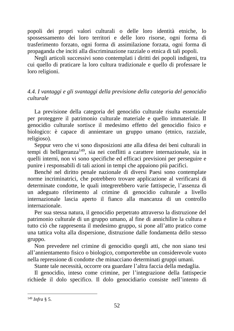popoli dei propri valori culturali o delle loro identità etniche, lo spossessamento dei loro territori e delle loro risorse, ogni forma di trasferimento forzato, ogni forma di assimilazione forzata, ogni forma di propaganda che inciti alla discriminazione razziale o etnica di tali popoli.

Negli articoli successivi sono contemplati i diritti dei popoli indigeni, tra cui quello di praticare la loro cultura tradizionale e quello di professare le loro religioni.

# *4.4. I vantaggi e gli svantaggi della previsione della categoria del genocidio culturale*

La previsione della categoria del genocidio culturale risulta essenziale per proteggere il patrimonio culturale materiale e quello immateriale. Il genocidio culturale sortisce il medesimo effetto del genocidio fisico e biologico: è capace di annientare un gruppo umano (etnico, razziale, religioso).

Seppur vero che vi sono disposizioni atte alla difesa dei beni culturali in tempi di belligeranza<sup>149</sup>, sia nei conflitti a carattere internazionale, sia in quelli interni, non vi sono specifiche ed efficaci previsioni per perseguire e punire i responsabili di tali azioni in tempi che appaiono più pacifici.

Benché nel diritto penale nazionale di diversi Paesi sono contemplate norme incriminatrici, che potrebbero trovare applicazione al verificarsi di determinate condotte, le quali integrerebbero varie fattispecie, l'assenza di un adeguato riferimento al crimine di genocidio culturale a livello internazionale lascia aperto il fianco alla mancanza di un controllo internazionale.

Per sua stessa natura, il genocidio perpetrato attraverso la distruzione del patrimonio culturale di un gruppo umano, al fine di annichilire la cultura e tutto ciò che rappresenta il medesimo gruppo, si pone all'atto pratico come una tattica volta alla dispersione, distruzione dalle fondamenta dello stesso gruppo.

Non prevedere nel crimine di genocidio quegli atti, che non siano tesi all'annientamento fisico o biologico, comporterebbe un considerevole vuoto nella repressione di condotte che minacciano determinati gruppi umani.

Stante tale necessità, occorre ora guardare l'altra faccia della medaglia.

Il genocidio, inteso come crimine, per l'integrazione della fattispecie richiede il dolo specifico. Il dolo genocidiario consiste nell'intento di

<sup>149</sup> *Infra* § 5.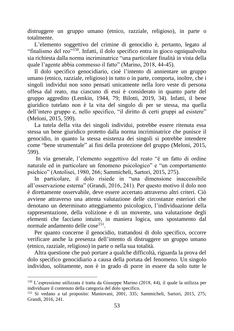distruggere un gruppo umano (etnico, razziale, religioso), in parte o totalmente.

L'elemento soggettivo del crimine di genocidio è, pertanto, legato al "finalismo del reo"<sup>150</sup>. Infatti, il dolo specifico entra in gioco ogniqualvolta sia richiesta dalla norma incriminatrice "una particolare finalità in vista della quale l'agente abbia commesso il fatto" (Marino, 2018, 44-45).

Il dolo specifico genocidiario, cioè l'intento di annientare un gruppo umano (etnico, razziale, religioso) in tutto o in parte, comporta, inoltre, che i singoli individui non sono pensati unicamente nella loro veste di persona offesa dal reato, ma ciascuno di essi è considerato in quanto parte del gruppo aggredito (Lemkin, 1944, 79; Bilotti, 2019, 34). Infatti, il bene giuridico tutelato non è la vita del singolo di per se stessa, ma quella dell'intero gruppo e, nello specifico, "il diritto di certi gruppi ad esistere" (Meloni, 2015, 599).

La tutela della vita dei singoli individui, potrebbe essere ritenuta essa stessa un bene giuridico protetto dalla norma incriminatrice che punisce il genocidio, in quanto la stessa esistenza dei singoli si potrebbe intendere come "bene strumentale" ai fini della protezione del gruppo (Meloni, 2015, 599).

In via generale, l'elemento soggettivo del reato "è un fatto di ordine naturale ed in particolare un fenomeno psicologico" e "un comportamento psichico" (Antolisei, 1980, 266; Sammicheli, Sartori, 2015, 275).

In particolare, il dolo risiede in "una dimensione inaccessibile all'osservazione esterna" (Grandi, 2016, 241). Per questo motivo il dolo non è direttamente osservabile, deve essere accertato attraverso altri criteri. Ciò avviene attraverso una attenta valutazione delle circostanze esteriori che denotano un determinato atteggiamento psicologico, l'individuazione della rappresentazione, della volizione e di un movente, una valutazione degli elementi che facciano intuire, in maniera logica, uno spostamento dal normale andamento delle cose<sup>151</sup>.

Per quanto concerne il genocidio, trattandosi di dolo specifico, occorre verificare anche la presenza dell'intento di distruggere un gruppo umano (etnico, razziale, religioso) in parte o nella sua totalità.

Altra questione che può portare a qualche difficoltà, riguarda la prova del dolo specifico genocidiario a causa della portata del fenomeno. Un singolo individuo, solitamente, non è in grado di porre in essere da solo tutte le

<sup>150</sup> L'espressione utilizzata è tratta da Giuseppe Marino (2018, 44), il quale la utilizza per individuare il contenuto della categoria del dolo specifico.

<sup>151</sup> Si vedano a tal proposito: Mantovani, 2001, 335; Sammicheli, Sartori, 2015, 275; Grandi, 2016, 241.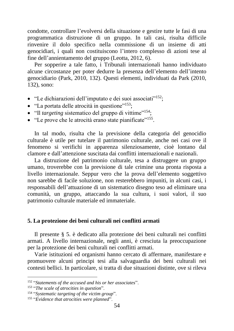condotte, controllare l'evolversi della situazione e gestire tutte le fasi di una programmatica distruzione di un gruppo. In tali casi, risulta difficile rinvenire il dolo specifico nella commissione di un insieme di atti genocidiari, i quali non costituiscono l'intero complesso di azioni tese al fine dell'annientamento del gruppo (Leotta, 2012, 6).

Per sopperire a tale fatto, i Tribunali internazionali hanno individuato alcune circostanze per poter dedurre la presenza dell'elemento dell'intento genocidiario (Park, 2010, 132). Questi elementi, individuati da Park (2010, 132), sono:

- "Le dichiarazioni dell'imputato e dei suoi associati"<sup>152</sup>;
- "La portata delle atrocità in questione"<sup>153</sup>:
- "Il *targeting* sistematico del gruppo di vittime"<sup>154</sup>;
- "Le prove che le atrocità erano state pianificate"<sup>155</sup>.

In tal modo, risulta che la previsione della categoria del genocidio culturale è utile per tutelare il patrimonio culturale, anche nei casi ove il fenomeno si verifichi in apparenza silenziosamente, cioè lontano dal clamore e dall'attenzione suscitata dai conflitti internazionali e nazionali.

La distruzione del patrimonio culturale, tesa a distruggere un gruppo umano, troverebbe con la previsione di tale crimine una pronta risposta a livello internazionale. Seppur vero che la prova dell'elemento soggettivo non sarebbe di facile soluzione, non resterebbero impuniti, in alcuni casi, i responsabili dell'attuazione di un sistematico disegno teso ad eliminare una comunità, un gruppo, attaccando la sua cultura, i suoi valori, il suo patrimonio culturale materiale ed immateriale.

#### **5. La protezione dei beni culturali nei conflitti armati**

Il presente § 5. è dedicato alla protezione dei beni culturali nei conflitti armati. A livello internazionale, negli anni, è cresciuta la preoccupazione per la protezione dei beni culturali nei conflitti armati.

Varie istituzioni ed organismi hanno cercato di affermare, manifestare e promuovere alcuni principi tesi alla salvaguardia dei beni culturali nei contesti bellici. In particolare, si tratta di due situazioni distinte, ove si rileva

<sup>152</sup> "*Statements of the accused and his or her associates*".

<sup>153</sup> "*The scale of atrocities in question*".

<sup>154</sup> "*Systematic targeting of the victim group*".

<sup>155</sup> "*Evidence that atrocities were planned*".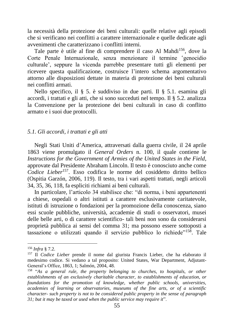la necessità della protezione dei beni culturali: quelle relative agli episodi che si verificano nei conflitti a carattere internazionale e quelle dedicate agli avvenimenti che caratterizzano i conflitti interni.

Tale parte è utile al fine di comprendere il caso Al Mahdi<sup>156</sup>, dove la Corte Penale Internazionale, senza menzionare il termine senocidio culturale', seppure la vicenda parrebbe presentare tutti gli elementi per ricevere questa qualificazione, costruisce l'intero schema argomentativo attorno alle disposizioni dettate in materia di protezione dei beni culturali nei conflitti armati.

Nello specifico, il § 5. è suddiviso in due parti. Il § 5.1. esamina gli accordi, i trattati e gli atti, che si sono succeduti nel tempo. Il § 5.2. analizza la Convenzione per la protezione dei beni culturali in caso di conflitto armato e i suoi due protocolli.

#### *5.1. Gli accordi, i trattati e gli atti*

Negli Stati Uniti d'America, attraversati dalla guerra civile, il 24 aprile 1863 viene promulgato il *General Orders* n. 100, il quale contiene le *Instructions for the Government of Armies of the United States in the Field*, approvate dal Presidente Abraham Lincoln. Il testo è conosciuto anche come *Codice Lieber*<sup>157</sup>. Esso codifica le norme del cosiddetto diritto bellico (Ospitia Garzón, 2006, 119). Il testo, tra i vari aspetti trattati, negli articoli 34, 35, 36, 118, fa espliciti richiami ai beni culturali.

In particolare, l'articolo 34 stabilisce che: "di norma, i beni appartenenti a chiese, ospedali o altri istituti a carattere esclusivamente caritatevole, istituti di istruzione o fondazioni per la promozione della conoscenza, siano essi scuole pubbliche, università, accademie di studi o osservatori, musei delle belle arti, o di carattere scientifico- tali beni non sono da considerarsi proprietà pubblica ai sensi del comma 31; ma possono essere sottoposti a tassazione o utilizzati quando il servizio pubblico lo richiede"<sup>158</sup>. Tale

<sup>156</sup> *Infra* § 7.2.

<sup>157</sup> Il *Codice Lieber* prende il nome dal giurista Francis Lieber, che ha elaborato il medesimo codice. Si vedano a tal proposito: United States, War Department, Adjutant-General's Office, 1863, 1; Salmón, 2004, 48.

<sup>158</sup> "*As a general rule, the property belonging to churches, to hospitals, or other establishments of an exclusively charitable character, to establishments of education, or foundations for the promotion of knowledge, whether public schools, universities, academies of learning or observatories, museums of the fine arts, or of a scientific character- such property is not to be considered public property in the sense of paragraph 31; but it may be taxed or used when the public service may require it*".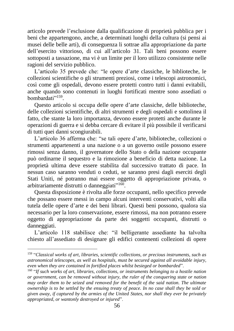articolo prevede l'esclusione dalla qualificazione di proprietà pubblica per i beni che appartengono, anche, a determinati luoghi della cultura (si pensi ai musei delle belle arti), di conseguenza li sottrae alla appropriazione da parte dell'esercito vittorioso, di cui all'articolo 31. Tali beni possono essere sottoposti a tassazione, ma vi è un limite per il loro utilizzo consistente nelle ragioni del servizio pubblico.

L'articolo 35 prevede che: "le opere d'arte classiche, le biblioteche, le collezioni scientifiche o gli strumenti preziosi, come i telescopi astronomici, così come gli ospedali, devono essere protetti contro tutti i danni evitabili, anche quando sono contenuti in luoghi fortificati mentre sono assediati o bombardati"<sup>159</sup>.

Questo articolo si occupa delle opere d'arte classiche, delle biblioteche, delle collezioni scientifiche, di altri strumenti e degli ospedali e sottolinea il fatto, che stante la loro importanza, devono essere protetti anche durante le operazioni di guerra e si debba cercare di evitare il più possibile il verificarsi di tutti quei danni scongiurabili.

L'articolo 36 afferma che: "se tali opere d'arte, biblioteche, collezioni o strumenti appartenenti a una nazione o a un governo ostile possono essere rimossi senza danno, il governatore dello Stato o della nazione occupante può ordinarne il sequestro e la rimozione a beneficio di detta nazione. La proprietà ultima deve essere stabilita dal successivo trattato di pace. In nessun caso saranno venduti o ceduti, se saranno presi dagli eserciti degli Stati Uniti, né potranno mai essere oggetto di appropriazione privata, o arbitrariamente distrutti o danneggiati"<sup>160</sup>.

Questa disposizione è rivolta alle forze occupanti, nello specifico prevede che possano essere messi in campo alcuni interventi conservativi, volti alla tutela delle opere d'arte e dei beni librari. Questi beni possono, qualora sia necessario per la loro conservazione, essere rimossi, ma non potranno essere oggetto di appropriazione da parte dei soggetti occupanti, distrutti o danneggiati.

L'articolo 118 stabilisce che: "il belligerante assediante ha talvolta chiesto all'assediato di designare gli edifici contenenti collezioni di opere

<sup>159</sup> "*Classical works of art, libraries, scientific collections, or precious instruments, such as astronomical telescopes, as well as hospitals, must be secured against all avoidable injury, even when they are contained in fortified places whilst besieged or bombarded*".

<sup>160</sup> "*If such works of art, libraries, collections, or instruments belonging to a hostile nation or government, can be removed without injury, the ruler of the conquering state or nation may order them to be seized and removed for the benefit of the said nation. The ultimate ownership is to be settled by the ensuing treaty of peace. In no case shall they be sold or given away, if captured by the armies of the United States, nor shall they ever be privately appropriated, or wantonly destroyed or injured*".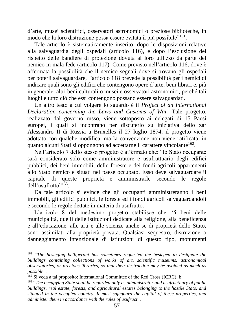d'arte, musei scientifici, osservatori astronomici o preziose biblioteche, in modo che la loro distruzione possa essere evitata il più possibile"<sup>161</sup>.

Tale articolo è sistematicamente inserito, dopo le disposizioni relative alla salvaguardia degli ospedali (articolo 116), e dopo l'esclusione del rispetto delle bandiere di protezione dovuta al loro utilizzo da parte del nemico in mala fede (articolo 117). Come previsto nell'articolo 116, dove è affermata la possibilità che il nemico segnali dove si trovano gli ospedali per poterli salvaguardare, l'articolo 118 prevede la possibilità per i nemici di indicare quali sono gli edifici che contengono opere d'arte, beni librari e, più in generale, altri beni culturali o musei e osservatori astronomici, perché tali luoghi e tutto ciò che essi contengono possano essere salvaguardati.

Un altro testo a cui volgere lo sguardo è il *Project of an International Declaration concerning the Laws and Customs of War*. Tale progetto, realizzato dal governo russo, viene sottoposto ai delegati di 15 Paesi europei, i quali si incontrano per discuterlo su iniziativa dello zar Alessandro II di Russia a Bruxelles il 27 luglio 1874, il progetto viene adottato con qualche modifica, ma la convenzione non viene ratificata, in quanto alcuni Stati si oppongono ad accettarne il carattere vincolante<sup>162</sup>.

Nell'articolo 7 dello stesso progetto è affermato che: "lo Stato occupante sarà considerato solo come amministratore e usufruttuario degli edifici pubblici, dei beni immobili, delle foreste e dei fondi agricoli appartenenti allo Stato nemico e situati nel paese occupato. Esso deve salvaguardare il capitale di queste proprietà e amministrarle secondo le regole dell'usufrutto"<sup>163</sup>.

Da tale articolo si evince che gli occupanti amministreranno i beni immobili, gli edifici pubblici, le foreste ed i fondi agricoli salvaguardandoli e secondo le regole dettate in materia di usufrutto.

L'articolo 8 del medesimo progetto stabilisce che: "i beni delle municipalità, quelli delle istituzioni dedicate alla religione, alla beneficenza e all'educazione, alle arti e alle scienze anche se di proprietà dello Stato, sono assimilati alla proprietà privata. Qualsiasi sequestro, distruzione o danneggiamento intenzionale di istituzioni di questo tipo, monumenti

<sup>&</sup>lt;sup>161</sup> "The besieging belligerant has sometimes requested the besieged to designate the *buildings containing collections of works of art, scientific museums, astronomical observatories, or precious libraries, so that their destruction may be avoided as much as possible*".

<sup>162</sup> Si veda a tal proposito: International Committee of the Red Cross (ICRC), b.

<sup>163</sup> "*The occupying State shall be regarded only as administrator and usufructuary of public buildings, real estate, forests, and agricultural estates belonging to the hostile State, and situated in the occupied country. It must safeguard the capital of these properties, and administer them in accordance with the rules of usufruct*".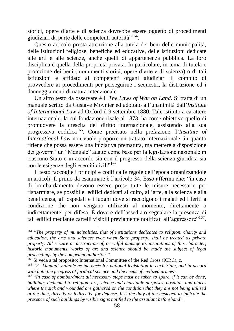storici, opere d'arte e di scienza dovrebbe essere oggetto di procedimenti giudiziari da parte delle competenti autorità"<sup>164</sup>.

Questo articolo presta attenzione alla tutela dei beni delle municipalità, delle istituzioni religiose, benefiche ed educative, delle istituzioni dedicate alle arti e alle scienze, anche quelli di appartenenza pubblica. La loro disciplina è quella della proprietà privata. In particolare, in tema di tutela e protezione dei beni (monumenti storici, opere d'arte e di scienza) o di tali istituzioni è affidato ai competenti organi giudiziari il compito di provvedere ai procedimenti per perseguirne i sequestri, la distruzione ed i danneggiamenti di natura intenzionale.

Un altro testo da osservare è il *The Laws of War on Land*. Si tratta di un manuale scritto da Gustave Moynier ed adottato all'unanimità dall'*Institute of International Law* ad Oxford il 9 settembre 1880. Tale istituto a carattere internazionale, la cui fondazione risale al 1873, ha come obiettivo quello di promuovere la crescita del diritto internazionale, assistendo alla sua progressiva codifica<sup>165</sup>. Come precisato nella prefazione, l'*Institute of International Law* non vuole proporre un trattato internazionale, in quanto ritiene che possa essere una iniziativa prematura, ma mettere a disposizione dei governi "un "Manuale" adatto come base per la legislazione nazionale in ciascuno Stato e in accordo sia con il progresso della scienza giuridica sia con le esigenze degli eserciti civili"<sup>166</sup>.

Il testo raccoglie i principi e codifica le regole dell'epoca organizzandole in articoli. Il primo da esaminare è l'articolo 34. Esso afferma che: "in caso di bombardamento devono essere prese tutte le misure necessarie per risparmiare, se possibile, edifici dedicati al culto, all'arte, alla scienza e alla beneficenza, gli ospedali e i luoghi dove si raccolgono i malati ed i feriti a condizione che non vengano utilizzati al momento, direttamente o indirettamente, per difesa. È dovere dell'assediato segnalare la presenza di tali edifici mediante cartelli visibili previamente notificati all'aggressore"<sup>167</sup>.

<sup>164</sup> "*The property of municipalities, that of institutions dedicated to religion, charity and education, the arts and sciences even when State property, shall be treated as private property. All seizure or destruction of, or wilful damage to, institutions of this character, historic monuments, works of art and science should be made the subject of legal proceedings by the competent authorities*".

<sup>&</sup>lt;sup>165</sup> Si veda a tal proposito: International Committee of the Red Cross (ICRC), c.

<sup>166</sup> "*A ʻManual' suitable as the basis for national legislation in each State, and in accord with both the progress of juridical science and the needs of civilized armies*".

<sup>&</sup>lt;sup>167</sup> "In case of bombardment all necessary steps must be taken to spare, if it can be done, *buildings dedicated to religion, art, science and charitable purposes, hospitals and places where the sick and wounded are gathered on the condition that they are not being utilized at the time, directly or indirectly, for defense. It is the duty of the besieged to indicate the presence of such buildings by visible signs notified to the assailant beforehand*".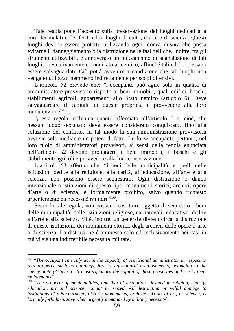Tale regola pone l'accento sulla preservazione dei luoghi dedicati alla cura dei malati e dei feriti ed ai luoghi di culto, d'arte e di scienza. Questi luoghi devono essere protetti, utilizzando ogni idonea misura che possa evitarne il danneggiamento o la distruzione nelle fasi belliche. Inoltre, tra gli strumenti utilizzabili, è annoverato un meccanismo di segnalazione di tali luoghi, preventivamente comunicato al nemico, affinché tali edifici possano essere salvaguardati. Ciò potrà avvenire a condizione che tali luoghi non vengano utilizzati nemmeno indirettamente per scopi difensivi.

L'articolo 52 prevede che: "l'occupante può agire solo in qualità di amministratore provvisorio rispetto ai beni immobili, quali edifici, boschi, stabilimenti agricoli, appartenenti allo Stato nemico (articolo 6). Deve salvaguardare il capitale di queste proprietà e provvedere alla loro manutenzione"<sup>168</sup>.

Questa regola, richiama quanto affermato all'articolo 6 e, cioè, che nessun luogo occupato deve essere considerato conquistato, fino alla soluzione del conflitto, in tal modo la sua amministrazione provvisoria avviene solo mediante un potere di fatto. Le forze occupanti, pertanto, nel loro ruolo di amministratori provvisori, ai sensi della regola enunciata nell'articolo 52 devono proteggere i beni immobili, i boschi e gli stabilimenti agricoli e provvedere alla loro conservazione.

L'articolo 53 afferma che: "i beni delle municipalità, e quelli delle istituzioni dedite alla religione, alla carità, all'educazione, all'arte e alla scienza, non possono essere sequestrati. Ogni distruzione o danno intenzionale a istituzioni di questo tipo, monumenti storici, archivi, opere d'arte o di scienza, è formalmente proibito, salvo quando richiesto urgentemente da necessità militari"<sup>169</sup>.

Secondo tale regola, non possono costituire oggetto di sequestro i beni delle municipalità, delle istituzioni religiose, caritatevoli, educative, dedite all'arte e alla scienza. Vi è, inoltre, un generale divieto circa la distruzione di queste istituzioni, dei monumenti storici, degli archivi, delle opere d'arte o di scienza. La distruzione è ammessa solo ed esclusivamente nei casi in cui vi sia una indifferibile necessità militare.

<sup>168</sup> "*The occupant can only act in the capacity of provisional administrator in respect to real property, such as buildings, forests, agricultural establishments, belonging to the enemy State (Article 6). It must safeguard the capital of these properties and see to their maintenance*".

<sup>169</sup> "*The property of municipalities, and that of institutions devoted to religion, charity, education, art and science, cannot be seized. All destruction or wilful damage to institutions of this character, historic monuments, archives, Works of art, or science, is formally forbidden, save when urgently demanded by military necessity*".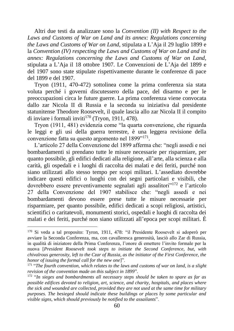Altri due testi da analizzare sono la *Convention (II) with Respect to the Laws and Customs of War on Land and its annex: Regulations concerning the Laws and Customs of War on Land*, stipulata a L'Aja il 29 luglio 1899 e la *Convention (IV) respecting the Laws and Customs of War on Land and its annex: Regulations concerning the Laws and Customs of War on Land*, stipulata a L'Aja il 18 ottobre 1907. Le Convenzioni de L'Aja del 1899 e del 1907 sono state stipulate rispettivamente durante le conferenze di pace del 1899 e del 1907.

Tryon (1911, 470-472) sottolinea come la prima conferenza sia stata voluta perché i governi discutessero della pace, del disarmo e per le preoccupazioni circa le future guerre. La prima conferenza viene convocata dallo zar Nicola II di Russia e la seconda su iniziativa dal presidente statunitense Theodore Roosevelt, il quale lascia allo zar Nicola II il compito di inviare i formali inviti<sup>170</sup> (Tryon, 1911, 478).

Tryon (1911, 481) evidenzia come "la quarta convenzione, che riguarda le leggi e gli usi della guerra terrestre, è una leggera revisione della convenzione fatta su questo argomento nel 1899"<sup>171</sup>.

L'articolo 27 della Convenzione del 1899 afferma che: "negli assedi e nei bombardamenti si prendano tutte le misure necessarie per risparmiare, per quanto possibile, gli edifici dedicati alla religione, all'arte, alla scienza e alla carità, gli ospedali e i luoghi di raccolta dei malati e dei feriti, purché non siano utilizzati allo stesso tempo per scopi militari. L'assediato dovrebbe indicare questi edifici o luoghi con dei segni particolari e visibili, che dovrebbero essere preventivamente segnalati agli assalitori"<sup>172</sup> e l'articolo 27 della Convenzione del 1907 stabilisce che: "negli assedi e nei bombardamenti devono essere prese tutte le misure necessarie per risparmiare, per quanto possibile, edifici dedicati a scopi religiosi, artistici, scientifici o caritatevoli, monumenti storici, ospedali e luoghi di raccolta dei malati e dei feriti, purché non siano utilizzati all'epoca per scopi militari. È

<sup>170</sup> Si veda a tal proposito: Tyron, 1911, 478: "il Presidente Roosevelt si adoperò per avviare la Seconda Conferenza, ma, con cavalleresca generosità, lasciò allo Zar di Russia, in qualità di iniziatore della Prima Conferenza, l'onore di emettere l'invito formale per la nuova [*President Roosevelt took steps to initiate the Second Conference, but, with chivalrous generosity, left to the Czar of Russia, as the initiator of the First Conference, the honor of issuing the formal call for the new one*]".

<sup>171</sup> "*The fourth convention, which relates to the laws and customs of war on land, is a slight revision of the convention made on this subject in 1899*".

<sup>172</sup> "*In sieges and bombardments all necessary steps should be taken to spare as far as possible edifices devoted to religion, art, science, and charity, hospitals, and places where the sick and wounded are collected, provided they are not used at the same time for military purposes. The besieged should indicate these buildings or places by some particular and visible signs, which should previously be notified to the assailants*".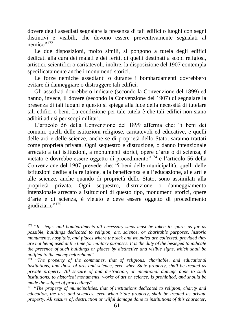dovere degli assediati segnalare la presenza di tali edifici o luoghi con segni distintivi e visibili, che devono essere preventivamente segnalati al nemico"<sup>173</sup>.

Le due disposizioni, molto simili, si pongono a tutela degli edifici dedicati alla cura dei malati e dei feriti, di quelli destinati a scopi religiosi, artistici, scientifici o caritatevoli, inoltre, la disposizione del 1907 contempla specificatamente anche i monumenti storici.

Le forze nemiche assedianti o durante i bombardamenti dovrebbero evitare di danneggiare o distruggere tali edifici.

Gli assediati dovrebbero indicare (secondo la Convenzione del 1899) ed hanno, invece, il dovere (secondo la Convenzione del 1907) di segnalare la presenza di tali luoghi e questo si spiega alla luce della necessità di tutelare tali edifici o beni. La condizione per tale tutela è che tali edifici non siano adibiti ad usi per scopi militari.

L'articolo 56 della Convenzione del 1899 afferma che: "i beni dei comuni, quelli delle istituzioni religiose, caritatevoli ed educative, e quelli delle arti e delle scienze, anche se di proprietà dello Stato, saranno trattati come proprietà privata. Ogni sequestro e distruzione, o danno intenzionale arrecato a tali istituzioni, a monumenti storici, opere d'arte o di scienza, è vietato e dovrebbe essere oggetto di procedimento"<sup>174</sup> e l'articolo 56 della Convenzione del 1907 prevede che: "i beni delle municipalità, quelli delle istituzioni dedite alla religione, alla beneficenza e all'educazione, alle arti e alle scienze, anche quando di proprietà dello Stato, sono assimilati alla proprietà privata. Ogni sequestro, distruzione o danneggiamento intenzionale arrecato a istituzioni di questo tipo, monumenti storici, opere d'arte e di scienza, è vietato e deve essere oggetto di procedimento giudiziario"<sup>175</sup>.

<sup>173</sup> "*In sieges and bombardments all necessary steps must be taken to spare, as far as possible, buildings dedicated to religion, art, science, or charitable purposes, historic monuments, hospitals, and places where the sick and wounded are collected, provided they are not being used at the time for military purposes. It is the duty of the besieged to indicate the presence of such buildings or places by distinctive and visible signs, which shall be notified to the enemy beforehand*".

<sup>174</sup> "*The property of the communes, that of religious, charitable, and educational institutions, and those of arts and science, even when State property, shall be treated as private property. All seizure of and destruction, or intentional damage done to such institutions, to historical monuments, works of art or science, is prohibited, and should be made the subject of proceedings*".

<sup>175</sup> "*The property of municipalities, that of institutions dedicated to religion, charity and education, the arts and sciences, even when State property, shall be treated as private property. All seizure of, destruction or wilful damage done to institutions of this character,*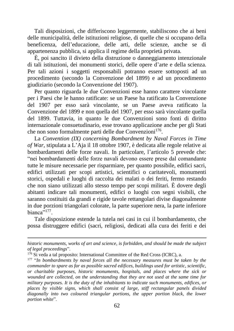Tali disposizioni, che differiscono leggermente, stabiliscono che ai beni delle municipalità, delle istituzioni religiose, di quelle che si occupano della beneficenza, dell'educazione, delle arti, delle scienze, anche se di appartenenza pubblica, si applica il regime della proprietà privata.

È, poi sancito il divieto della distruzione o danneggiamento intenzionale di tali istituzioni, dei monumenti storici, delle opere d'arte e della scienza. Per tali azioni i soggetti responsabili potranno essere sottoposti ad un procedimento (secondo la Convenzione del 1899) e ad un procedimento giudiziario (secondo la Convenzione del 1907).

Per quanto riguarda le due Convenzioni esse hanno carattere vincolante per i Paesi che le hanno ratificate: se un Paese ha ratificato la Convenzione del 1907 per esso sarà vincolante, se un Paese aveva ratificato la Convenzione del 1899 e non quella del 1907, per esso sarà vincolante quella del 1899. Tuttavia, in quanto le due Convenzioni sono fonti di diritto internazionale consuetudinario, esse trovano applicazione anche per gli Stati che non sono formalmente parti delle due Convenzioni<sup>176</sup>.

La *Convention (IX) concerning Bombardment by Naval Forces in Time of War*, stipulata a L'Aja il 18 ottobre 1907, è dedicata alle regole relative ai bombardamenti delle forze navali. In particolare, l'articolo 5 prevede che: "nei bombardamenti delle forze navali devono essere prese dal comandante tutte le misure necessarie per risparmiare, per quanto possibile, edifici sacri, edifici utilizzati per scopi artistici, scientifici o caritatevoli, monumenti storici, ospedali e luoghi di raccolta dei malati o dei feriti, fermo restando che non siano utilizzati allo stesso tempo per scopi militari. È dovere degli abitanti indicare tali monumenti, edifici o luoghi con segni visibili, che saranno costituiti da grandi e rigide tavole rettangolari divise diagonalmente in due porzioni triangolari colorate, la parte superiore nera, la parte inferiore bianca"<sup>177</sup>.

Tale disposizione estende la tutela nei casi in cui il bombardamento, che possa distruggere edifici (sacri, religiosi, dedicati alla cura dei feriti e dei

*historic monuments, works of art and science, is forbidden, and should be made the subject of legal proceedings*".

 $176$  Si veda a tal proposito: International Committee of the Red Cross (ICRC), a.

<sup>177</sup> "*In bombardments by naval forces all the necessary measures must be taken by the commander to spare as far as possible sacred edifices, buildings used for artistic, scientific, or charitable purposes, historic monuments, hospitals, and places where the sick or wounded are collected, on the understanding that they are not used at the same time for military purposes. It is the duty of the inhabitants to indicate such monuments, edifices, or places by visible signs, which shall consist of large, stiff rectangular panels divided diagonally into two coloured triangular portions, the upper portion black, the lower portion white*".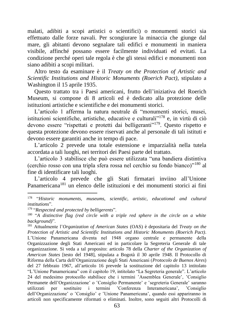malati, adibiti a scopi artistici o scientifici) o monumenti storici sia effettuato dalle forze navali. Per scongiurare la minaccia che giunge dal mare, gli abitanti devono segnalare tali edifici e monumenti in maniera visibile, affinché possano essere facilmente individuati ed evitati. La condizione perché operi tale regola è che gli stessi edifici e monumenti non siano adibiti a scopi militari.

Altro testo da esaminare è il *Treaty on the Protection of Artistic and Scientific Institutions and Historic Monuments (Roerich Pact)*, stipulato a Washington il 15 aprile 1935.

Questo trattato tra i Paesi americani, frutto dell'iniziativa del Roerich Museum, si compone di 8 articoli ed è dedicato alla protezione delle istituzioni artistiche e scientifiche e dei monumenti storici.

L'articolo 1 afferma la natura neutrale di "monumenti storici, musei, istituzioni scientifiche, artistiche, educative e culturali<sup>7178</sup> e, in virtù di ciò devono essere "rispettati e protetti dai belligeranti"<sup>179</sup>. Questo rispetto e questa protezione devono essere riservati anche al personale di tali istituti e devono essere garantiti anche in tempo di pace.

L'articolo 2 prevede una totale estensione e imparzialità nella tutela accordata a tali luoghi, nei territori dei Paesi parte del trattato.

L'articolo 3 stabilisce che può essere utilizzata "una bandiera distintiva (cerchio rosso con una tripla sfera rossa nel cerchio su fondo bianco)"<sup>180</sup> al fine di identificare tali luoghi.

L'articolo 4 prevede che gli Stati firmatari inviino all'Unione Panamericana<sup>181</sup> un elenco delle istituzioni e dei monumenti storici ai fini

<sup>178</sup> "*Historic monuments, museums, scientific, artistic, educational and cultural institutions*".

<sup>179</sup> "*Respected and protected by belligerents*".

<sup>&</sup>lt;sup>180</sup> "A distinctive flag (red circle with a triple red sphere in the circle on a white *background)*".

<sup>181</sup> Attualmente l'*Organization of American States* (OAS) è depositaria del *Treaty on the Protection of Artistic and Scientific Institutions and Historic Monuments (Roerich Pact)*. L'Unione Panamericana diventa nel 1948 organo centrale e permanente della Organizzazione degli Stati Americani ed in particolare la Segreteria Generale di tale organizzazione. Si veda a tal proposito: articolo 78 della *Charter of the Organization of American States* [testo del 1948], stipulata a Bogotà il 30 aprile 1948. Il Protocollo di Riforma della Carta dell'Organizzazione degli Stati Americani (*Protocolo de Buenos Aires*) del 27 febbraio 1967, all'articolo 16 prevede la sostituzione del capitolo 13 intitolato "L'Unione Panamericana" con il capitolo 19, intitolato "La Segreteria generale". L'articolo 24 del medesimo protocollo stabilisce che i termini ʽAssemblea Generale', ʽConsiglio Permanete dell'Organizzazione' o 'Consiglio Permanente' e 'segreteria Generale' saranno utilizzati per sostituire i termini ʽConferenza Interamericana', ʽConsiglio dell'Organizzazione' o 'Consiglio' e 'Unione Panamericana', quando essi appariranno in articoli non specificamente riformati o eliminati. Inoltre, sono seguiti altri Protocolli di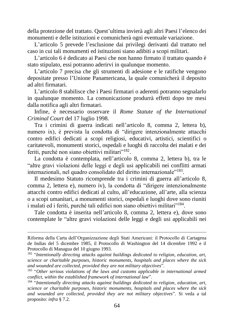della protezione del trattato. Quest'ultima invierà agli altri Paesi l'elenco dei monumenti e delle istituzioni e comunicherà ogni eventuale variazione.

L'articolo 5 prevede l'esclusione dai privilegi derivanti dal trattato nel caso in cui tali monumenti ed istituzioni siano adibiti a scopi militari.

L'articolo 6 è dedicato ai Paesi che non hanno firmato il trattato quando è stato stipulato, essi potranno aderirvi in qualunque momento.

L'articolo 7 precisa che gli strumenti di adesione e le ratifiche vengono depositate presso l'Unione Panamericana, la quale comunicherà il deposito ad altri firmatari.

L'articolo 8 stabilisce che i Paesi firmatari o aderenti potranno segnalarlo in qualunque momento. La comunicazione produrrà effetti dopo tre mesi dalla notifica agli altri firmatari.

Infine, è necessario osservare il *Rome Statute of the International Criminal Court* del 17 luglio 1998.

Tra i crimini di guerra indicati nell'articolo 8, comma 2, lettera b), numero ix), è prevista la condotta di "dirigere intenzionalmente attacchi contro edifici dedicati a scopi religiosi, educativi, artistici, scientifici o caritatevoli, monumenti storici, ospedali e luoghi di raccolta dei malati e dei feriti, purché non siano obiettivi militari"<sup>182</sup>.

La condotta è contemplata, nell'articolo 8, comma 2, lettera b), tra le "altre gravi violazioni delle leggi e degli usi applicabili nei conflitti armati internazionali, nel quadro consolidato del diritto internazionale"<sup>183</sup>.

Il medesimo Statuto ricomprende tra i crimini di guerra all'articolo 8, comma 2, lettera e), numero iv), la condotta di "dirigere intenzionalmente attacchi contro edifici dedicati al culto, all'educazione, all'arte, alla scienza o a scopi umanitari, a monumenti storici, ospedali e luoghi dove sono riuniti i malati ed i feriti, purché tali edifici non siano obiettivi militari"<sup>184</sup>.

Tale condotta è inserita nell'articolo 8, comma 2, lettera e), dove sono contemplate le "altre gravi violazioni delle leggi e degli usi applicabili nei

Riforma della Carta dell'Organizzazione degli Stati Americani: il Protocollo di Cartagena de Indias del 5 dicembre 1985, il Protocollo di Washington del 14 dicembre 1992 e il Protocollo di Managua del 10 giugno 1993.

<sup>182</sup> "*Intentionally directing attacks against buildings dedicated to religion, education, art, science or charitable purposes, historic monuments, hospitals and places where the sick and wounded are collected, provided they are not military objectives*".

<sup>183</sup> "*Other serious violations of the laws and customs applicable in international armed conflict, within the established framework of international law*".

<sup>184</sup> "*Intentionally directing attacks against buildings dedicated to religion, education, art, science or charitable purposes, historic monuments, hospitals and places where the sick and wounded are collected, provided they are not military objectives*". Si veda a tal proposito: *infra* § 7.2.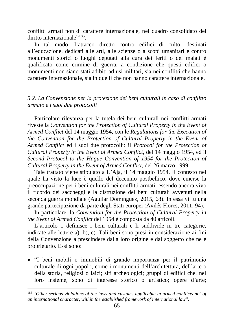conflitti armati non di carattere internazionale, nel quadro consolidato del diritto internazionale"<sup>185</sup>.

In tal modo, l'attacco diretto contro edifici di culto, destinati all'educazione, dedicati alle arti, alle scienze o a scopi umanitari e contro monumenti storici o luoghi deputati alla cura dei feriti o dei malati è qualificato come crimine di guerra, a condizione che questi edifici o monumenti non siano stati adibiti ad usi militari, sia nei conflitti che hanno carattere internazionale, sia in quelli che non hanno carattere internazionale.

### *5.2. La Convenzione per la protezione dei beni culturali in caso di conflitto armato e i suoi due protocolli*

Particolare rilevanza per la tutela dei beni culturali nei conflitti armati riveste la *Convention for the Protection of Cultural Property in the Event of Armed Conflict* del 14 maggio 1954, con le *Regulations for the Execution of the Convention for the Protection of Cultural Property in the Event of Armed Conflict* ed i suoi due protocolli: il *Protocol for the Protection of Cultural Property in the Event of Armed Conflict*, del 14 maggio 1954, ed il Second Protocol to the Hague Convention of 1954 for the Protection of *Cultural Property in the Event of Armed Conflict*, del 26 marzo 1999*.*

Tale trattato viene stipulato a L'Aja, il 14 maggio 1954. Il contesto nel quale ha visto la luce è quello del decennio postbellico, dove emerse la preoccupazione per i beni culturali nei conflitti armati, essendo ancora vivo il ricordo dei saccheggi e la distruzione dei beni culturali avvenuti nella seconda guerra mondiale (Aguilar Domínguez, 2015, 68). In essa vi fu una grande partecipazione da parte degli Stati europei (Avilés Flores, 2011, 94).

In particolare, la *Convention for the Protection of Cultural Property in the Event of Armed Conflict* del 1954 è composta da 40 articoli.

L'articolo 1 definisce i beni culturali e li suddivide in tre categorie, indicate alle lettere a), b), c). Tali beni sono presi in considerazione ai fini della Convenzione a prescindere dalla loro origine e dal soggetto che ne è proprietario. Essi sono:

• "I beni mobili o immobili di grande importanza per il patrimonio culturale di ogni popolo, come i monumenti dell'architettura, dell'arte o della storia, religiosi o laici; siti archeologici; gruppi di edifici che, nel loro insieme, sono di interesse storico o artistico; opere d'arte;

<sup>&</sup>lt;sup>185</sup> "Other serious violations of the laws and customs applicable in armed conflicts not of *an international character, within the established framework of international law*".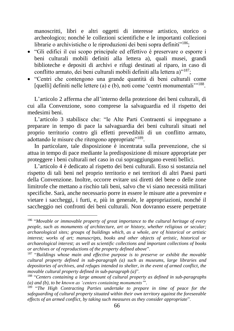manoscritti, libri e altri oggetti di interesse artistico, storico o archeologico; nonché le collezioni scientifiche e le importanti collezioni librarie o archivistiche o le riproduzioni dei beni sopra definiti"<sup>186</sup>;

- "Gli edifici il cui scopo principale ed effettivo è preservare o esporre i beni culturali mobili definiti alla lettera a), quali musei, grandi biblioteche e depositi di archivi e rifugi destinati al riparo, in caso di conflitto armato, dei beni culturali mobili definiti alla lettera a)"<sup>187</sup>;
- "Centri che contengono una grande quantità di beni culturali come [quelli] definiti nelle lettere (a) e (b), noti come 'centri monumentali"<sup>188</sup>.

L'articolo 2 afferma che all'interno della protezione dei beni culturali, di cui alla Convenzione, sono comprese la salvaguardia ed il rispetto dei medesimi beni.

L'articolo 3 stabilisce che: "le Alte Parti Contraenti si impegnano a preparare in tempo di pace la salvaguardia dei beni culturali situati nel proprio territorio contro gli effetti prevedibili di un conflitto armato, adottando le misure che ritengono appropriate"<sup>189</sup>.

In particolare, tale disposizione è incentrata sulla prevenzione, che si attua in tempo di pace mediante la predisposizione di misure appropriate per proteggere i beni culturali nel caso in cui sopraggiungano eventi bellici.

L'articolo 4 è dedicato al rispetto dei beni culturali. Esso si sostanzia nel rispetto di tali beni nel proprio territorio e nei territori di altri Paesi parti della Convenzione. Inoltre, occorre evitare usi diretti del bene o delle zone limitrofe che mettano a rischio tali beni, salvo che vi siano necessità militari specifiche. Sarà, anche necessario porre in essere le misure atte a prevenire e vietare i saccheggi, i furti, e, più in generale, le appropriazioni, nonché il saccheggio nei confronti dei beni culturali. Non dovranno essere perpetrate

<sup>186</sup> "*Movable or immovable property of great importance to the cultural heritage of every people, such as monuments of architecture, art or history, whether religious or secular; archaeological sites; groups of buildings which, as a whole, are of historical or artistic interest; works of art; manuscripts, books and other objects of artistic, historical or archaeological interest; as well as scientific collections and important collections of books or archives or of reproductions of the property defined above*".

<sup>187</sup> "*Buildings whose main and effective purpose is to preserve or exhibit the movable cultural property defined in sub-paragraph (a) such as museums, large libraries and depositories of archives, and refuges intended to shelter, in the event of armed conflict, the movable cultural property defined in sub-paragraph (a)*".

<sup>188</sup> "*Centers containing a large amount of cultural property as defined in sub-paragraphs (a) and (b), to be known as ʻcenters containing monuments'*".

<sup>189</sup> "*The High Contracting Parties undertake to prepare in time of peace for the safeguarding of cultural property situated within their own territory against the foreseeable effects of an armed conflict, by taking such measures as they consider appropriate*".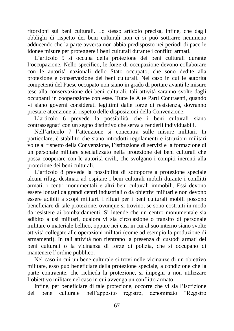ritorsioni sui beni culturali. Lo stesso articolo precisa, infine, che dagli obblighi di rispetto dei beni culturali non ci si può sottrarre nemmeno adducendo che la parte avversa non abbia predisposto nei periodi di pace le idonee misure per proteggere i beni culturali durante i conflitti armati.

L'articolo 5 si occupa della protezione dei beni culturali durante l'occupazione. Nello specifico, le forze di occupazione devono collaborare con le autorità nazionali dello Stato occupato, che sono dedite alla protezione e conservazione dei beni culturali. Nel caso in cui le autorità competenti del Paese occupato non siano in grado di portare avanti le misure tese alla conservazione dei beni culturali, tali attività saranno svolte dagli occupanti in cooperazione con esse. Tutte le Alte Parti Contraenti, quando vi siano governi considerati legittimi dalle forze di resistenza, dovranno prestare attenzione al rispetto delle disposizioni della Convenzione.

L'articolo 6 prevede la possibilità che i beni culturali siano contrassegnati con un segno distintivo che serva a renderli individuabili.

Nell'articolo 7 l'attenzione si concentra sulle misure militari. In particolare, è stabilito che siano introdotti regolamenti e istruzioni militari volte al rispetto della Convenzione, l'istituzione di servizi e la formazione di un personale militare specializzato nella protezione dei beni culturali che possa cooperare con le autorità civili, che svolgano i compiti inerenti alla protezione dei beni culturali.

L'articolo 8 prevede la possibilità di sottoporre a protezione speciale alcuni rifugi destinati ad ospitare i beni culturali mobili durante i conflitti armati, i centri monumentali e altri beni culturali immobili. Essi devono essere lontani da grandi centri industriali o da obiettivi militari e non devono essere adibiti a scopi militari. I rifugi per i beni culturali mobili possono beneficiare di tale protezione, ovunque si trovino, se sono costruiti in modo da resistere ai bombardamenti. Si intende che un centro monumentale sia adibito a usi militari, qualora vi sia circolazione o transito di personale militare o materiale bellico, oppure nei casi in cui al suo interno siano svolte attività collegate alle operazioni militari (come ad esempio la produzione di armamenti). In tali attività non rientrano la presenza di custodi armati dei beni culturali o la vicinanza di forze di polizia, che si occupano di mantenere l'ordine pubblico.

Nel caso in cui un bene culturale si trovi nelle vicinanze di un obiettivo militare, esso può beneficiare della protezione speciale, a condizione che la parte contraente, che richieda la protezione, si impegni a non utilizzare l'obiettivo militare nel caso in cui avvenga un conflitto armato.

Infine, per beneficiare di tale protezione, occorre che vi sia l'iscrizione del bene culturale nell'apposito registro, denominato "Registro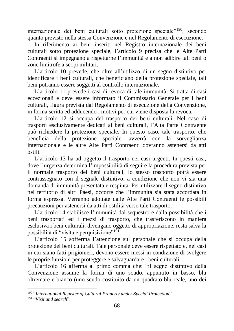internazionale dei beni culturali sotto protezione speciale"<sup>190</sup>, secondo quanto previsto nella stessa Convenzione e nel Regolamento di esecuzione.

In riferimento ai beni inseriti nel Registro internazionale dei beni culturali sotto protezione speciale, l'articolo 9 precisa che le Alte Parti Contraenti si impegnano a rispettarne l'immunità e a non adibire tali beni o zone limitrofe a scopi militari.

L'articolo 10 prevede, che oltre all'utilizzo di un segno distintivo per identificare i beni culturali, che beneficiano della protezione speciale, tali beni potranno essere soggetti al controllo internazionale.

L'articolo 11 prevede i casi di revoca di tale immunità. Si tratta di casi eccezionali e deve essere informato il Commissario Generale per i beni culturali, figura prevista dal Regolamento di esecuzione della Convenzione, in forma scritta ed adducendo i motivi per cui viene disposta la revoca.

L'articolo 12 si occupa del trasporto dei beni culturali. Nel caso di trasporti esclusivamente dedicati ai beni culturali, l'Alta Parte Contraente può richiedere la protezione speciale. In questo caso, tale trasporto, che beneficia della protezione speciale, avverrà con la sorveglianza internazionale e le altre Alte Parti Contraenti dovranno astenersi da atti ostili.

L'articolo 13 ha ad oggetto il trasporto nei casi urgenti. In questi casi, dove l'urgenza determina l'impossibilità di seguire la procedura prevista per il normale trasporto dei beni culturali, lo stesso trasporto potrà essere contrassegnato con il segnale distintivo, a condizione che non vi sia una domanda di immunità presentata e respinta. Per utilizzare il segno distintivo nel territorio di altri Paesi, occorre che l'immunità sia stata accordata in forma espressa. Verranno adottate dalle Alte Parti Contraenti le possibili precauzioni per astenersi da atti di ostilità verso tale trasporto.

L'articolo 14 stabilisce l'immunità dal sequestro e dalla possibilità che i beni trasportati ed i mezzi di trasporto, che trasferiscono in maniera esclusiva i beni culturali, divengano oggetto di appropriazione, resta salva la possibilità di "visita e perquisizione"<sup>191</sup>.

L'articolo 15 sofferma l'attenzione sul personale che si occupa della protezione dei beni culturali. Tale personale deve essere rispettato e, nei casi in cui siano fatti prigionieri, devono essere messi in condizione di svolgere le proprie funzioni per proteggere e salvaguardare i beni culturali.

L'articolo 16 afferma al primo comma che: "il segno distintivo della Convenzione assume la forma di uno scudo, appuntito in basso, blu oltremare e bianco (uno scudo costituito da un quadrato blu reale, uno dei

<sup>190</sup> "*International Register of Cultural Property under Special Protection*".

<sup>191</sup> "*Visit and search*".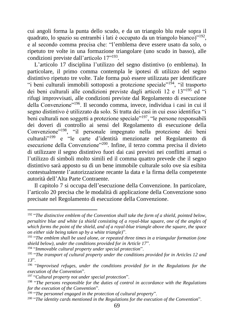cui angoli forma la punta dello scudo, e da un triangolo blu reale sopra il quadrato, lo spazio su entrambi i lati è occupato da un triangolo bianco)"<sup>192</sup>, e al secondo comma precisa che: "l'emblema deve essere usato da solo, o ripetuto tre volte in una formazione triangolare (uno scudo in basso), alle condizioni previste dall'articolo 17"<sup>193</sup>.

L'articolo 17 disciplina l'utilizzo del segno distintivo (o emblema). In particolare, il primo comma contempla le ipotesi di utilizzo del segno distintivo ripetuto tre volte. Tale forma può essere utilizzata per identificare "i beni culturali immobili sottoposti a protezione speciale"<sup>194</sup>, "il trasporto dei beni culturali alle condizioni previste dagli articoli 12 e 13"<sup>195</sup> ed "i rifugi improvvisati, alle condizioni previste dal Regolamento di esecuzione della Convenzione"<sup>196</sup>. Il secondo comma, invece, individua i casi in cui il segno distintivo è utilizzato da solo. Si tratta dei casi in cui esso identifica "i beni culturali non soggetti a protezione speciale<sup>"197</sup>, "le persone responsabili dei doveri di controllo ai sensi del Regolamento di esecuzione della Convenzione"<sup>198</sup>, "il personale impegnato nella protezione dei beni culturali"<sup>199</sup> e "le carte d'identità menzionate nel Regolamento di esecuzione della Convenzione"<sup>200</sup>. Infine, il terzo comma precisa il divieto di utilizzare il segno distintivo fuori dai casi previsti nei conflitti armati o l'utilizzo di simboli molto simili ed il comma quattro prevede che il segno distintivo sarà apposto su di un bene immobile culturale solo ove sia esibita contestualmente l'autorizzazione recante la data e la firma della competente autorità dell'Alta Parte Contraente.

Il capitolo 7 si occupa dell'esecuzione della Convenzione. In particolare, l'articolo 20 precisa che le modalità di applicazione della Convenzione sono precisate nel Regolamento di esecuzione della Convenzione.

<sup>192</sup> "*The distinctive emblem of the Convention shall take the form of a shield, pointed below, persaltire blue and white (a shield consisting of a royal-blue square, one of the angles of which forms the point of the shield, and of a royal-blue triangle above the square, the space on either side being taken up by a white triangle)*".

<sup>193</sup> "*The emblem shall be used alone, or repeated three times in a triangular formation (one shield below), under the conditions provided for in Article 17*".

<sup>194</sup> "*Immovable cultural property under special protection*".

<sup>195</sup> "*The transport of cultural property under the conditions provided for in Articles 12 and 13*".

<sup>196</sup> "*Improvised refuges, under the conditions provided for in the Regulations for the execution of the Convention*".

<sup>197</sup> "*Cultural property not under special protection*".

<sup>198</sup> "*The persons responsible for the duties of control in accordance with the Regulations for the execution of the Convention*".

<sup>199</sup> "*The personnel engaged in the protection of cultural property*".

<sup>200</sup> "*The identity cards mentioned in the Regulations for the execution of the Convention*".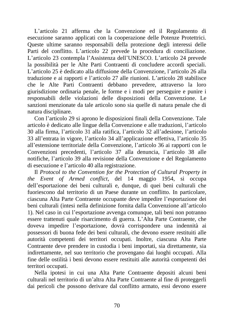L'articolo 21 afferma che la Convenzione ed il Regolamento di esecuzione saranno applicati con la cooperazione delle Potenze Protettrici. Queste ultime saranno responsabili della protezione degli interessi delle Parti del conflitto. L'articolo 22 prevede la procedura di conciliazione. L'articolo 23 contempla l'Assistenza dell'UNESCO. L'articolo 24 prevede la possibilità per le Alte Parti Contraenti di concludere accordi speciali. L'articolo 25 è dedicato alla diffusione della Convenzione, l'articolo 26 alla traduzione e ai rapporti e l'articolo 27 alle riunioni. L'articolo 28 stabilisce che le Alte Parti Contraenti debbano prevedere, attraverso la loro giurisdizione ordinaria penale, le forme e i modi per perseguire e punire i responsabili delle violazioni delle disposizioni della Convenzione. Le sanzioni menzionate da tale articolo sono sia quelle di natura penale che di natura disciplinare.

Con l'articolo 29 si aprono le disposizioni finali della Convenzione. Tale articolo è dedicato alle lingue della Convenzione e alle traduzioni, l'articolo 30 alla firma, l'articolo 31 alla ratifica, l'articolo 32 all'adesione, l'articolo 33 all'entrata in vigore, l'articolo 34 all'applicazione effettiva, l'articolo 35 all'estensione territoriale della Convenzione, l'articolo 36 ai rapporti con le Convenzioni precedenti, l'articolo 37 alla denuncia, l'articolo 38 alle notifiche, l'articolo 39 alla revisione della Convenzione e del Regolamento di esecuzione e l'articolo 40 alla registrazione.

Il *Protocol to the Convention for the Protection of Cultural Property in the Event of Armed conflict*, del 14 maggio 1954, si occupa dell'esportazione dei beni culturali e, dunque, di quei beni culturali che fuoriescono dal territorio di un Paese durante un conflitto. In particolare, ciascuna Alta Parte Contraente occupante deve impedire l'esportazione dei beni culturali (intesi nella definizione fornita dalla Convenzione all'articolo 1). Nel caso in cui l'esportazione avvenga comunque, tali beni non potranno essere trattenuti quale risarcimento di guerra. L'Alta Parte Contraente, che doveva impedire l'esportazione, dovrà corrispondere una indennità ai possessori di buona fede dei beni culturali, che devono essere restituiti alle autorità competenti dei territori occupati. Inoltre, ciascuna Alta Parte Contraente deve prendere in custodia i beni importati, sia direttamente, sia indirettamente, nel suo territorio che provengano dai luoghi occupati. Alla fine delle ostilità i beni devono essere restituiti alle autorità competenti dei territori occupati.

Nella ipotesi in cui una Alta Parte Contraente depositi alcuni beni culturali nel territorio di un'altra Alta Parte Contraente al fine di proteggerli dai pericoli che possono derivare dal conflitto armato, essi devono essere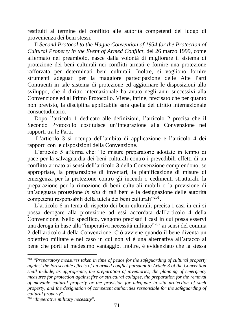restituiti al termine del conflitto alle autorità competenti del luogo di provenienza dei beni stessi.

Il *Second Protocol to the Hague Convention of 1954 for the Protection of Cultural Property in the Event of Armed Conflict*, del 26 marzo 1999, come affermato nel preambolo, nasce dalla volontà di migliorare il sistema di protezione dei beni culturali nei conflitti armati e fornire una protezione rafforzata per determinati beni culturali. Inoltre, si vogliono fornire strumenti adeguati per la maggiore partecipazione delle Alte Parti Contraenti in tale sistema di protezione ed aggiornare le disposizioni allo sviluppo, che il diritto internazionale ha avuto negli anni successivi alla Convenzione ed al Primo Protocollo. Viene, infine, precisato che per quanto non previsto, la disciplina applicabile sarà quella del diritto internazionale consuetudinario.

Dopo l'articolo 1 dedicato alle definizioni, l'articolo 2 precisa che il Secondo Protocollo costituisce un'integrazione alla Convenzione nei rapporti tra le Parti.

L'articolo 3 si occupa dell'ambito di applicazione e l'articolo 4 dei rapporti con le disposizioni della Convenzione.

L'articolo 5 afferma che: "le misure preparatorie adottate in tempo di pace per la salvaguardia dei beni culturali contro i prevedibili effetti di un conflitto armato ai sensi dell'articolo 3 della Convenzione comprendono, se appropriate, la preparazione di inventari, la pianificazione di misure di emergenza per la protezione contro gli incendi o cedimenti strutturali, la preparazione per la rimozione di beni culturali mobili o la previsione di un'adeguata protezione *in situ* di tali beni e la designazione delle autorità competenti responsabili della tutela dei beni culturali"<sup>201</sup>.

L'articolo 6 in tema di rispetto dei beni culturali, precisa i casi in cui si possa derogare alla protezione ad essi accordata dall'articolo 4 della Convenzione. Nello specifico, vengono precisati i casi in cui possa esservi una deroga in base alla "imperativa necessità militare"<sup>202</sup> ai sensi del comma 2 dell'articolo 4 della Convenzione. Ciò avviene quando il bene diventa un obiettivo militare e nel caso in cui non vi è una alternativa all'attacco al bene che porti al medesimo vantaggio. Inoltre, è evidenziato che la stessa

<sup>201</sup> "*Preparatory measures taken in time of peace for the safeguarding of cultural property against the foreseeable effects of an armed conflict pursuant to Article 3 of the Convention shall include, as appropriate, the preparation of inventories, the planning of emergency measures for protection against fire or structural collapse, the preparation for the removal of movable cultural property or the provision for adequate in situ protection of such property, and the designation of competent authorities responsible for the safeguarding of cultural property*".

<sup>202</sup> "*Imperative military necessity*".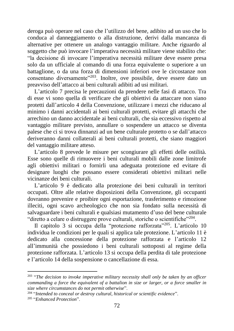deroga può operare nel caso che l'utilizzo del bene, adibito ad un uso che lo conduca al danneggiamento o alla distruzione, derivi dalla mancanza di alternative per ottenere un analogo vantaggio militare. Anche riguardo al soggetto che può invocare l'imperativa necessità militare viene stabilito che: "la decisione di invocare l'imperativa necessità militare deve essere presa solo da un ufficiale al comando di una forza equivalente o superiore a un battaglione, o da una forza di dimensioni inferiori ove le circostanze non consentano diversamente"<sup>203</sup>. Inoltre, ove possibile, deve essere dato un preavviso dell'attacco ai beni culturali adibiti ad usi militari.

L'articolo 7 precisa le precauzioni da prendere nelle fasi di attacco. Tra di esse vi sono quella di verificare che gli obiettivi da attaccare non siano protetti dall'articolo 4 della Convenzione, utilizzare i mezzi che riducano al minimo i danni accidentali ai beni culturali protetti, evitare gli attacchi che arrechino un danno accidentale ai beni culturali, che sia eccessivo rispetto al vantaggio militare previsto, annullare o sospendere un attacco se diventa palese che ci si trova dinnanzi ad un bene culturale protetto o se dall'attacco deriveranno danni collaterali ai beni culturali protetti, che siano maggiori del vantaggio militare atteso.

L'articolo 8 prevede le misure per scongiurare gli effetti delle ostilità. Esse sono quelle di rimuovere i beni culturali mobili dalle zone limitrofe agli obiettivi militari o fornirli una adeguata protezione ed evitare di designare luoghi che possano essere considerati obiettivi militari nelle vicinanze dei beni culturali.

L'articolo 9 è dedicato alla protezione dei beni culturali in territori occupati. Oltre alle relative disposizioni della Convenzione, gli occupanti dovranno prevenire e proibire ogni esportazione, trasferimento e rimozione illeciti, ogni scavo archeologico che non sia fondato sulla necessità di salvaguardare i beni culturali e qualsiasi mutamento d'uso del bene culturale "diretto a celare o distruggere prove culturali, storiche o scientifiche"<sup>204</sup>.

Il capitolo 3 si occupa della "protezione rafforzata"<sup>205</sup>. L'articolo 10 individua le condizioni per le quali si applica tale protezione. L'articolo 11 è dedicato alla concessione della protezione rafforzata e l'articolo 12 all'immunità che possiedono i beni culturali sottoposti al regime della protezione rafforzata. L'articolo 13 si occupa della perdita di tale protezione e l'articolo 14 della sospensione o cancellazione di essa.

<sup>203</sup> "*The decision to invoke imperative military necessity shall only be taken by an officer commanding a force the equivalent of a battalion in size or larger, or a force smaller in size where circumstances do not permit otherwise*".

<sup>204</sup> "*Intended to conceal or destroy cultural, historical or scientific evidence*". 205 "*Enhanced Protection*".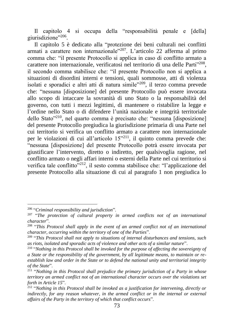Il capitolo 4 si occupa della "responsabilità penale e [della] giurisdizione"<sup>206</sup>.

Il capitolo 5 è dedicato alla "protezione dei beni culturali nei conflitti armati a carattere non internazionale"<sup>207</sup>. L'articolo 22 afferma al primo comma che: "il presente Protocollo si applica in caso di conflitto armato a carattere non internazionale, verificatosi nel territorio di una delle Parti<sup>1208</sup>, il secondo comma stabilisce che: "il presente Protocollo non si applica a situazioni di disordini interni e tensioni, quali sommosse, atti di violenza isolati e sporadici e altri atti di natura simile"<sup>209</sup>, il terzo comma prevede che: "nessuna [disposizione] del presente Protocollo può essere invocata allo scopo di intaccare la sovranità di uno Stato o la responsabilità del governo, con tutti i mezzi legittimi, di mantenere o ristabilire la legge e l'ordine nello Stato o di difendere l'unità nazionale e integrità territoriale dello Stato"<sup>210</sup>, nel quarto comma è precisato che: "nessuna [disposizione] del presente Protocollo pregiudica la giurisdizione primaria di una Parte nel cui territorio si verifica un conflitto armato a carattere non internazionale per le violazioni di cui all'articolo  $15^{321}$ , il quinto comma prevede che: "nessuna [disposizione] del presente Protocollo potrà essere invocata per giustificare l'intervento, diretto o indiretto, per qualsivoglia ragione, nel conflitto armato o negli affari interni o esterni della Parte nel cui territorio si verifica tale conflitto"<sup>212</sup>, il sesto comma stabilisce che: "l'applicazione del presente Protocollo alla situazione di cui al paragrafo 1 non pregiudica lo

<sup>206</sup> "*Criminal responsibility and jurisdiction*".

<sup>207</sup> "*The protection of cultural property in armed conflicts not of an international character*".

<sup>208</sup> "*This Protocol shall apply in the event of an armed conflict not of an international character, occurring within the territory of one of the Parties*".

<sup>209</sup> "*This Protocol shall not apply to situations of internal disturbances and tensions, such as riots, isolated and sporadic acts of violence and other acts of a similar nature*".

<sup>210</sup> "*Nothing in this Protocol shall be invoked for the purpose of affecting the sovereignty of a State or the responsibility of the government, by all legitimate means, to maintain or reestablish law and order in the State or to defend the national unity and territorial integrity of the State*".

<sup>211</sup> "*Nothing in this Protocol shall prejudice the primary jurisdiction of a Party in whose territory an armed conflict not of an international character occurs over the violations set forth in Article 15*".

<sup>212</sup> "*Nothing in this Protocol shall be invoked as a justification for intervening, directly or indirectly, for any reason whatever, in the armed conflict or in the internal or external affairs of the Party in the territory of which that conflict occurs*".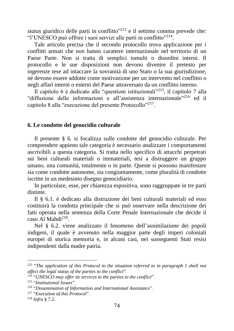*status* giuridico delle parti in conflitto<sup>"213</sup> e il settimo comma prevede che: "l'UNESCO può offrire i suoi servizi alle parti in conflitto"<sup>214</sup>.

Tale articolo precisa che il secondo protocollo trova applicazione per i conflitti armati che non hanno carattere internazionale nel territorio di un Paese Parte. Non si tratta di semplici tumulti o disordini interni. Il protocollo e le sue disposizioni non devono divenire il pretesto per ingerenze tese ad intaccare la sovranità di uno Stato o la sua giurisdizione, né devono essere addotte come motivazione per un intervento nel conflitto o negli affari interni o esterni del Paese attraversato da un conflitto interno.

Il capitolo 6 è dedicato alle "questioni istituzionali"<sup>215</sup>, il capitolo 7 alla "diffusione delle informazioni e all'assistenza internazionale"<sup>216</sup> ed il capitolo 8 alla "esecuzione del presente Protocollo"<sup>217</sup>.

#### **6. Le condotte del genocidio culturale**

Il presente § 6. si focalizza sulle condotte del genocidio culturale. Per comprendere appieno tale categoria è necessario analizzare i comportamenti ascrivibili a questa categoria. Si tratta nello specifico di attacchi perpetrati sui beni culturali materiali o immateriali, tesi a distruggere un gruppo umano, una comunità, totalmente o in parte. Queste si possono manifestare sia come condotte autonome, sia congiuntamente, come pluralità di condotte iscritte in un medesimo disegno genocidiario.

In particolare, esse, per chiarezza espositiva, sono raggruppate in tre parti distinte.

Il § 6.1. è dedicato alla distruzione dei beni culturali materiali ed esso costituirà la condotta principale che si può osservare nella descrizione dei fatti operata nella sentenza della Corte Penale Internazionale che decide il caso Al Mahdi<sup>218</sup>.

Nel § 6.2. viene analizzato il fenomeno dell'assimilazione dei popoli indigeni, il quale è avvenuto nella maggior parte degli imperi coloniali europei di storica memoria e, in alcuni casi, nei susseguenti Stati resisi indipendenti dalla madre patria.

<sup>213</sup> "*The application of this Protocol to the situation referred to in paragraph 1 shall not affect the legal status of the parties to the conflict*".

<sup>214</sup> "*UNESCO may offer its services to the parties to the conflict*".

<sup>215</sup> "*Institutional Issues*".

<sup>216</sup> "*Dissemination of Information and International Assistance*".

<sup>217</sup> "*Execution of this Protocol*".

<sup>218</sup> *Infra* § 7.2.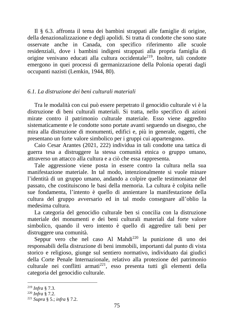Il § 6.3. affronta il tema dei bambini strappati alle famiglie di origine, della denazionalizzazione e degli apolidi. Si tratta di condotte che sono state osservate anche in Canada, con specifico riferimento alle scuole residenziali, dove i bambini indigeni strappati alla propria famiglia di origine venivano educati alla cultura occidentale<sup>219</sup>. Inoltre, tali condotte emergono in quei processi di germanizzazione della Polonia operati dagli occupanti nazisti (Lemkin, 1944, 80).

## *6.1. La distruzione dei beni culturali materiali*

Tra le modalità con cui può essere perpetrato il genocidio culturale vi è la distruzione di beni culturali materiali. Si tratta, nello specifico di azioni mirate contro il patrimonio culturale materiale. Esso viene aggredito sistematicamente e le condotte sono portate avanti seguendo un disegno, che mira alla distruzione di monumenti, edifici e, più in generale, oggetti, che presentano un forte valore simbolico per i gruppi cui appartengono.

Caio Cesar Arantes (2021, 222) individua in tali condotte una tattica di guerra tesa a distruggere la stessa comunità etnica o gruppo umano, attraverso un attacco alla cultura e a ciò che essa rappresenta.

Tale aggressione viene posta in essere contro la cultura nella sua manifestazione materiale. In tal modo, intenzionalmente si vuole minare l'identità di un gruppo umano, andando a colpire quelle testimonianze del passato, che costituiscono le basi della memoria. La cultura è colpita nelle sue fondamenta, l'intento è quello di annientare la manifestazione della cultura del gruppo avversario ed in tal modo consegnare all'oblio la medesima cultura.

La categoria del genocidio culturale ben si concilia con la distruzione materiale dei monumenti e dei beni culturali materiali dal forte valore simbolico, quando il vero intento è quello di aggredire tali beni per distruggere una comunità.

Seppur vero che nel caso Al Mahdi<sup>220</sup> la punizione di uno dei responsabili della distruzione di beni immobili, importanti dal punto di vista storico e religioso, giunge sul sentiero normativo, individuato dai giudici della Corte Penale Internazionale, relativo alla protezione del patrimonio culturale nei conflitti armati<sup>221</sup>, esso presenta tutti gli elementi della categoria del genocidio culturale.

<sup>219</sup> *Infra* § 7.3.

<sup>220</sup> *Infra* § 7.2.

<sup>221</sup> *Supra* § 5.; *infra* § 7.2.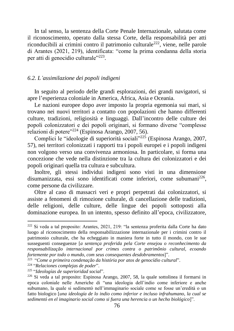In tal senso, la sentenza della Corte Penale Internazionale, salutata come il riconoscimento, operato dalla stessa Corte, della responsabilità per atti riconducibili ai crimini contro il patrimonio culturale<sup>222</sup>, viene, nelle parole di Arantes (2021, 219), identificata: "come la prima condanna della storia per atti di genocidio culturale"<sup>223</sup>.

#### *6.2. L'assimilazione dei popoli indigeni*

In seguito al periodo delle grandi esplorazioni, dei grandi navigatori, si apre l'esperienza coloniale in America, Africa, Asia e Oceania.

Le nazioni europee dopo aver imposto la propria egemonia sui mari, si trovano nei nuovi territori a contatto con popolazioni che hanno differenti culture, tradizioni, religiosità e linguaggi. Dall'incontro delle culture dei popoli colonizzatori e dei popoli originari, si formano diverse "complesse relazioni di potere"<sup>224</sup> (Espinosa Arango, 2007, 56).

Complici le "ideologie di superiorità sociali"<sup>225</sup> (Espinosa Arango, 2007, 57), nei territori colonizzati i rapporti tra i popoli europei e i popoli indigeni non volgono verso una convivenza armoniosa. In particolare, si forma una concezione che vede nella distinzione tra la cultura dei colonizzatori e dei popoli originari quella tra cultura e subcultura.

Inoltre, gli stessi individui indigeni sono visti in una dimensione disumanizzata, essi sono identificati come inferiori, come subumani<sup>226</sup>, come persone da civilizzare.

Oltre al caso di massacri veri e propri perpetrati dai colonizzatori, si assiste a fenomeni di rimozione culturale, di cancellazione delle tradizioni, delle religioni, delle culture, delle lingue dei popoli sottoposti alla dominazione europea. In un intento, spesso definito all'epoca, civilizzatore,

<sup>222</sup> Si veda a tal proposito: Arantes, 2021, 219: "la sentenza proferita dalla Corte ha dato luogo al riconoscimento della responsabilizzazione internazionale per i crimini contro il patrimonio culturale, che ha echeggiato in maniera forte in tutto il mondo, con le sue susseguenti conseguenze [*a sentença proferida pela Corte ensejou o reconhecimento da responsabilização internacional por crimes contra o patrimônio cultural, ecoando fortemente por todo o mundo, com seus consequentes desdobramentos*]".

<sup>223</sup> "*Come a primeira condenação da história por atos de genocídio cultural*".

<sup>224</sup> "*Relaciones complejas de poder*".

<sup>225</sup> "*Ideologías de superioridad social*".

<sup>226</sup> Si veda a tal proposito: Espinosa Arango, 2007, 58, la quale sottolinea il formarsi in epoca coloniale nelle Americhe di "una ideologia dell'indio come inferiore e anche subumano, la quale si sedimentò nell'immaginario sociale come se fosse un'eredità o un fatto biologico [*una ideología de lo indio como inferior e incluso infrahumano, la cual se sedimentó en el imaginario social como si fuera una herencia o un hecho biológico*]".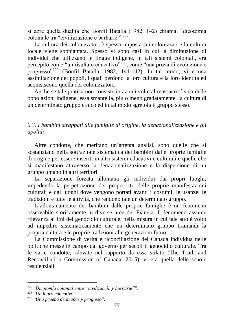si apre quella dualità che Bonfil Batalla (1982, 142) chiama: "dicotomia coloniale tra "civilizzazione e barbarie""227.

La cultura dei colonizzatori è spesso imposta sui colonizzati e la cultura locale viene soppiantata. Spesso vi sono casi in cui la diminuzione di individui che utilizzano le lingue indigene, in tali sistemi coloniali, era percepito come "un risultato educativo"<sup>228</sup>, come "una prova di evoluzione e progresso"<sup>229</sup> (Bonfil Batalla, 1982, 141-142). In tal modo, vi è una assimilazione dei popoli, i quali perdono la loro cultura e la loro identità ed acquisiscono quella dei colonizzatori.

Anche se tale pratica non consiste in azioni volte al massacro fisico delle popolazioni indigene, essa smantella, più o meno gradatamente, la cultura di un determinato gruppo etnico ed in tal modo sgretola il gruppo stesso.

# *6.3. I bambini strappati alle famiglie di origine, la denazionalizzazione e gli apolidi*

Altre condotte, che meritano un'attenta analisi, sono quelle che si sostanziano nella sottrazione sistematica dei bambini dalle proprie famiglie di origine per essere inseriti in altri sistemi educativi e culturali e quelle che si manifestano attraverso la denazionalizzazione e la dispersione di un gruppo umano in altri territori.

La separazione forzata allontana gli individui dai propri luoghi, impedendo la perpetrazione dei propri riti, delle proprie manifestazioni culturali e dai luoghi dove vengono portati avanti i costumi, le usanze, le tradizioni e tutte le attività, che rendono tale un determinato gruppo.

L'allontanamento dei bambini dalle proprie famiglie è un fenomeno osservabile storicamente in diverse aree del Pianeta. Il fenomeno assume rilevanza ai fini del genocidio culturale, nella misura in cui tale atto è volto ad impedire sistematicamente che un determinato gruppo tramandi la propria cultura e le proprie tradizioni alle generazioni future.

La Commissione di verità e riconciliazione del Canada individua nelle politiche messe in campo dal governo per secoli il genocidio culturale. Tra le varie condotte, rilevate nel rapporto da essa stilato (The Truth and Reconciliation Commission of Canada, 2015), vi era quella delle scuole residenziali.

<sup>227</sup> "*Dicotomía colonial entre "civilización y barbarie"*".

<sup>228</sup> "*Un logro educativo*".

<sup>229</sup> "*Una prueba de avance y progreso*".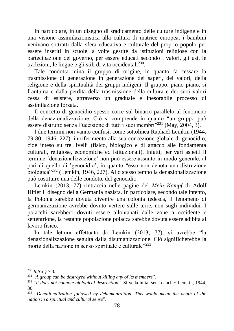In particolare, in un disegno di sradicamento delle culture indigene e in una visione assimilazionistica alla cultura di matrice europea, i bambini venivano sottratti dalla sfera educativa e culturale del proprio popolo per essere inseriti in scuole, a volte gestite da istituzioni religiose con la partecipazione del governo, per essere educati secondo i valori, gli usi, le tradizioni, le lingue e gli stili di vita occidentali<sup>230</sup>.

Tale condotta mina il gruppo di origine, in quanto fa cessare la trasmissione di generazione in generazione dei saperi, dei valori, della religione e della spiritualità dei gruppi indigeni. Il gruppo, piano piano, si frantuma e dalla perdita della trasmissione della cultura e dei suoi valori cessa di esistere, attraverso un graduale e inesorabile processo di assimilazione forzata.

Il concetto di genocidio spesso corre sul binario parallelo al fenomeno della denazionalizzazione. Ciò si comprende in quanto "un gruppo può essere distrutto senza l'uccisione di tutti i suoi membri"<sup>231</sup> (May, 2004, 3).

I due termini non vanno confusi, come sottolinea Raphaël Lemkin (1944, 79-80; 1946, 227), in riferimento alla sua concezione globale di genocidio, cioè inteso su tre livelli (fisico, biologico e di attacco alle fondamenta culturali, religiose, economiche ed istituzionali). Infatti, per vari aspetti il termine 'denazionalizzazione' non può essere assunto in modo generale, al pari di quello di 'genocidio', in quanto "esso non denota una distruzione biologica"<sup>232</sup> (Lemkin, 1946, 227). Allo stesso tempo la denazionalizzazione può costituire una delle condotte del genocidio.

Lemkin (2013, 77) rintraccia nelle pagine del *Mein Kampf* di Adolf Hitler il disegno della Germania nazista. In particolare, secondo tale intento, la Polonia sarebbe dovuta divenire una colonia tedesca, il fenomeno di germanizzazione avrebbe dovuto vertere sulle terre, non sugli individui. I polacchi sarebbero dovuti essere allontanati dalle zone a occidente e settentrione, la restante popolazione polacca sarebbe dovuta essere adibita al lavoro fisico.

In tale lettura effettuata da Lemkin (2013, 77), si avrebbe "la denazionalizzazione seguita dalla disumanizzazione. Ciò significherebbe la morte della nazione in senso spirituale e culturale"<sup>233</sup>.

<sup>230</sup> *Infra* § 7.3.

<sup>231</sup> "*A group can be destroyed without killing any of its members*".

<sup>232</sup> "*It does not connote biological destruction*". Si veda in tal senso anche: Lemkin, 1944, 80.

<sup>233</sup> "*Denationalization followed by dehumanization. This would mean the death of the nation in a spiritual and cultural sense*".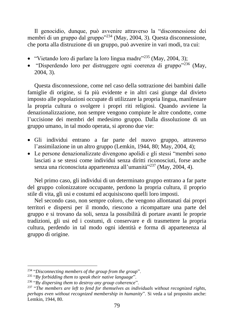Il genocidio, dunque, può avvenire attraverso la "disconnessione dei membri di un gruppo dal gruppo"<sup>234</sup> (May, 2004, 3). Questa disconnessione, che porta alla distruzione di un gruppo, può avvenire in vari modi, tra cui:

- "Vietando loro di parlare la loro lingua madre"<sup>235</sup> (May, 2004, 3):
- "Disperdendo loro per distruggere ogni coerenza di gruppo"<sup>236</sup> (May, 2004, 3).

Questa disconnessione, come nel caso della sottrazione dei bambini dalle famiglie di origine, si fa più evidente e in altri casi giunge dal divieto imposto alle popolazioni occupate di utilizzare la propria lingua, manifestare la propria cultura o svolgere i propri riti religiosi. Quando avviene la denazionalizzazione, non sempre vengono compiute le altre condotte, come l'uccisione dei membri del medesimo gruppo. Dalla dissoluzione di un gruppo umano, in tal modo operata, si aprono due vie:

- Gli individui entrano a far parte del nuovo gruppo, attraverso l'assimilazione in un altro gruppo (Lemkin, 1944, 80; May, 2004, 4);
- Le persone denazionalizzate divengono apolidi e gli stessi "membri sono lasciati a se stessi come individui senza diritti riconosciuti, forse anche senza una riconosciuta appartenenza all'umanità<sup>"237</sup> (May, 2004, 4).

Nel primo caso, gli individui di un determinato gruppo entrano a far parte del gruppo colonizzatore occupante, perdono la propria cultura, il proprio stile di vita, gli usi e costumi ed acquisiscono quelli loro imposti.

Nel secondo caso, non sempre coloro, che vengono allontanati dai propri territori e dispersi per il mondo, riescono a ricompattare una parte del gruppo e si trovano da soli, senza la possibilità di portare avanti le proprie tradizioni, gli usi ed i costumi, di conservare e di trasmettere la propria cultura, perdendo in tal modo ogni identità e forma di appartenenza al gruppo di origine.

<sup>234</sup> "*Disconnecting members of the group from the group*".

<sup>235</sup> "*By forbidding them to speak their native language*".

<sup>236</sup> "*By dispersing them to destroy any group coherence*".

<sup>237</sup> "*The members are left to fend for themselves as individuals without recognized rights, perhaps even without recognized membership in humanity*". Si veda a tal proposito anche: Lemkin, 1944, 80.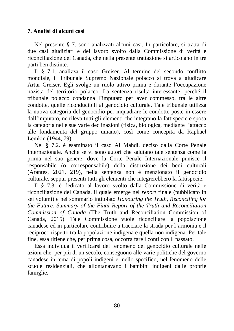# **7. Analisi di alcuni casi**

Nel presente § 7. sono analizzati alcuni casi. In particolare, si tratta di due casi giudiziari e del lavoro svolto dalla Commissione di verità e riconciliazione del Canada, che nella presente trattazione si articolano in tre parti ben distinte.

Il § 7.1. analizza il caso Greiser. Al termine del secondo conflitto mondiale, il Tribunale Supremo Nazionale polacco si trova a giudicare Artur Greiser. Egli svolge un ruolo attivo prima e durante l'occupazione nazista del territorio polacco. La sentenza risulta interessante, perché il tribunale polacco condanna l'imputato per aver commesso, tra le altre condotte, quelle riconducibili al genocidio culturale. Tale tribunale utilizza la nuova categoria del genocidio per inquadrare le condotte poste in essere dall'imputato, ne rileva tutti gli elementi che integrano la fattispecie e sposa la categoria nelle sue varie declinazioni (fisica, biologica, mediante l'attacco alle fondamenta del gruppo umano), così come concepita da Raphaël Lemkin (1944, 79).

Nel § 7.2. è esaminato il caso Al Mahdi, deciso dalla Corte Penale Internazionale. Anche se vi sono autori che salutano tale sentenza come la prima nel suo genere, dove la Corte Penale Internazionale punisce il responsabile (o corresponsabile) della distruzione dei beni culturali (Arantes, 2021, 219), nella sentenza non è menzionato il genocidio culturale, seppur presenti tutti gli elementi che integrerebbero la fattispecie.

Il § 7.3. è dedicato al lavoro svolto dalla Commissione di verità e riconciliazione del Canada, il quale emerge nel *report* finale (pubblicato in sei volumi) e nel sommario intitolato *Honouring the Truth, Reconciling for the Future. Summary of the Final Report of the Truth and Reconciliation Commission of Canada* (The Truth and Reconciliation Commission of Canada, 2015). Tale Commissione vuole riconciliare la popolazione canadese ed in particolare contribuire a tracciare la strada per l'armonia e il reciproco rispetto tra la popolazione indigena e quella non indigena. Per tale fine, essa ritiene che, per prima cosa, occorra fare i conti con il passato.

Essa individua il verificarsi del fenomeno del genocidio culturale nelle azioni che, per più di un secolo, conseguono alle varie politiche del governo canadese in tema di popoli indigeni e, nello specifico, nel fenomeno delle scuole residenziali, che allontanavano i bambini indigeni dalle proprie famiglie.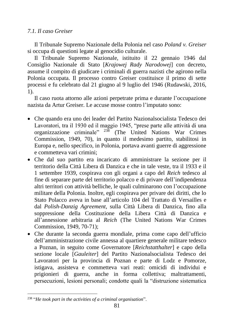# *7.1. Il caso Greiser*

Il Tribunale Supremo Nazionale della Polonia nel caso *Poland v. Greiser* si occupa di questioni legate al genocidio culturale.

Il Tribunale Supremo Nazionale, istituito il 22 gennaio 1946 dal Consiglio Nazionale di Stato [*Krajowej Rady Narodowej*] con decreto, assume il compito di giudicare i criminali di guerra nazisti che agirono nella Polonia occupata. Il processo contro Greiser costituisce il primo di sette processi e fu celebrato dal 21 giugno al 9 luglio del 1946 (Rudawski, 2016, 1).

Il caso ruota attorno alle azioni perpetrate prima e durante l'occupazione nazista da Artur Greiser. Le accuse mosse contro l'imputato sono:

- Che quando era uno dei leader del Partito Nazionalsocialista Tedesco dei Lavoratori, tra il 1930 ed il maggio 1945, "prese parte alle attività di una organizzazione criminale" <sup>238</sup> (The United Nations War Crimes Commission, 1949, 70), in quanto il medesimo partito, stabilitosi in Europa e, nello specifico, in Polonia, portava avanti guerre di aggressione e commetteva vari crimini;
- Che dal suo partito era incaricato di amministrare la sezione per il territorio della Città Libera di Danzica e che in tale veste, tra il 1933 e il 1 settembre 1939, cospirava con gli organi a capo del *Reich* tedesco al fine di separare parte del territorio polacco e di privare dell'indipendenza altri territori con attività belliche, le quali culminarono con l'occupazione militare della Polonia. Inoltre, egli cospirava per privare dei diritti, che lo Stato Polacco aveva in base all'articolo 104 del Trattato di Versailles e dal *Polish-Danzig Agreement*, sulla Città Libera di Danzica, fino alla soppressione della Costituzione della Libera Città di Danzica e all'annessione arbitraria al *Reich* (The United Nations War Crimes Commission, 1949, 70-71);
- Che durante la seconda guerra mondiale, prima come capo dell'ufficio dell'amministrazione civile annessa al quartiere generale militare tedesco a Poznan, in seguito come Governatore [*Reichstatthalter*] e capo della sezione locale [*Gauleiter*] del Partito Nazionalsocialista Tedesco dei Lavoratori per la provincia di Poznan e parte di Lodz e Pomorze, istigava, assisteva e commetteva vari reati: omicidi di individui e prigionieri di guerra, anche in forma collettiva; maltrattamenti, persecuzioni, lesioni personali; condotte quali la "distruzione sistematica

<sup>238</sup> "*He took part in the activities of a criminal organisation*".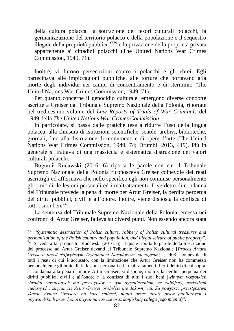della cultura polacca, la sottrazione dei tesori culturali polacchi, la germanizzazione del territorio polacco e della popolazione e il sequestro illegale della proprietà pubblica"<sup>239</sup> e la privazione della proprietà privata appartenente ai cittadini polacchi (The United Nations War Crimes Commission, 1949, 71).

Inoltre, vi furono persecuzioni contro i polacchi e gli ebrei. Egli partecipava alle impiccagioni pubbliche, alle torture che portavano alla morte degli individui nei campi di concentramento e di sterminio (The United Nations War Crimes Commission, 1949, 71).

Per quanto concerne il genocidio culturale, emergono diverse condotte ascritte a Greiser dal Tribunale Supremo Nazionale della Polonia, riportate nel tredicesimo volume del *Law Reports of Trials of War Criminals* del 1949 della *The United Nations War Crimes Commission*.

In particolare, si passa dalle pratiche tese a ridurre l'uso della lingua polacca, alla chiusura di istituzioni scientifiche, scuole, archivi, biblioteche, giornali, fino alla distruzione di monumenti e di opere d'arte (The United Nations War Crimes Commission, 1949, 74; Drumbl, 2013, 419). Più in generale si trattava di una massiccia e sistematica distruzione dei valori culturali polacchi.

Bogumił Rudawski (2016, 6) riporta le parole con cui il Tribunale Supremo Nazionale della Polonia riconosceva Greiser colpevole dei reati ascrittigli ed affermava che nello specifico egli non commise personalmente gli omicidi, le lesioni personali ed i maltrattamenti. Il verdetto di condanna del Tribunale prevede la pena di morte per Artur Greiser, la perdita perpetua dei diritti pubblici, civili e all'onore. Inoltre, viene disposta la confisca di tutti i suoi beni<sup>240</sup>.

La sentenza del Tribunale Supremo Nazionale della Polonia, emessa nei confronti di Artur Greiser, fa leva su diversi punti. Non essendo ancora stata

<sup>239</sup> "*Systematic destruction of Polish culture, robbery of Polish cultural treasures and germanization of the Polish country and population, and illegal seizure of public property*".  $240$  Si veda a tal proposito: Rudawski (2016, 6), il quale riporta le parole della trascrizione del processo ad Artur Greiser davanti al Tribunale Supremo Nazionale [*Proces Artura Greisera przed Najwyższym Trybunałem Narodowym, stenogram*], s. 408: "colpevole di tutti i reati di cui è accusato, con la limitazione che Artur Greiser non ha commesso personalmente gli omicidi, le lesioni personali ed i maltrattamenti. Per i delitti di cui sopra, si condanna alla pena di morte Artur Greiser, si dispone, inoltre, la perdita perpetua dei diritti pubblici, civili e all'onore e la confisca di tutti i suoi beni [*winnym wszystkich zbrodni zarzucanych mu przestępstw, z tym ograniczeniem, że zabójstw, uszkodzeń cielesnych i znęcań się Artur Greiser osobiście nie doko-nywał. Za powyższe przestępstwa skazać Artura Greisera na karę śmierci, nadto orzec utratę praw publicznych i obywatelskich praw honorowych na zawsze oraz konfiskatę całego jego mienia*]".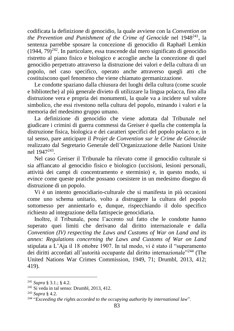codificata la definizione di genocidio, la quale avviene con la *Convention on the Prevention and Punishment of the Crime of Genocide* nel 1948<sup>241</sup>, la sentenza parrebbe sposare la concezione di genocidio di Raphaël Lemkin  $(1944, 79)^{242}$ . In particolare, essa trascende dal mero significato di genocidio ristretto al piano fisico e biologico e accoglie anche la concezione di quel genocidio perpetrato attraverso la distruzione dei valori e della cultura di un popolo, nel caso specifico, operato anche attraverso quegli atti che costituiscono quel fenomeno che viene chiamato germanizzazione.

Le condotte spaziano dalla chiusura dei luoghi della cultura (come scuole e biblioteche) al più generale divieto di utilizzare la lingua polacca, fino alla distruzione vera e propria dei monumenti, la quale va a incidere sul valore simbolico, che essi rivestono nella cultura del popolo, minando i valori e la memoria del medesimo gruppo umano.

La definizione di genocidio che viene adottata dal Tribunale nel giudicare i crimini di guerra commessi da Greiser è quella che contempla la distruzione fisica, biologica e dei caratteri specifici del popolo polacco e, in tal senso, pare anticipare il *Projet de Convention sur le Crime de Génocide* realizzato dal Segretario Generale dell'Organizzazione delle Nazioni Unite nel 1947<sup>243</sup>.

Nel caso Greiser il Tribunale ha rilevato come il genocidio culturale si sia affiancato al genocidio fisico e biologico (uccisioni, lesioni personali, attività dei campi di concentramento e sterminio) e, in questo modo, si evince come queste pratiche possano coesistere in un medesimo disegno di distruzione di un popolo.

Vi è un intento genocidiario-culturale che si manifesta in più occasioni come uno schema unitario, volto a distruggere la cultura del popolo sottomesso per annientarlo e, dunque, rispecchiando il dolo specifico richiesto ad integrazione della fattispecie genocidiaria.

Inoltre, il Tribunale, pone l'accento sul fatto che le condotte hanno superato quei limiti che derivano dal diritto internazionale e dalla *Convention (IV) respecting the Laws and Customs of War on Land and its annex: Regulations concerning the Laws and Customs of War on Land* stipulata a L'Aja il 18 ottobre 1907. In tal modo, vi è stato il "superamento dei diritti accordati all'autorità occupante dal diritto internazionale"<sup>244</sup> (The United Nations War Crimes Commission, 1949, 71; Drumbl, 2013, 412; 419).

<sup>241</sup> *Supra* § 3.1.; § 4.2.

 $242$  Si veda in tal senso: Drumbl, 2013, 412.

<sup>243</sup> *Supra* § 4.2.

<sup>244</sup> "*Exceeding the rights accorded to the occupying authority by international law*".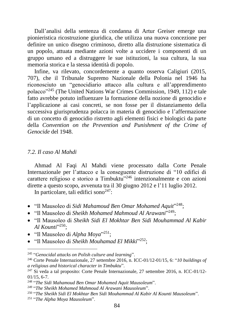Dall'analisi della sentenza di condanna di Artur Greiser emerge una pionieristica ricostruzione giuridica, che utilizza una nuova concezione per definire un unico disegno criminoso, diretto alla distruzione sistematica di un popolo, attuata mediante azioni volte a uccidere i componenti di un gruppo umano ed a distruggere le sue istituzioni, la sua cultura, la sua memoria storica e la stessa identità di popolo.

Infine, va rilevato, concordemente a quanto osserva Caligiuri (2015, 707), che il Tribunale Supremo Nazionale della Polonia nel 1946 ha riconosciuto un "genocidiario attacco alla cultura e all'apprendimento polacco"<sup>245</sup> (The United Nations War Crimes Commission, 1949, 112) e tale fatto avrebbe potuto influenzare la formazione della nozione di genocidio e l'applicazione ai casi concreti, se non fosse per il distanziamento della successiva giurisprudenza polacca in materia di genocidio e l'affermazione di un concetto di genocidio ristretto agli elementi fisici e biologici da parte della *Convention on the Prevention and Punishment of the Crime of Genocide* del 1948.

### *7.2. Il caso Al Mahdi*

Ahmad Al Faqi Al Mahdi viene processato dalla Corte Penale Internazionale per l'attacco e la conseguente distruzione di "10 edifici di carattere religioso e storico a Timbuktu"<sup>246</sup> intenzionalmente e con azioni dirette a questo scopo, avvenuta tra il 30 giugno 2012 e l'11 luglio 2012.

In particolare, tali edifici sono $247$ :

- "Il Mausoleo di *Sidi Mahamoud Ben Omar Mohamed Aquit*" <sup>248</sup>;
- "Il Mausoleo di *Sheikh Mohamed Mahmoud Al Arawani*" <sup>249</sup>;
- "Il Mausoleo di *Sheikh Sidi El Mokhtar Ben Sidi Mouhammad Al Kabir Al Kounti*" <sup>250</sup>;
- "Il Mausoleo di *Alpha Moya*" <sup>251</sup>;
- "Il Mausoleo di *Sheikh Mouhamad El Mikki*" <sup>252</sup>;

<sup>245</sup> "*Genocidal attacks on Polish culture and learning*".

<sup>246</sup> Corte Penale Internazionale, 27 settembre 2016, n. ICC-01/12-01/15, 6: "*10 buildings of a religious and historical character in Timbuktu*".

<sup>247</sup> Si veda a tal proposito: Corte Penale Internazionale, 27 settembre 2016, n. ICC-01/12- 01/15, 6-7.

<sup>248</sup> "*The Sidi Mahamoud Ben Omar Mohamed Aquit Mausoleum*".

<sup>249</sup> "*The Sheikh Mohamed Mahmoud Al Arawani Mausoleum*".

<sup>250</sup> "*The Sheikh Sidi El Mokhtar Ben Sidi Mouhammad Al Kabir Al Kounti Mausoleum*".

<sup>251</sup> "*The Alpha Moya Mausoleum*".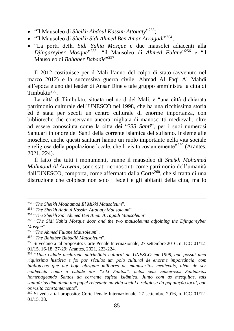- "Il Mausoleo di *Sheikh Abdoul Kassim Attouaty*" <sup>253</sup>;
- "Il Mausoleo di *Sheikh Sidi Ahmed Ben Amar Arragadi*" <sup>254</sup>;
- "La porta della *Sidi Yahia Mosque* e due mausolei adiacenti alla *Djingareyber Mosque*" <sup>255</sup>: "il Mausoleo di *Ahmed Fulane*" <sup>256</sup> e "il Mausoleo di *Bahaber Babadié*" 257 .

Il 2012 costituisce per il Mali l'anno del colpo di stato (avvenuto nel marzo 2012) e la successiva guerra civile. Ahmad Al Faqi Al Mahdi all'epoca è uno dei leader di Ansar Dine e tale gruppo amministra la città di Timbuktu<sup>258</sup>.

La città di Timbuktu, situata nel nord del Mali, è "una città dichiarata patrimonio culturale dell'UNESCO nel 1998, che ha una ricchissima storia ed è stata per secoli un centro culturale di enorme importanza, con biblioteche che conservano ancora migliaia di manoscritti medievali, oltre ad essere conosciuta come la città dei "*333 Santi*", per i suoi numerosi Santuari in onore dei Santi della corrente islamica del sufismo. Insieme alle moschee, anche questi santuari hanno un ruolo importante nella vita sociale e religiosa della popolazione locale, che li visita costantemente"<sup>259</sup> (Arantes, 2021, 224).

Il fatto che tutti i monumenti, tranne il mausoleo di *Sheikh Mohamed Mahmoud Al Arawani*, sono stati riconosciuti come patrimonio dell'umanità dall'UNESCO, comporta, come affermato dalla Corte<sup>260</sup>, che si tratta di una distruzione che colpisce non solo i fedeli e gli abitanti della città, ma lo

<sup>252</sup> "*The Sheikh Mouhamad El Mikki Mausoleum*".

<sup>253</sup> "*The Sheikh Abdoul Kassim Attouaty Mausoleum*".

<sup>254</sup> "*The Sheikh Sidi Ahmed Ben Amar Arragadi Mausoleum*".

<sup>255</sup> "*The Sidi Yahia Mosque door and the two mausoleums adjoining the Djingareyber Mosque*".

<sup>256</sup> "*The Ahmed Fulane Mausoleum*".

<sup>257</sup> "*The Bahaber Babadié Mausoleum*".

<sup>258</sup> Si vedano a tal proposito: Corte Penale Internazionale, 27 settembre 2016, n. ICC-01/12- 01/15, 16-18; 27-29; Arantes, 2021, 223-224.

<sup>259</sup> "*Uma cidade declarada patrimônio cultural da UNESCO em 1998, que possui uma riquíssima história e foi por séculos um polo cultural de enorme importância, com bibliotecas que até hoje abrigam milhares de manuscritos medievais, além de ser conhecida como a cidade dos "333 Santos", pelos seus numerosos Santuários homenageando Santos da corrente sufista islâmica. Junto com as mesquitas, tais santuários têm ainda um papel relevante na vida social e religiosa da população local, que os visita constantemente*".

<sup>260</sup> Si veda a tal proposito: Corte Penale Internazionale, 27 settembre 2016, n. ICC-01/12- 01/15, 38.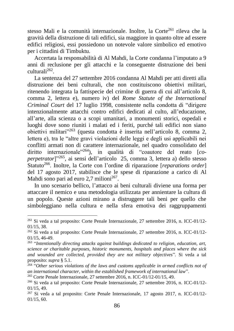stesso Mali e la comunità internazionale. Inoltre, la Corte<sup>261</sup> rileva che la gravità della distruzione di tali edifici, sia maggiore in quanto oltre ad essere edifici religiosi, essi possiedono un notevole valore simbolico ed emotivo per i cittadini di Timbuktu.

Accertata la responsabilità di Al Mahdi, la Corte condanna l'imputato a 9 anni di reclusione per gli attacchi e la conseguente distruzione dei beni culturali<sup>262</sup>.

La sentenza del 27 settembre 2016 condanna Al Mahdi per atti diretti alla distruzione dei beni culturali, che non costituiscono obiettivi militari, ritenendo integrata la fattispecie del crimine di guerra di cui all'articolo 8, comma 2, lettera e), numero iv) del *Rome Statute of the International Criminal Court* del 17 luglio 1998, consistente nella condotta di "dirigere intenzionalmente attacchi contro edifici dedicati al culto, all'educazione, all'arte, alla scienza o a scopi umanitari, a monumenti storici, ospedali e luoghi dove sono riuniti i malati ed i feriti, purché tali edifici non siano obiettivi militari"<sup>263</sup> (questa condotta è inserita nell'articolo 8, comma 2, lettera e), tra le "altre gravi violazioni delle leggi e degli usi applicabili nei conflitti armati non di carattere internazionale, nel quadro consolidato del diritto internazionale<sup>"264</sup>), in qualità di "coautore del reato [co*perpetrator*]"<sup>265</sup>, ai sensi dell'articolo 25, comma 3, lettera a) dello stesso Statuto<sup>266</sup>. Inoltre, la Corte con l'ordine di riparazione [*reparations order*] del 17 agosto 2017, stabilisce che le spese di riparazione a carico di Al Mahdi sono pari ad euro 2,7 milioni<sup>267</sup>.

In uno scenario bellico, l'attacco ai beni culturali diviene una forma per attaccare il nemico e una metodologia utilizzata per annientare la cultura di un popolo. Queste azioni mirano a distruggere tali beni per quello che simboleggiano nella cultura e nella sfera emotiva dei raggruppamenti

<sup>261</sup> Si veda a tal proposito: Corte Penale Internazionale, 27 settembre 2016, n. ICC-01/12- 01/15, 38.

<sup>262</sup> Si veda a tal proposito: Corte Penale Internazionale, 27 settembre 2016, n. ICC-01/12- 01/15, 46-49.

<sup>263</sup> "*Intentionally directing attacks against buildings dedicated to religion, education, art, science or charitable purposes, historic monuments, hospitals and places where the sick and wounded are collected, provided they are not military objectives*". Si veda a tal proposito: *supra* § 5.1.

<sup>264</sup> "*Other serious violations of the laws and customs applicable in armed conflicts not of an international character, within the established framework of international law*".

<sup>265</sup> Corte Penale Internazionale, 27 settembre 2016, n. ICC-01/12-01/15, 49.

<sup>266</sup> Si veda a tal proposito: Corte Penale Internazionale, 27 settembre 2016, n. ICC-01/12- 01/15, 49.

<sup>267</sup> Si veda a tal proposito: Corte Penale Internazionale, 17 agosto 2017, n. ICC-01/12- 01/15, 60.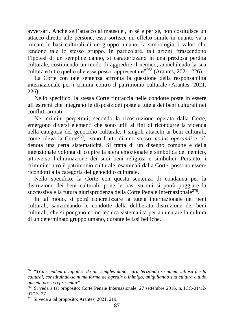avversari. Anche se l'attacco ai mausolei, in sé e per sé, non costituisce un attacco diretto alle persone, esso sortisce un effetto simile in quanto va a minare le basi culturali di un gruppo umano, la simbologia, i valori che rendono tale lo stesso gruppo. In particolare, tali azioni "trascendono l'ipotesi di un semplice danno, si caratterizzano in una preziosa perdita culturale, costituendo un modo di aggredire il nemico, annichilendo la sua cultura e tutto quello che essa possa rappresentare"<sup>268</sup> (Arantes, 2021, 226).

La Corte con tale sentenza affronta la questione della responsabilità internazionale per i crimini contro il patrimonio culturale (Arantes, 2021, 226).

Nello specifico, la stessa Corte rintraccia nelle condotte poste in essere gli estremi che integrano le disposizioni poste a tutela dei beni culturali nei conflitti armati.

Nei crimini perpetrati, secondo la ricostruzione operata dalla Corte, emergono diversi elementi che sono utili ai fini di ricondurre la vicenda nella categoria del genocidio culturale. I singoli attacchi ai beni culturali, come rileva la Corte<sup>269</sup>, sono frutto di uno stesso *modus operandi* e ciò denota una certa sistematicità. Si tratta di un disegno comune e della intenzionale volontà di colpire la sfera emozionale e simbolica del nemico, attraverso l'eliminazione dei suoi beni religiosi e simbolici. Pertanto, i crimini contro il patrimonio culturale, esaminati dalla Corte, possono essere ricondotti alla categoria del genocidio culturale.

Nello specifico, la Corte con questa sentenza di condanna per la distruzione dei beni culturali, pone le basi su cui si potrà poggiare la successiva e la futura giurisprudenza della Corte Penale Internazionale<sup>270</sup>.

In tal modo, si potrà concretizzare la tutela internazionale dei beni culturali, sanzionando le condotte della deliberata distruzione dei beni culturali, che si pongano come tecnica sistematica per annientare la cultura di un determinato gruppo umano, durante le fasi belliche.

<sup>268</sup> "*Transcendem a hipótese de um simples dano, caracterizando-se numa valiosa perda cultural, constituindo-se numa forma de agredir o inimigo, aniquilando sua cultura e tudo que ela possa representar*".

<sup>269</sup> Si veda a tal proposito: Corte Penale Internazionale, 27 settembre 2016, n. ICC-01/12- 01/15, 27.

<sup>270</sup> Si veda a tal proposito: Arantes, 2021, 219.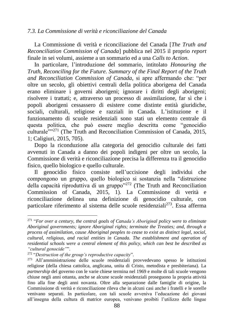### *7.3. La Commissione di verità e riconciliazione del Canada*

La Commissione di verità e riconciliazione del Canada [*The Truth and Reconciliation Commission of Canada*] pubblica nel 2015 il proprio *report* finale in sei volumi, assieme a un sommario ed a una *Calls to Action*.

In particolare, l'introduzione del sommario, intitolato *Honouring the Truth, Reconciling for the Future. Summary of the Final Report of the Truth and Reconciliation Commission of Canada*, si apre affermando che: "per oltre un secolo, gli obiettivi centrali della politica aborigena del Canada erano eliminare i governi aborigeni; ignorare i diritti degli aborigeni; risolvere i trattati; e, attraverso un processo di assimilazione, far sì che i popoli aborigeni cessassero di esistere come distinte entità giuridiche, sociali, culturali, religiose e razziali in Canada. L'istituzione e il funzionamento di scuole residenziali sono stati un elemento centrale di questa politica, che può essere meglio descritta come "genocidio culturale""<sup>271</sup> (The Truth and Reconciliation Commission of Canada, 2015, 1; Caligiuri, 2015, 705).

Dopo la riconduzione alla categoria del genocidio culturale dei fatti avvenuti in Canada a danno dei popoli indigeni per oltre un secolo, la Commissione di verità e riconciliazione precisa la differenza tra il genocidio fisico, quello biologico e quello culturale.

Il genocidio fisico consiste nell'uccisione degli individui che compongono un gruppo, quello biologico si sostanzia nella "distruzione della capacità riproduttiva di un gruppo"<sup>272</sup> (The Truth and Reconciliation Commission of Canada, 2015, 1). La Commissione di verità e riconciliazione delinea una definizione di genocidio culturale, con particolare riferimento al sistema delle scuole residenziali<sup>273</sup>. Essa afferma

<sup>271</sup> "*For over a century, the central goals of Canada's Aboriginal policy were to eliminate Aboriginal governments; ignore Aboriginal rights; terminate the Treaties; and, through a process of assimilation, cause Aboriginal peoples to cease to exist as distinct legal, social, cultural, religious, and racial entities in Canada. The establishment and operation of residential schools were a central element of this policy, which can best be described as "cultural genocide"*".

<sup>272</sup> "*Destruction of the group's reproductive capacity*".

<sup>273</sup> All'amministrazione delle scuole residenziali provvedevano spesso le istituzioni religiose (della chiesa cattolica, anglicana, unita di Cristo, metodista e presbiteriana). La *partnership* del governo con le varie chiese termina nel 1969 e molte di tali scuole vengono chiuse negli anni ottanta, anche se alcune scuole residenziali proseguono la propria attività fino alla fine degli anni novanta. Oltre alla separazione dalle famiglie di origine, la Commissione di verità e riconciliazione rileva che in alcuni casi anche i fratelli e le sorelle venivano separati. In particolare, con tali scuole avveniva l'educazione dei giovani all'insegna della cultura di matrice europea, venivano proibiti l'utilizzo delle lingue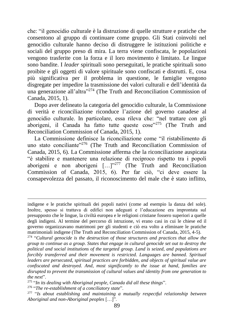che: "il genocidio culturale è la distruzione di quelle strutture e pratiche che consentono al gruppo di continuare come gruppo. Gli Stati coinvolti nel genocidio culturale hanno deciso di distruggere le istituzioni politiche e sociali del gruppo preso di mira. La terra viene confiscata, le popolazioni vengono trasferite con la forza e il loro movimento è limitato. Le lingue sono bandite. I *leader* spirituali sono perseguitati, le pratiche spirituali sono proibite e gli oggetti di valore spirituale sono confiscati e distrutti. E, cosa più significativa per il problema in questione, le famiglie vengono disgregate per impedire la trasmissione dei valori culturali e dell'identità da una generazione all'altra"<sup>274</sup> (The Truth and Reconciliation Commission of Canada, 2015, 1).

Dopo aver delineato la categoria del genocidio culturale, la Commissione di verità e riconciliazione riconduce l'azione del governo canadese al genocidio culturale. In particolare, essa rileva che: "nel trattare con gli aborigeni, il Canada ha fatto tutte queste cose"<sup>275</sup> (The Truth and Reconciliation Commission of Canada, 2015, 1).

La Commissione definisce la riconciliazione come "il ristabilimento di uno stato conciliante<sup>2276</sup> (The Truth and Reconciliation Commission of Canada, 2015, 6). La Commissione afferma che la riconciliazione auspicata "è stabilire e mantenere una relazione di reciproco rispetto tra i popoli aborigeni e non aborigeni  $[\dots]^{277}$  (The Truth and Reconciliation Commission of Canada, 2015, 6). Per far ciò, "ci deve essere la consapevolezza del passato, il riconoscimento del male che è stato inflitto,

indigene e le pratiche spirituali dei popoli nativi (come ad esempio la danza del sole). Inoltre, spesso si trattava di edifici non adeguati e l'educazione era improntata sul presupposto che le lingue, la civiltà europea e le religioni cristiane fossero superiori a quelle degli indigeni. Al termine del percorso di istruzione, vi erano casi in cui le chiese ed il governo organizzavano matrimoni per gli studenti e ciò era volto a eliminare le pratiche matrimoniali indigene (The Truth and Reconciliation Commission of Canada, 2015, 4-5).

<sup>274</sup> "*Cultural genocide is the destruction of those structures and practices that allow the group to continue as a group. States that engage in cultural genocide set out to destroy the political and social institutions of the targeted group. Land is seized, and populations are forcibly transferred and their movement is restricted. Languages are banned. Spiritual leaders are persecuted, spiritual practices are forbidden, and objects of spiritual value are confiscated and destroyed. And, most significantly to the issue at hand, families are disrupted to prevent the transmission of cultural values and identity from one generation to the next*".

<sup>275</sup> "*In its dealing with Aboriginal people, Canada did all these things*".

<sup>276</sup> "*The re-establishment of a conciliatory state*".

<sup>277</sup> "*Is about establishing and maintaining a mutually respectful relationship between Aboriginal and non-Aboriginal peoples* […]".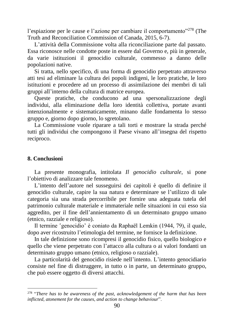l'espiazione per le cause e l'azione per cambiare il comportamento"<sup>278</sup> (The Truth and Reconciliation Commission of Canada, 2015, 6-7).

L'attività della Commissione volta alla riconciliazione parte dal passato. Essa riconosce nelle condotte poste in essere dal Governo e, più in generale, da varie istituzioni il genocidio culturale, commesso a danno delle popolazioni native.

Si tratta, nello specifico, di una forma di genocidio perpetrato attraverso atti tesi ad eliminare la cultura dei popoli indigeni, le loro pratiche, le loro istituzioni e procedere ad un processo di assimilazione dei membri di tali gruppi all'interno della cultura di matrice europea.

Queste pratiche, che conducono ad una spersonalizzazione degli individui, alla eliminazione della loro identità collettiva, portate avanti intenzionalmente e sistematicamente, minano dalle fondamenta lo stesso gruppo e, giorno dopo giorno, lo sgretolano.

La Commissione vuole riparare a tali torti e mostrare la strada perché tutti gli individui che compongono il Paese vivano all'insegna del rispetto reciproco.

### **8. Conclusioni**

La presente monografia, intitolata *Il genocidio culturale*, si pone l'obiettivo di analizzare tale fenomeno.

L'intento dell'autore nel susseguirsi dei capitoli è quello di definire il genocidio culturale, capire la sua natura e determinare se l'utilizzo di tale categoria sia una strada percorribile per fornire una adeguata tutela del patrimonio culturale materiale e immateriale nelle situazioni in cui esso sia aggredito, per il fine dell'annientamento di un determinato gruppo umano (etnico, razziale e religioso).

Il termine ʽgenocidio' è coniato da Raphaël Lemkin (1944, 79), il quale, dopo aver ricostruito l'etimologia del termine, ne fornisce la definizione.

In tale definizione sono ricompresi il genocidio fisico, quello biologico e quello che viene perpetrato con l'attacco alla cultura o ai valori fondanti un determinato gruppo umano (etnico, religioso o razziale).

La particolarità del genocidio risiede nell'intento. L'intento genocidiario consiste nel fine di distruggere, in tutto o in parte, un determinato gruppo, che può essere oggetto di diversi attacchi.

<sup>278</sup> "*There has to be awareness of the past, acknowledgement of the harm that has been inflicted, atonement for the causes, and action to change behaviour*".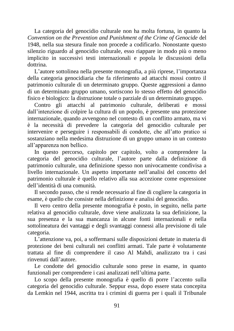La categoria del genocidio culturale non ha molta fortuna, in quanto la *Convention on the Prevention and Punishment of the Crime of Genocide* del 1948, nella sua stesura finale non procede a codificarlo. Nonostante questo silenzio riguardo al genocidio culturale, esso riappare in modo più o meno implicito in successivi testi internazionali e popola le discussioni della dottrina.

L'autore sottolinea nella presente monografia, a più riprese, l'importanza della categoria genocidiaria che fa riferimento ad attacchi mossi contro il patrimonio culturale di un determinato gruppo. Queste aggressioni a danno di un determinato gruppo umano, sortiscono lo stesso effetto del genocidio fisico e biologico: la distruzione totale o parziale di un determinato gruppo.

Contro gli attacchi al patrimonio culturale, deliberati e mossi dall'intenzione di colpire la cultura di un popolo, è presente una protezione internazionale, quando avvengono nel contesto di un conflitto armato, ma vi è la necessità di prevedere la categoria del genocidio culturale per intervenire e perseguire i responsabili di condotte, che all'atto pratico si sostanziano nella medesima distruzione di un gruppo umano in un contesto all'apparenza non bellico.

In questo percorso, capitolo per capitolo, volto a comprendere la categoria del genocidio culturale, l'autore parte dalla definizione di patrimonio culturale, una definizione spesso non univocamente condivisa a livello internazionale. Un aspetto importante nell'analisi del concetto del patrimonio culturale è quello relativo alla sua accezione come espressione dell'identità di una comunità.

Il secondo passo, che si rende necessario al fine di cogliere la categoria in esame, è quello che consiste nella definizione e analisi del genocidio.

Il vero centro della presente monografia è posto, in seguito, nella parte relativa al genocidio culturale, dove viene analizzata la sua definizione, la sua presenza e la sua mancanza in alcune fonti internazionali e nella sottolineatura dei vantaggi e degli svantaggi connessi alla previsione di tale categoria.

L'attenzione va, poi, a soffermarsi sulle disposizioni dettate in materia di protezione dei beni culturali nei conflitti armati. Tale parte è volutamente trattata al fine di comprendere il caso Al Mahdi, analizzato tra i casi rinvenuti dall'autore.

Le condotte del genocidio culturale sono prese in esame, in quanto funzionali per comprendere i casi analizzati nell'ultima parte.

Lo scopo della presente monografia è quello di porre l'accento sulla categoria del genocidio culturale. Seppur essa, dopo essere stata concepita da Lemkin nel 1944, ascritta tra i crimini di guerra per i quali il Tribunale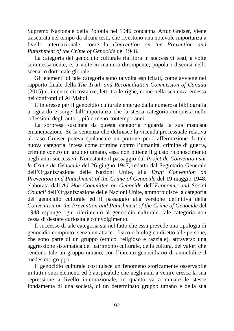Supremo Nazionale della Polonia nel 1946 condanna Artur Greiser, viene trascurata nel tempo da alcuni testi, che rivestono una notevole importanza a livello internazionale, come la *Convention on the Prevention and Punishment of the Crime of Genocide* del 1948.

La categoria del genocidio culturale riaffiora in successivi testi, a volte sommessamente, e, a volte in maniera dirompente, popola i discorsi nello scenario dottrinale globale.

Gli elementi di tale categoria sono talvolta esplicitati, come avviene nel rapporto finale della *The Truth and Reconciliation Commission of Canada* (2015) e, in certe circostanze, letti tra le righe, come nella sentenza emessa nei confronti di Al Mahdi.

L'interesse per il genocidio culturale emerge dalla numerosa bibliografia a riguardo e sorge dall'importanza che la stessa categoria conquista nelle riflessioni degli autori, più o meno contemporanei.

La sorpresa suscitata da questa categoria riguarda la sua mancata emancipazione. Se la sentenza che definisce la vicenda processuale relativa al caso Greiser poteva spalancare un portone per l'affermazione di tale nuova categoria, intesa come crimine contro l'umanità, crimine di guerra, crimine contro un gruppo umano, essa non ottiene il giusto riconoscimento negli anni successivi. Nonostante il passaggio dal *Projet de Convention sur le Crime de Génocide* del 26 giugno 1947, redatto dal Segretario Generale dell'Organizzazione delle Nazioni Unite, alla *Draft Convention on Prevention and Punishment of the Crime of Genocide* del 19 maggio 1948, elaborata dall'*Ad Hoc Committee on Genocide* dell'*Economic and Social Council* dell'Organizzazione delle Nazioni Unite, ammorbidisce la categoria del genocidio culturale ed il passaggio alla versione definitiva della *Convention on the Prevention and Punishment of the Crime of Genocide* del 1948 espunge ogni riferimento al genocidio culturale, tale categoria non cessa di destare curiosità e coinvolgimento.

Il successo di tale categoria sta nel fatto che essa prevede una tipologia di genocidio compiuto, senza un attacco fisico o biologico diretto alle persone, che sono parte di un gruppo (etnico, religioso e razziale), attraverso una aggressione sistematica del patrimonio culturale, della cultura, dei valori che rendono tale un gruppo umano, con l'intento genocidiario di annichilire il medesimo gruppo.

Il genocidio culturale costituisce un fenomeno storicamente osservabile in tutti i suoi elementi ed è auspicabile che negli anni a venire cresca la sua repressione a livello internazionale, in quanto va a minare le stesse fondamenta di una società, di un determinato gruppo umano e della sua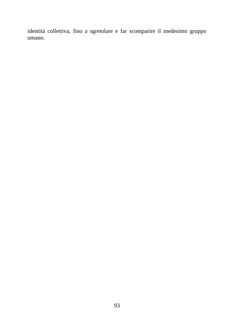identità collettiva, fino a sgretolare e far scomparire il medesimo gruppo umano.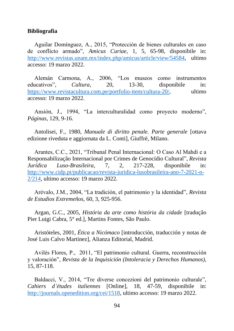#### **Bibliografia**

Aguilar Domínguez, A., 2015, "Protección de bienes culturales en caso de conflicto armado", *Amicus Curiae*, 1, 5, 65-98, disponibile in: [http://www.revistas.unam.mx/index.php/amicus/article/view/54584,](http://www.revistas.unam.mx/index.php/amicus/article/view/54584) ultimo accesso: 19 marzo 2022.

Alemán Carmona, A., 2006, "Los museos como instrumentos educativos", *Cultura*, 20, 13-30, disponibile in: [https://www.revistacultura.com.pe/portfolio-item/cultura-20/,](https://www.revistacultura.com.pe/portfolio-item/cultura-20/) ultimo accesso: 19 marzo 2022.

Ansión, J., 1994, "La interculturalidad como proyecto moderno", *Páginas*, 129, 9-16.

Antolisei, F., 1980, *Manuale di diritto penale. Parte generale* [ottava edizione riveduta e aggiornata da L. Conti], Giuffrè, Milano.

Arantes, C.C., 2021, "Tribunal Penal Internacional: O Caso Al Mahdi e a Responsabilização Internacional por Crimes de Genocídio Cultural", *Revista Jurídica Luso-Brasileira*, 7, 2, 217-228, disponibile in: [http://www.cidp.pt/publicacao/revista-juridica-lusobrasileira-ano-7-2021-n-](http://www.cidp.pt/publicacao/revista-juridica-lusobrasileira-ano-7-2021-n-2/214)[2/214,](http://www.cidp.pt/publicacao/revista-juridica-lusobrasileira-ano-7-2021-n-2/214) ultimo accesso: 19 marzo 2022.

Arévalo, J.M., 2004, "La tradición, el patrimonio y la identidad", *Revista de Estudios Extremeños*, 60, 3, 925-956.

Argan, G.C., 2005, *História da arte como história da cidade* [tradução Pier Luigi Cabra, 5° ed.], Martins Fontes, São Paulo.

Aristóteles, 2001, *Ética a Nicómaco* [introducción, traducción y notas de José Luis Calvo Martínez], Alianza Editorial, Madrid.

Avilés Flores, P., 2011, "El patrimonio cultural. Guerra, reconstrucción y valoración", *Revista de la Inquisición (Intoleracia y Derechos Humanos)*, 15, 87-118.

Baldacci, V., 2014, "Tre diverse concezioni del patrimonio culturale", *Cahiers d'études italiennes* [Online], 18, 47-59, disponibile in: [http://journals.openedition.org/cei/1518,](http://journals.openedition.org/cei/1518) ultimo accesso: 19 marzo 2022.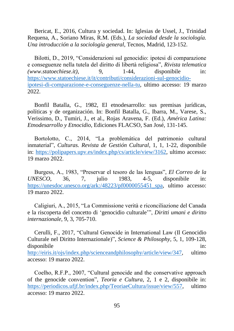Bericat, E., 2016, Cultura y sociedad. In: Iglesias de Ussel, J., Trinidad Requena, A., Soriano Miras, R.M. (Eds.), *La sociedad desde la sociología. Una introducción a la sociología general*, Tecnos, Madrid, 123-152.

Bilotti, D., 2019, "Considerazioni sul genocidio: ipotesi di comparazione e conseguenze nella tutela del diritto di libertà religiosa", *Rivista telematica (www.statoechiese.it)*, 9, 1-44, disponibile in: [https://www.statoechiese.it/it/contributi/considerazioni-sul-genocidio](https://www.statoechiese.it/it/contributi/considerazioni-sul-genocidio-ipotesi-di-comparazione-e-conseguenze-nella-tu)[ipotesi-di-comparazione-e-conseguenze-nella-tu,](https://www.statoechiese.it/it/contributi/considerazioni-sul-genocidio-ipotesi-di-comparazione-e-conseguenze-nella-tu) ultimo accesso: 19 marzo 2022.

Bonfil Batalla, G., 1982, El etnodesarrollo: sus premisas jurídicas, políticas y de organización. In: Bonfil Batalla, G., Ibarra, M., Varese, S., Verissimo, D., Tumiri, J., et al., Rojas Aravena, F. (Ed.), *América Latina: Etnodesarrollo y Etnocidio*, Ediciones FLACSO, San José, 131-145.

Bortolotto, C., 2014, "La problemática del patrimonio cultural inmaterial", *Culturas. Revista de Gestión Cultural*, 1, 1, 1-22, disponibile in: [https://polipapers.upv.es/index.php/cs/article/view/3162,](https://polipapers.upv.es/index.php/cs/article/view/3162) ultimo accesso: 19 marzo 2022.

Burgess, A., 1983, "Preservar el tesoro de las lenguas", *El Correo de la UNESCO*, 36, 7, julio 1983, 4-5, disponibile in: [https://unesdoc.unesco.org/ark:/48223/pf0000055451\\_spa,](https://unesdoc.unesco.org/ark:/48223/pf0000055451_spa) ultimo accesso: 19 marzo 2022.

Caligiuri, A., 2015, "La Commissione verità e riconciliazione del Canada e la riscoperta del concetto di 'genocidio culturale'", *Diritti umani e diritto internazionale*, 9, 3, 705-710.

Cerulli, F., 2017, "Cultural Genocide in International Law (Il Genocidio Culturale nel Diritto Internazionale)", *Science & Philosophy*, 5, 1, 109-128, disponibile in:  $\overline{a}$  in: [http://eiris.it/ojs/index.php/scienceandphilosophy/article/view/347,](http://eiris.it/ojs/index.php/scienceandphilosophy/article/view/347) ultimo accesso: 19 marzo 2022.

Coelho, R.F.P., 2007, "Cultural genocide and the conservative approach of the genocide convention", *Teoria e Cultura*, 2, 1 e 2, disponibile in: [https://periodicos.ufjf.br/index.php/TeoriaeCultura/issue/view/557,](https://periodicos.ufjf.br/index.php/TeoriaeCultura/issue/view/557) ultimo accesso: 19 marzo 2022.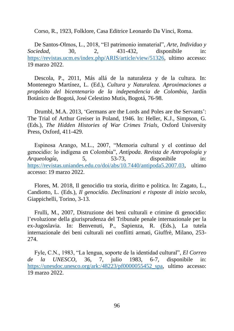Corso, R., 1923, Folklore, Casa Editrice Leonardo Da Vinci, Roma.

De Santos-Olmos, L., 2018, "El patrimonio inmaterial", *Arte, Individuo y Sociedad*, 30, 2, 431-432, disponibile in: [https://revistas.ucm.es/index.php/ARIS/article/view/51326,](https://revistas.ucm.es/index.php/ARIS/article/view/51326) ultimo accesso: 19 marzo 2022.

Descola, P., 2011, Más allá de la naturaleza y de la cultura. In: Montenegro Martínez, L. (Ed.), *Cultura y Naturaleza. Aproximaciones a propósito del bicentenario de la independencia de Colombia*, Jardín Botánico de Bogotá, José Celestino Mutis, Bogotá, 76-98.

Drumbl, M.A. 2013, 'Germans are the Lords and Poles are the Servants': The Trial of Arthur Greiser in Poland, 1946. In: Heller, K.J., Simpson, G. (Eds.), *The Hidden Histories of War Crimes Trials*, Oxford University Press, Oxford, 411-429.

Espinosa Arango, M.L., 2007, "Memoria cultural y el continuo del genocidio: lo indígena en Colombia", *Antípoda. Revista de Antropología y Arqueología*, 5, 53-73, disponibile in: [https://revistas.uniandes.edu.co/doi/abs/10.7440/antipoda5.2007.03,](https://revistas.uniandes.edu.co/doi/abs/10.7440/antipoda5.2007.03) ultimo accesso: 19 marzo 2022.

Flores, M. 2018, Il genocidio tra storia, diritto e politica. In: Zagato, L., Candiotto, L. (Eds.), *Il genocidio. Declinazioni e risposte di inizio secolo*, Giappichelli, Torino, 3-13.

Frulli, M., 2007, Distruzione dei beni culturali e crimine di genocidio: l'evoluzione della giurisprudenza del Tribunale penale internazionale per la ex-Jugoslavia. In: Benvenuti, P., Sapienza, R. (Eds.), La tutela internazionale dei beni culturali nei conflitti armati, Giuffrè, Milano, 253- 274.

Fyle, C.N., 1983, "La lengua, soporte de la identidad cultural", *El Correo de la UNESCO*, 36, 7, julio 1983, 6-7, disponibile in: https://unesdoc.unesco.org/ark:/48223/pf0000055452 spa, ultimo accesso: 19 marzo 2022.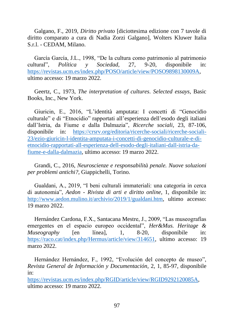Galgano, F., 2019, *Diritto privato* [diciottesima edizione con 7 tavole di diritto comparato a cura di Nadia Zorzi Galgano], Wolters Kluwer Italia S.r.l. - CEDAM, Milano.

García García, J.L., 1998, "De la cultura como patrimonio al patrimonio cultural", *Política y Sociedad*, 27, 9-20, disponibile in: [https://revistas.ucm.es/index.php/POSO/article/view/POSO9898130009A,](https://revistas.ucm.es/index.php/POSO/article/view/POSO9898130009A) ultimo accesso: 19 marzo 2022.

Geertz, C., 1973, *The interpretation of cultures*. *Selected essays*, Basic Books, Inc., New York.

Giuricin, E., 2016, "L'identità amputata: I concetti di "Genocidio culturale" e di "Etnocidio" rapportati all'esperienza dell'esodo degli italiani dall'Istria, da Fiume e dalla Dalmazia", *Ricerche sociali*, 23, 87-106, disponibile in: [https://crsrv.org/editoria/ricerche-sociali/ricerche-sociali-](https://crsrv.org/editoria/ricerche-sociali/ricerche-sociali-23/ezio-giuricin-l-identita-amputata-i-concetti-di-genocidio-culturale-e-di-etnocidio-rapportati-all-esperienza-dell-esodo-degli-italiani-dall-istria-da-fiume-e-dalla-dalmazia)[23/ezio-giuricin-l-identita-amputata-i-concetti-di-genocidio-culturale-e-di](https://crsrv.org/editoria/ricerche-sociali/ricerche-sociali-23/ezio-giuricin-l-identita-amputata-i-concetti-di-genocidio-culturale-e-di-etnocidio-rapportati-all-esperienza-dell-esodo-degli-italiani-dall-istria-da-fiume-e-dalla-dalmazia)[etnocidio-rapportati-all-esperienza-dell-esodo-degli-italiani-dall-istria-da](https://crsrv.org/editoria/ricerche-sociali/ricerche-sociali-23/ezio-giuricin-l-identita-amputata-i-concetti-di-genocidio-culturale-e-di-etnocidio-rapportati-all-esperienza-dell-esodo-degli-italiani-dall-istria-da-fiume-e-dalla-dalmazia)[fiume-e-dalla-dalmazia,](https://crsrv.org/editoria/ricerche-sociali/ricerche-sociali-23/ezio-giuricin-l-identita-amputata-i-concetti-di-genocidio-culturale-e-di-etnocidio-rapportati-all-esperienza-dell-esodo-degli-italiani-dall-istria-da-fiume-e-dalla-dalmazia) ultimo accesso: 19 marzo 2022.

Grandi, C., 2016, *Neuroscienze e responsabilità penale. Nuove soluzioni per problemi antichi?*, Giappichelli, Torino.

Gualdani, A., 2019, "I beni culturali immateriali: una categoria in cerca di autonomia", *Aedon - Rivista di arti e diritto online*, 1, disponibile in: [http://www.aedon.mulino.it/archivio/2019/1/gualdani.htm,](http://www.aedon.mulino.it/archivio/2019/1/gualdani.htm) ultimo accesso: 19 marzo 2022.

Hernández Cardona, F.X., Santacana Mestre, J., 2009, "Las museografías emergentes en el espacio europeo occidental", *Her&Mus. Heritage & Museography* [en línea], 1, 8-20, disponibile in: [https://raco.cat/index.php/Hermus/article/view/314651,](https://raco.cat/index.php/Hermus/article/view/314651) ultimo accesso: 19 marzo 2022.

Hernández Hernández, F., 1992, "Evolución del concepto de museo", *Revista General de Información y Documentación*, 2, 1, 85-97, disponibile in:

[https://revistas.ucm.es/index.php/RGID/article/view/RGID9292120085A,](https://revistas.ucm.es/index.php/RGID/article/view/RGID9292120085A) ultimo accesso: 19 marzo 2022.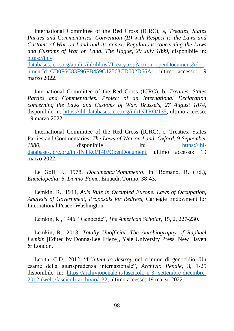International Committee of the Red Cross (ICRC), a, *Treaties, States Parties and Commentaries. Convention (II) with Respect to the Laws and Customs of War on Land and its annex: Regulations concerning the Laws and Customs of War on Land. The Hague, 29 July 1899*, disponibile in: [https://ihl-](https://ihl-databases.icrc.org/applic/ihl/ihl.nsf/Treaty.xsp?action=openDocument&documentId=CD0F6C83F96FB459C12563CD002D66A1)

[databases.icrc.org/applic/ihl/ihl.nsf/Treaty.xsp?action=openDocument&doc](https://ihl-databases.icrc.org/applic/ihl/ihl.nsf/Treaty.xsp?action=openDocument&documentId=CD0F6C83F96FB459C12563CD002D66A1) [umentId=CD0F6C83F96FB459C12563CD002D66A1,](https://ihl-databases.icrc.org/applic/ihl/ihl.nsf/Treaty.xsp?action=openDocument&documentId=CD0F6C83F96FB459C12563CD002D66A1) ultimo accesso: 19 marzo 2022.

International Committee of the Red Cross (ICRC), b, *Treaties, States Parties and Commentaries. Project of an International Declaration concerning the Laws and Customs of War. Brussels, 27 August 1874*, disponibile in: [https://ihl-databases.icrc.org/ihl/INTRO/135,](https://ihl-databases.icrc.org/ihl/INTRO/135) ultimo accesso: 19 marzo 2022.

International Committee of the Red Cross (ICRC), c, Treaties, States Parties and Commentaries. *The Laws of War on Land. Oxford, 9 September 1880*, disponibile in: [https://ihl](https://ihl-databases.icrc.org/ihl/INTRO/140?OpenDocument)[databases.icrc.org/ihl/INTRO/140?OpenDocument,](https://ihl-databases.icrc.org/ihl/INTRO/140?OpenDocument) ultimo accesso: 19 marzo 2022.

Le Goff, J., 1978, *Documento/Monumento*. In: Romano, R. (Ed.), *Enciclopedia: 5. Divino-Fame*, Einaudi, Torino, 38-43.

Lemkin, R., 1944, *Axis Rule in Occupied Europe. Laws of Occupation, Analysis of Government, Proposals for Redress*, Carnegie Endowment for International Peace, Washington.

Lemkin, R., 1946, "Genocide", *The American Scholar*, 15, 2, 227-230.

Lemkin, R., 2013, *Totally Unofficial. The Autobiography of Raphael Lemkin* [Edited by Donna-Lee Frieze], Yale University Press, New Haven & London.

Leotta, C.D., 2012, "L'*intent to destroy* nel crimine di genocidio. Un esame della giurisprudenza internazionale", *Archivio Penale*, 3, 1-25 disponibile in: [https://archiviopenale.it/fascicolo-n-3--settembre-dicembre-](https://archiviopenale.it/fascicolo-n-3--settembre-dicembre-2012-(web)/fascicoli-archivio/132)[2012-\(web\)/fascicoli-archivio/132,](https://archiviopenale.it/fascicolo-n-3--settembre-dicembre-2012-(web)/fascicoli-archivio/132) ultimo accesso: 19 marzo 2022.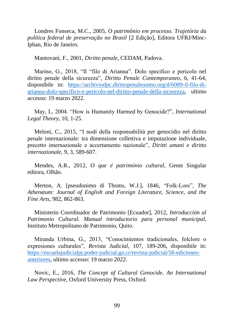Londres Fonseca, M.C., 2005, *O patrimônio em processo. Trajetória da política federal de preservação no Brasil* [2 Edição], Editora UFRJ/Minc-Iphan, Rio de Janeiro.

Mantovani, F., 2001, *Diritto penale*, CEDAM, Padova.

Marino, G., 2018, "Il "filo di Arianna". Dolo specifico e pericolo nel diritto penale della sicurezza", *Diritto Penale Contemporaneo*, 6, 41-64, disponibile in: [https://archiviodpc.dirittopenaleuomo.org/d/6089-il-filo-di](https://archiviodpc.dirittopenaleuomo.org/d/6089-il-filo-di-arianna-dolo-specifico-e-pericolo-nel-diritto-penale-della-sicurezza)[arianna-dolo-specifico-e-pericolo-nel-diritto-penale-della-sicurezza,](https://archiviodpc.dirittopenaleuomo.org/d/6089-il-filo-di-arianna-dolo-specifico-e-pericolo-nel-diritto-penale-della-sicurezza) ultimo accesso: 19 marzo 2022.

May, L, 2004. "How is Humanity Harmed by Genocide?", *International Legal Theory*, 10, 1-25.

Meloni, C., 2015, "I nodi della responsabilità per genocidio nel diritto penale internazionale: tra dimensione collettiva e imputazione individuale, precetto internazionale e accertamento nazionale", *Diritti umani e diritto internazionale*, 9, 3, 589-607.

Mendes, A.R., 2012, *O que é património cultural*, Gente Singular editora, Olhão.

Merton, A. [pseudonimo di Thoms, W.J.], 1846, "Folk-Lore", *The Athenæum: Journal of English and Foreign Literature, Science, and the Fine Arts*, 982, 862-863.

Ministerio Coordinador de Patrimonio [Ecuador], 2012, *Introducción al Patrimonio Cultural. Manual introductorio para personal municipal*, Instituto Metropolitano de Patrimonio, Quito.

Miranda Urbina, G., 2013, "Conocimientos tradicionales, folclore o expresiones culturales", *Revista Judicial*, 107, 189-206, disponibile in: [https://escuelajudicialpj.poder-judicial.go.cr/revista-judicial/58-ediciones](https://escuelajudicialpj.poder-judicial.go.cr/revista-judicial/58-ediciones-anteriores)[anteriores,](https://escuelajudicialpj.poder-judicial.go.cr/revista-judicial/58-ediciones-anteriores) ultimo accesso: 19 marzo 2022.

Novic, E., 2016, *The Concept of Cultural Genocide. An International Law Perspective*, Oxford University Press, Oxford.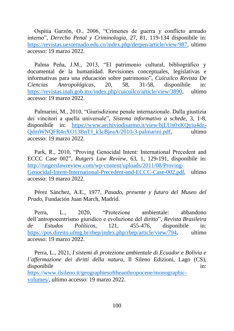Ospitia Garzón, O., 2006, "Crímenes de guerra y conflicto armado interno", *Derecho Penal y Criminología*, 27, 81, 119-134 disponibile in: [https://revistas.uexternado.edu.co/index.php/derpen/article/view/987,](https://revistas.uexternado.edu.co/index.php/derpen/article/view/987) ultimo accesso: 19 marzo 2022.

Palma Peña, J.M., 2013, "El patrimonio cultural, bibliográfico y documental de la humanidad. Revisiones conceptuales, legislativas e informativas para una educación sobre patrimonio", *Cuicuilco Revista De Ciencias Antropológicas*, 20, 58, 31-58, disponibile in: [https://revistas.inah.gob.mx/index.php/cuicuilco/article/view/3890,](https://revistas.inah.gob.mx/index.php/cuicuilco/article/view/3890) ultimo accesso: 19 marzo 2022.

Palmarini, M., 2010, "Giurisdizione penale internazionale. Dalla giustizia dei vincitori a quella universale", *Sistema informativo a schede*, 3, 1-8, disponibile in: [https://www.archiviodisarmo.it/view/bjLUn0xKQyiu4dz-](https://www.archiviodisarmo.it/view/bjLUn0xKQyiu4dz-QdmWNQFR4nXO13BnTJ_k3cBjeaA/2010-3-palmarini.pdf)[QdmWNQFR4nXO13BnTJ\\_k3cBjeaA/2010-3-palmarini.pdf,](https://www.archiviodisarmo.it/view/bjLUn0xKQyiu4dz-QdmWNQFR4nXO13BnTJ_k3cBjeaA/2010-3-palmarini.pdf) ultimo accesso: 19 marzo 2022.

Park, R., 2010, "Proving Genocidal Intent: International Precedent and ECCC Case 002", *Rutgers Law Review*, 63, 1, 129-191, disponibile in: [http://rutgerslawreview.com/wp-content/uploads/2011/08/Proving-](http://rutgerslawreview.com/wp-content/uploads/2011/08/Proving-Genocidal-Intent-International-Precedent-and-ECCC-Case-002.pdf)[Genocidal-Intent-International-Precedent-and-ECCC-Case-002.pdf,](http://rutgerslawreview.com/wp-content/uploads/2011/08/Proving-Genocidal-Intent-International-Precedent-and-ECCC-Case-002.pdf) ultimo accesso: 19 marzo 2022.

Pérez Sánchez, A.E., 1977, *Pasado, presente y futuro del Museo del Prado*, Fundación Juan March, Madrid.

Perra, L., 2020, "Protezione ambientale: abbandono dell'antropocentrismo giuridico e evoluzione del diritto", *Revista Brasileira de Estudos Políticos*, 121, 455-476, disponibile in: [https://pos.direito.ufmg.br/rbep/index.php/rbep/article/view/794,](https://pos.direito.ufmg.br/rbep/index.php/rbep/article/view/794) ultimo accesso: 19 marzo 2022.

Perra, L., 2021, *I sistemi di protezione ambientale di Ecuador e Bolivia e l'affermazione dei diritti della natura*, Il Sileno Edizioni, Lago (CS), disponibile in:  $\blacksquare$ 

[https://www.ilsileno.it/geographiesoftheanthropocene/monographic](https://www.ilsileno.it/geographiesoftheanthropocene/monographic-volumes/)[volumes/,](https://www.ilsileno.it/geographiesoftheanthropocene/monographic-volumes/) ultimo accesso: 19 marzo 2022.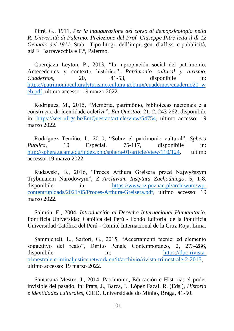Pitrè, G., 1911, *Per la inaugurazione del corso di demopsicologia nella R. Università di Palermo. Prelezione del Prof. Giuseppe Pitrè letta il dì 12 Gennaio del 1911*, Stab. Tipo-litogr. dell'impr. gen. d'affiss. e pubblicità, già F. Barravecchia e F.º, Palermo.

Querejazu Leyton, P., 2013, "La apropiación social del patrimonio. Antecedentes y contexto histórico", *Patrimonio cultural y turismo. Cuadernos*, 20, 41-53, disponibile in: [https://patrimonioculturalyturismo.cultura.gob.mx/cuadernos/cuaderno20\\_w](https://patrimonioculturalyturismo.cultura.gob.mx/cuadernos/cuaderno20_web.pdf) [eb.pdf,](https://patrimonioculturalyturismo.cultura.gob.mx/cuadernos/cuaderno20_web.pdf) ultimo accesso: 19 marzo 2022.

Rodrigues, M., 2015, "Memória, patrimônio, bibliotecas nacionais e a construção da identidade coletiva", *Em Questão*, 21, 2, 243-262, disponibile in: [https://seer.ufrgs.br/EmQuestao/article/view/54754,](https://seer.ufrgs.br/EmQuestao/article/view/54754) ultimo accesso: 19 marzo 2022.

Rodríguez Temiño, I., 2010, "Sobre el patrimonio cultural", *Sphera Publica*, 10 Especial, 75-117, disponibile in: [http://sphera.ucam.edu/index.php/sphera-01/article/view/110/124,](http://sphera.ucam.edu/index.php/sphera-01/article/view/110/124) ultimo accesso: 19 marzo 2022.

Rudawski, B., 2016, "Proces Arthura Greisera przed Najwyższym Trybunałem Narodowym", *Z Archiwum Instytutu Zachodniego*, 5, 1-8, disponibile in: [https://www.iz.poznan.pl/archiwum/wp](https://www.iz.poznan.pl/archiwum/wp-content/uploads/2021/05/Proces-Arthura-Greisera.pdf)[content/uploads/2021/05/Proces-Arthura-Greisera.pdf,](https://www.iz.poznan.pl/archiwum/wp-content/uploads/2021/05/Proces-Arthura-Greisera.pdf) ultimo accesso: 19 marzo 2022.

Salmón, E., 2004, *Introducción al Derecho Internacional Humanitario*, Pontificia Universidad Católica del Perú - Fondo Editorial de la Pontificia Universidad Católica del Perú - Comité Internacional de la Cruz Roja, Lima.

Sammicheli, L., Sartori, G., 2015, "Accertamenti tecnici ed elemento soggettivo del reato", Diritto Penale Contemporaneo, 2, 273-286, disponibile in: [https://dpc-rivista](https://dpc-rivista-trimestrale.criminaljusticenetwork.eu/it/archivio/rivista-trimestrale-2-2015)[trimestrale.criminaljusticenetwork.eu/it/archivio/rivista-trimestrale-2-2015,](https://dpc-rivista-trimestrale.criminaljusticenetwork.eu/it/archivio/rivista-trimestrale-2-2015) ultimo accesso: 19 marzo 2022.

Santacana Mestre, J., 2014, Patrimonio, Educación e Historia: el poder invisible del pasado. In: Prats, J., Barca, I., López Facal, R. (Eds.), *Historia e identidades culturales*, CIED, Universidade do Minho, Braga, 41-50.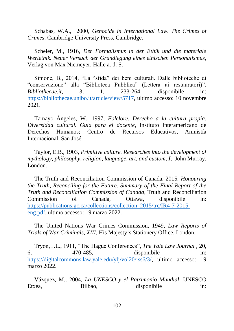Schabas, W.A., 2000, *Genocide in International Law. The Crimes of Crimes*, Cambridge University Press, Cambridge.

Scheler, M., 1916, *Der Formalismus in der Ethik und die materiale Wertethik. Neuer Versuch der Grundlegung eines ethischen Personalismus*, Verlag von Max Niemeyer, Halle a. d. S.

Simone, B., 2014, "La "sfida" dei beni culturali. Dalle biblioteche di "conservazione" alla "Biblioteca Pubblica" (Lettera ai restauratori)", *Bibliothecae.it*, 3, 1, 233-264, disponibile in: [https://bibliothecae.unibo.it/article/view/5717,](https://bibliothecae.unibo.it/article/view/5717) ultimo accesso: 10 novembre 2021.

Tamayo Ángeles, W., 1997, *Folclore. Derecho a la cultura propia. Diversidad cultural. Guía para el docente*, Instituto Interamericano de Derechos Humanos; Centro de Recursos Educativos, Amnistía Internacional, San José.

Taylor, E.B., 1903, *Primitive culture. Researches into the development of mythology, philosophy, religion, language, art, and custom, I,* John Murray, London.

The Truth and Reconciliation Commission of Canada, 2015, *Honouring the Truth, Reconciling for the Future. Summary of the Final Report of the Truth and Reconciliation Commission of Canada*, Truth and Reconciliation Commission of Canada, Ottawa, disponibile in: [https://publications.gc.ca/collections/collection\\_2015/trc/IR4-7-2015](https://publications.gc.ca/collections/collection_2015/trc/IR4-7-2015-eng.pdf) [eng.pdf,](https://publications.gc.ca/collections/collection_2015/trc/IR4-7-2015-eng.pdf) ultimo accesso: 19 marzo 2022.

The United Nations War Crimes Commission, 1949, *Law Reports of Trials of War Criminals, XIII*, His Majesty's Stationery Office, London.

Tryon, J.L., 1911, "The Hague Conferences", *The Yale Law Journal* , 20, 6, 470-485, disponibile in: [https://digitalcommons.law.yale.edu/ylj/vol20/iss6/3/,](https://digitalcommons.law.yale.edu/ylj/vol20/iss6/3/) ultimo accesso: 19 marzo 2022.

Vázquez, M., 2004, *La UNESCO y el Patrimonio Mundial*, UNESCO Etxea, Bilbao, disponibile in: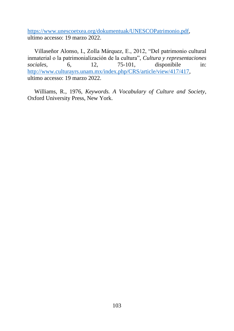[https://www.unescoetxea.org/dokumentuak/UNESCOPatrimonio.pdf,](https://www.unescoetxea.org/dokumentuak/UNESCOPatrimonio.pdf) ultimo accesso: 19 marzo 2022.

Villaseñor Alonso, I., Zolla Márquez, E., 2012, "Del patrimonio cultural inmaterial o la patrimonialización de la cultura", *Cultura y representaciones sociales*, 6, 12, 75-101, disponibile in: [http://www.culturayrs.unam.mx/index.php/CRS/article/view/417/417,](http://www.culturayrs.unam.mx/index.php/CRS/article/view/417/417) ultimo accesso: 19 marzo 2022.

Williams, R., 1976, *Keywords. A Vocabulary of Culture and Society*, Oxford University Press, New York.